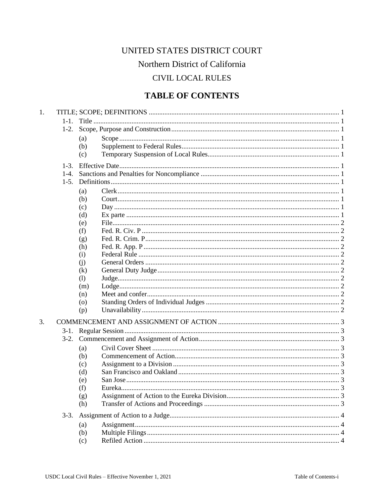# UNITED STATES DISTRICT COURT

Northern District of California

**CIVIL LOCAL RULES** 

# **TABLE OF CONTENTS**

| 1. |        |                    |  |
|----|--------|--------------------|--|
|    |        |                    |  |
|    | $1-2.$ |                    |  |
|    |        | (a)                |  |
|    |        | (b)                |  |
|    |        | (c)                |  |
|    | $1-3.$ |                    |  |
|    | $1-4.$ |                    |  |
|    |        |                    |  |
|    |        | (a)                |  |
|    |        | (b)                |  |
|    |        | (c)                |  |
|    |        | (d)                |  |
|    |        | (e)                |  |
|    |        | (f)                |  |
|    |        | (g)                |  |
|    |        | (h)                |  |
|    |        | (i)                |  |
|    |        | (i)                |  |
|    |        | (k)<br>(1)         |  |
|    |        | (m)                |  |
|    |        | (n)                |  |
|    |        | $\left( 0 \right)$ |  |
|    |        | (p)                |  |
| 3. |        |                    |  |
|    |        |                    |  |
|    |        |                    |  |
|    |        |                    |  |
|    |        | (a)<br>(b)         |  |
|    |        | (c)                |  |
|    |        | (d)                |  |
|    |        | (e)                |  |
|    |        | (f)                |  |
|    |        | (g)                |  |
|    |        | (h)                |  |
|    | $3-3.$ |                    |  |
|    |        | (a)                |  |
|    |        | (b)                |  |
|    |        | (c)                |  |
|    |        |                    |  |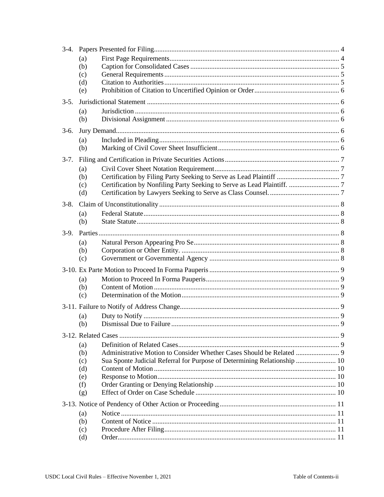| $3-4.$ |     |                                                                          |  |
|--------|-----|--------------------------------------------------------------------------|--|
|        | (a) |                                                                          |  |
|        | (b) |                                                                          |  |
|        | (c) |                                                                          |  |
|        | (d) |                                                                          |  |
|        | (e) |                                                                          |  |
| $3-5.$ |     |                                                                          |  |
|        | (a) |                                                                          |  |
|        | (b) |                                                                          |  |
| $3-6.$ |     |                                                                          |  |
|        |     |                                                                          |  |
|        | (a) |                                                                          |  |
|        | (b) |                                                                          |  |
| $3-7.$ |     |                                                                          |  |
|        | (a) |                                                                          |  |
|        | (b) |                                                                          |  |
|        | (c) |                                                                          |  |
|        | (d) |                                                                          |  |
| $3-8.$ |     |                                                                          |  |
|        | (a) |                                                                          |  |
|        | (b) |                                                                          |  |
| $3-9.$ |     |                                                                          |  |
|        | (a) |                                                                          |  |
|        | (b) |                                                                          |  |
|        | (c) |                                                                          |  |
|        |     |                                                                          |  |
|        |     |                                                                          |  |
|        | (a) |                                                                          |  |
|        | (b) |                                                                          |  |
|        | (c) |                                                                          |  |
|        |     |                                                                          |  |
|        | (a) |                                                                          |  |
|        | (b) |                                                                          |  |
|        |     |                                                                          |  |
|        | (a) |                                                                          |  |
|        | (b) |                                                                          |  |
|        | (c) | Sua Sponte Judicial Referral for Purpose of Determining Relationship  10 |  |
|        | (d) |                                                                          |  |
|        | (e) |                                                                          |  |
|        | (f) |                                                                          |  |
|        | (g) |                                                                          |  |
|        |     |                                                                          |  |
|        | (a) |                                                                          |  |
|        | (b) |                                                                          |  |
|        | (c) |                                                                          |  |
|        | (d) |                                                                          |  |
|        |     |                                                                          |  |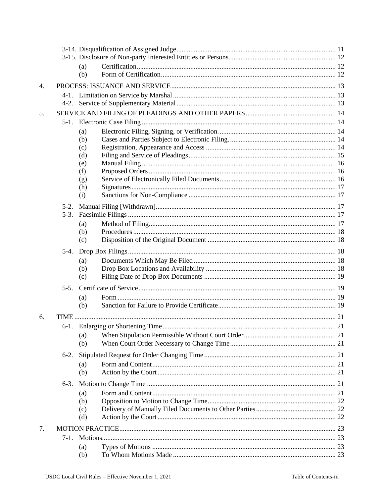|                  |                  | (a)        |  |
|------------------|------------------|------------|--|
|                  |                  | (b)        |  |
| $\overline{4}$ . |                  |            |  |
|                  |                  |            |  |
|                  | $4-2.$           |            |  |
| 5.               |                  |            |  |
|                  |                  |            |  |
|                  |                  | (a)        |  |
|                  |                  | (b)        |  |
|                  |                  | (c)        |  |
|                  |                  | (d)        |  |
|                  |                  | (e)        |  |
|                  |                  | (f)        |  |
|                  |                  | (g)<br>(h) |  |
|                  |                  | (i)        |  |
|                  |                  |            |  |
|                  | $5-2.$<br>$5-3.$ |            |  |
|                  |                  | (a)        |  |
|                  |                  | (b)        |  |
|                  |                  | (c)        |  |
|                  | $5-4.$           |            |  |
|                  |                  | (a)        |  |
|                  |                  | (b)        |  |
|                  |                  | (c)        |  |
|                  | $5-5.$           |            |  |
|                  |                  | (a)        |  |
|                  |                  | (b)        |  |
| 6.               |                  |            |  |
|                  |                  |            |  |
|                  |                  | (a)        |  |
|                  |                  | (b)        |  |
|                  | $6-2.$           |            |  |
|                  |                  | (a)        |  |
|                  |                  | (b)        |  |
|                  | $6-3.$           |            |  |
|                  |                  | (a)        |  |
|                  |                  | (b)        |  |
|                  |                  | (c)        |  |
|                  |                  | (d)        |  |
| 7.               |                  |            |  |
|                  | $7-1.$           |            |  |
|                  |                  | (a)        |  |
|                  |                  | (b)        |  |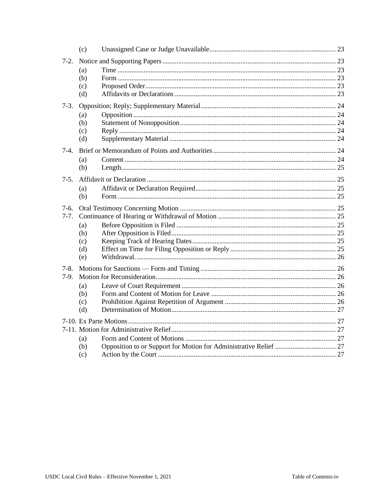|                     | (c)               |  |
|---------------------|-------------------|--|
| $7-2.$              | (a)               |  |
|                     | (b)<br>(c)<br>(d) |  |
| $7-3.$              |                   |  |
|                     | (a)<br>(b)<br>(c) |  |
|                     | (d)               |  |
| $7-4.$              | (a)               |  |
|                     | (b)               |  |
| $7-5.$              | (a)               |  |
|                     | (b)               |  |
| $7-6.$<br>$7 - 7$ . |                   |  |
|                     | (a)               |  |
|                     | (b)<br>(c)        |  |
|                     | (d)<br>(e)        |  |
| 7-8.                |                   |  |
| $7-9.$              |                   |  |
|                     | (a)               |  |
|                     | (b)<br>(c)        |  |
|                     | (d)               |  |
|                     |                   |  |
|                     |                   |  |
|                     | (a)               |  |
|                     | (b)<br>(c)        |  |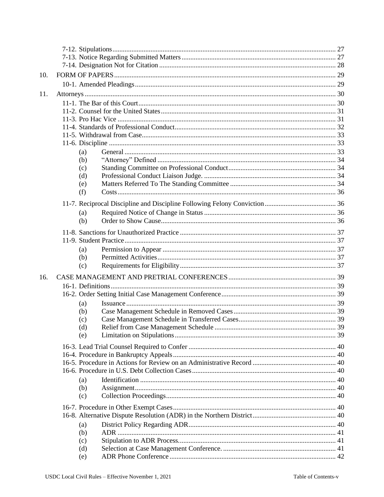| 10. |            |  |
|-----|------------|--|
|     |            |  |
| 11. |            |  |
|     |            |  |
|     |            |  |
|     |            |  |
|     |            |  |
|     |            |  |
|     |            |  |
|     | (a)        |  |
|     | (b)        |  |
|     | (c)        |  |
|     | (d)        |  |
|     | (e)        |  |
|     | (f)        |  |
|     |            |  |
|     | (a)        |  |
|     | (b)        |  |
|     |            |  |
|     |            |  |
|     |            |  |
|     | (a)<br>(b) |  |
|     | (c)        |  |
|     |            |  |
| 16. |            |  |
|     |            |  |
|     |            |  |
|     | (a)        |  |
|     | (b)        |  |
|     | (c)        |  |
|     | (d)<br>(e) |  |
|     |            |  |
|     |            |  |
|     |            |  |
|     |            |  |
|     |            |  |
|     | (a)        |  |
|     | (b)        |  |
|     | (c)        |  |
|     |            |  |
|     |            |  |
|     | (a)        |  |
|     | (b)        |  |
|     | (c)        |  |
|     | (d)        |  |
|     | (e)        |  |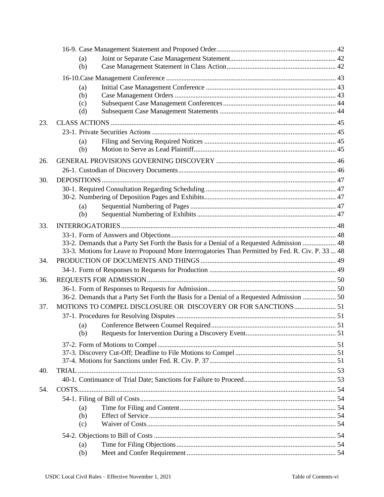|     | (a) |                                                                                                   |  |
|-----|-----|---------------------------------------------------------------------------------------------------|--|
|     | (b) |                                                                                                   |  |
|     |     |                                                                                                   |  |
|     | (a) |                                                                                                   |  |
|     | (b) |                                                                                                   |  |
|     | (c) |                                                                                                   |  |
|     | (d) |                                                                                                   |  |
| 23. |     |                                                                                                   |  |
|     |     |                                                                                                   |  |
|     | (a) |                                                                                                   |  |
|     | (b) |                                                                                                   |  |
| 26. |     |                                                                                                   |  |
|     |     |                                                                                                   |  |
| 30. |     |                                                                                                   |  |
|     |     |                                                                                                   |  |
|     |     |                                                                                                   |  |
|     | (a) |                                                                                                   |  |
|     | (b) |                                                                                                   |  |
| 33. |     |                                                                                                   |  |
|     |     |                                                                                                   |  |
|     |     | 33-2. Demands that a Party Set Forth the Basis for a Denial of a Requested Admission  48          |  |
|     |     | 33-3. Motions for Leave to Propound More Interrogatories Than Permitted by Fed. R. Civ. P. 33  48 |  |
| 34. |     |                                                                                                   |  |
|     |     |                                                                                                   |  |
| 36. |     |                                                                                                   |  |
|     |     |                                                                                                   |  |
|     |     | 36-2. Demands that a Party Set Forth the Basis for a Denial of a Requested Admission  50          |  |
| 37. |     |                                                                                                   |  |
|     |     |                                                                                                   |  |
|     | (a) |                                                                                                   |  |
|     | (b) |                                                                                                   |  |
|     |     |                                                                                                   |  |
|     |     |                                                                                                   |  |
|     |     |                                                                                                   |  |
| 40. |     |                                                                                                   |  |
|     |     |                                                                                                   |  |
| 54. |     |                                                                                                   |  |
|     |     |                                                                                                   |  |
|     | (a) |                                                                                                   |  |
|     | (b) |                                                                                                   |  |
|     | (c) |                                                                                                   |  |
|     |     |                                                                                                   |  |
|     | (a) |                                                                                                   |  |
|     | (b) |                                                                                                   |  |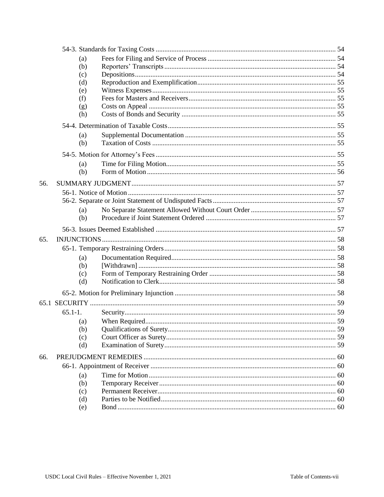|     | (a)         |  |
|-----|-------------|--|
|     | (b)         |  |
|     | (c)         |  |
|     | (d)         |  |
|     | (e)         |  |
|     | (f)         |  |
|     | (g)         |  |
|     | (h)         |  |
|     |             |  |
|     | (a)         |  |
|     | (b)         |  |
|     |             |  |
|     | (a)         |  |
|     | (b)         |  |
| 56. |             |  |
|     |             |  |
|     |             |  |
|     | (a)         |  |
|     | (b)         |  |
|     |             |  |
| 65. |             |  |
|     |             |  |
|     | (a)         |  |
|     | (b)         |  |
|     | (c)         |  |
|     | (d)         |  |
|     |             |  |
|     |             |  |
|     | $65.1 - 1.$ |  |
|     | (a)         |  |
|     | (b)         |  |
|     | (c)         |  |
|     | (d)         |  |
| 66. |             |  |
|     |             |  |
|     | (a)         |  |
|     | (b)         |  |
|     | (c)         |  |
|     | (d)         |  |
|     | (e)         |  |
|     |             |  |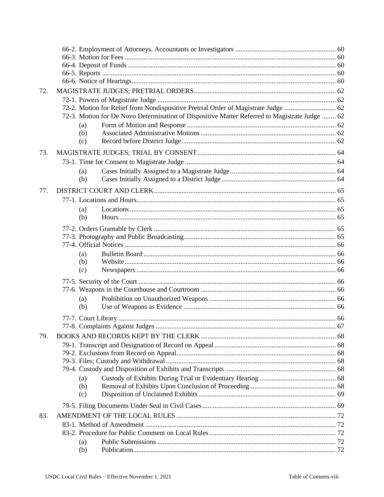| 72. |                                                                                               |  |
|-----|-----------------------------------------------------------------------------------------------|--|
|     |                                                                                               |  |
|     | 72-2. Motion for Relief from Nondispositive Pretrial Order of Magistrate Judge  62            |  |
|     | 72-3. Motion for De Novo Determination of Dispositive Matter Referred to Magistrate Judge  62 |  |
|     | (a)                                                                                           |  |
|     | (b)                                                                                           |  |
|     | (c)                                                                                           |  |
| 73. |                                                                                               |  |
|     |                                                                                               |  |
|     | (a)                                                                                           |  |
|     | (b)                                                                                           |  |
| 77. |                                                                                               |  |
|     |                                                                                               |  |
|     | (a)                                                                                           |  |
|     | (b)                                                                                           |  |
|     |                                                                                               |  |
|     |                                                                                               |  |
|     |                                                                                               |  |
|     |                                                                                               |  |
|     | (a)<br>(b)                                                                                    |  |
|     | (c)                                                                                           |  |
|     |                                                                                               |  |
|     |                                                                                               |  |
|     |                                                                                               |  |
|     | (a)<br>(b)                                                                                    |  |
|     |                                                                                               |  |
|     |                                                                                               |  |
|     |                                                                                               |  |
| 79. |                                                                                               |  |
|     |                                                                                               |  |
|     |                                                                                               |  |
|     |                                                                                               |  |
|     |                                                                                               |  |
|     | (a)<br>(b)                                                                                    |  |
|     | (c)                                                                                           |  |
|     |                                                                                               |  |
|     |                                                                                               |  |
| 83. |                                                                                               |  |
|     |                                                                                               |  |
|     |                                                                                               |  |
|     | (a)                                                                                           |  |
|     | (b)                                                                                           |  |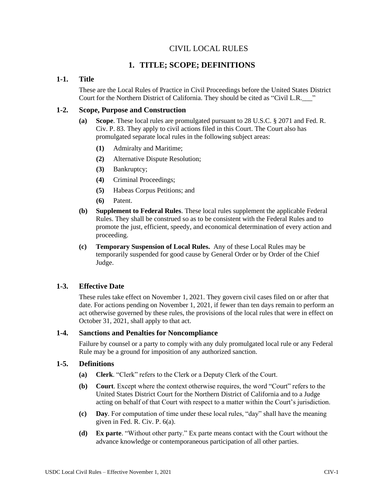## CIVIL LOCAL RULES

## **1. TITLE; SCOPE; DEFINITIONS**

## <span id="page-9-1"></span><span id="page-9-0"></span>**1-1. Title**

These are the Local Rules of Practice in Civil Proceedings before the United States District Court for the Northern District of California. They should be cited as "Civil L.R.\_\_\_"

### <span id="page-9-3"></span><span id="page-9-2"></span>**1-2. Scope, Purpose and Construction**

- **(a) Scope**. These local rules are promulgated pursuant to 28 U.S.C. § 2071 and Fed. R. Civ. P. 83. They apply to civil actions filed in this Court. The Court also has promulgated separate local rules in the following subject areas:
	- **(1)** Admiralty and Maritime;
	- **(2)** Alternative Dispute Resolution;
	- **(3)** Bankruptcy;
	- **(4)** Criminal Proceedings;
	- **(5)** Habeas Corpus Petitions; and
	- **(6)** Patent.
- <span id="page-9-4"></span>**(b) Supplement to Federal Rules**. These local rules supplement the applicable Federal Rules. They shall be construed so as to be consistent with the Federal Rules and to promote the just, efficient, speedy, and economical determination of every action and proceeding.
- <span id="page-9-5"></span>**(c) Temporary Suspension of Local Rules.** Any of these Local Rules may be temporarily suspended for good cause by General Order or by Order of the Chief Judge.

## <span id="page-9-6"></span>**1-3. Effective Date**

These rules take effect on November 1, 2021. They govern civil cases filed on or after that date. For actions pending on November 1, 2021, if fewer than ten days remain to perform an act otherwise governed by these rules, the provisions of the local rules that were in effect on October 31, 2021, shall apply to that act.

### <span id="page-9-7"></span>**1-4. Sanctions and Penalties for Noncompliance**

Failure by counsel or a party to comply with any duly promulgated local rule or any Federal Rule may be a ground for imposition of any authorized sanction.

## <span id="page-9-10"></span><span id="page-9-9"></span><span id="page-9-8"></span>**1-5. Definitions**

- **(a) Clerk**. "Clerk" refers to the Clerk or a Deputy Clerk of the Court.
- **(b) Court**. Except where the context otherwise requires, the word "Court" refers to the United States District Court for the Northern District of California and to a Judge acting on behalf of that Court with respect to a matter within the Court's jurisdiction.
- <span id="page-9-11"></span>**(c) Day**. For computation of time under these local rules, "day" shall have the meaning given in Fed. R. Civ. P. 6(a).
- <span id="page-9-12"></span>**(d) Ex parte**. "Without other party." Ex parte means contact with the Court without the advance knowledge or contemporaneous participation of all other parties.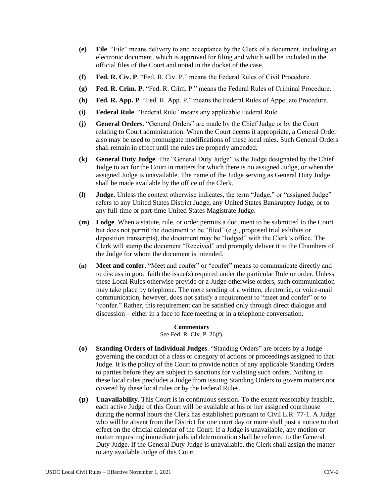- <span id="page-10-0"></span>**(e) File**. "File" means delivery to and acceptance by the Clerk of a document, including an electronic document, which is approved for filing and which will be included in the official files of the Court and noted in the docket of the case.
- <span id="page-10-1"></span>**(f) Fed. R. Civ. P**. "Fed. R. Civ. P." means the Federal Rules of Civil Procedure.
- <span id="page-10-2"></span>**(g) Fed. R. Crim. P**. "Fed. R. Crim. P." means the Federal Rules of Criminal Procedure.
- <span id="page-10-3"></span>**(h) Fed. R. App. P**. "Fed. R. App. P." means the Federal Rules of Appellate Procedure.
- <span id="page-10-4"></span>**(i) Federal Rule**. "Federal Rule" means any applicable Federal Rule.
- <span id="page-10-5"></span>**(j) General Orders**. "General Orders" are made by the Chief Judge or by the Court relating to Court administration. When the Court deems it appropriate, a General Order also may be used to promulgate modifications of these local rules. Such General Orders shall remain in effect until the rules are properly amended.
- <span id="page-10-6"></span>**(k) General Duty Judge**. The "General Duty Judge" is the Judge designated by the Chief Judge to act for the Court in matters for which there is no assigned Judge, or when the assigned Judge is unavailable. The name of the Judge serving as General Duty Judge shall be made available by the office of the Clerk.
- <span id="page-10-7"></span>**(l) Judge**. Unless the context otherwise indicates, the term "Judge," or "assigned Judge" refers to any United States District Judge, any United States Bankruptcy Judge, or to any full-time or part-time United States Magistrate Judge.
- <span id="page-10-8"></span>**(m) Lodge**. When a statute, rule, or order permits a document to be submitted to the Court but does not permit the document to be "filed" (e.g., proposed trial exhibits or deposition transcripts), the document may be "lodged" with the Clerk's office. The Clerk will stamp the document "Received" and promptly deliver it to the Chambers of the Judge for whom the document is intended.
- <span id="page-10-9"></span>**(n) Meet and confer**. "Meet and confer" or "confer" means to communicate directly and to discuss in good faith the issue(s) required under the particular Rule or order. Unless these Local Rules otherwise provide or a Judge otherwise orders, such communication may take place by telephone. The mere sending of a written, electronic, or voice-mail communication, however, does not satisfy a requirement to "meet and confer" or to "confer." Rather, this requirement can be satisfied only through direct dialogue and discussion – either in a face to face meeting or in a telephone conversation.

**Commentary** See Fed. R. Civ. P. 26(f).

- <span id="page-10-10"></span>**(o) Standing Orders of Individual Judges**. "Standing Orders" are orders by a Judge governing the conduct of a class or category of actions or proceedings assigned to that Judge. It is the policy of the Court to provide notice of any applicable Standing Orders to parties before they are subject to sanctions for violating such orders. Nothing in these local rules precludes a Judge from issuing Standing Orders to govern matters not covered by these local rules or by the Federal Rules.
- <span id="page-10-11"></span>**(p) Unavailability**. This Court is in continuous session. To the extent reasonably feasible, each active Judge of this Court will be available at his or her assigned courthouse during the normal hours the Clerk has established pursuant to Civil L.R. 77-1. A Judge who will be absent from the District for one court day or more shall post a notice to that effect on the official calendar of the Court. If a Judge is unavailable, any motion or matter requesting immediate judicial determination shall be referred to the General Duty Judge. If the General Duty Judge is unavailable, the Clerk shall assign the matter to any available Judge of this Court.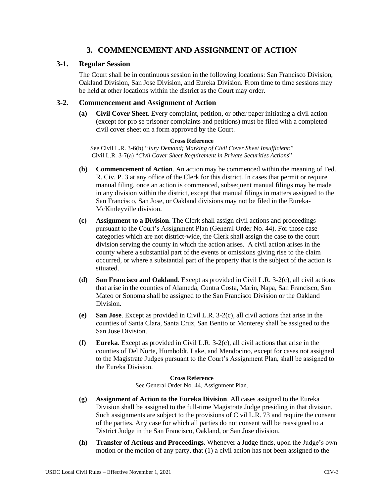## **3. COMMENCEMENT AND ASSIGNMENT OF ACTION**

## <span id="page-11-1"></span><span id="page-11-0"></span>**3-1. Regular Session**

The Court shall be in continuous session in the following locations: San Francisco Division, Oakland Division, San Jose Division, and Eureka Division. From time to time sessions may be held at other locations within the district as the Court may order.

## <span id="page-11-3"></span><span id="page-11-2"></span>**3-2. Commencement and Assignment of Action**

**(a) Civil Cover Sheet**. Every complaint, petition, or other paper initiating a civil action (except for pro se prisoner complaints and petitions) must be filed with a completed civil cover sheet on a form approved by the Court.

### **Cross Reference**

See Civil L.R. 3-6(b) "*Jury Demand; Marking of Civil Cover Sheet Insufficient*;" Civil L.R. 3-7(a) "*Civil Cover Sheet Requirement in Private Securities Actions*"

- <span id="page-11-4"></span>**(b) Commencement of Action**. An action may be commenced within the meaning of Fed. R. Civ. P. 3 at any office of the Clerk for this district. In cases that permit or require manual filing, once an action is commenced, subsequent manual filings may be made in any division within the district, except that manual filings in matters assigned to the San Francisco, San Jose, or Oakland divisions may not be filed in the Eureka-McKinleyville division.
- <span id="page-11-5"></span>**(c) Assignment to a Division**. The Clerk shall assign civil actions and proceedings pursuant to the Court's Assignment Plan (General Order No. 44). For those case categories which are not district-wide, the Clerk shall assign the case to the court division serving the county in which the action arises. A civil action arises in the county where a substantial part of the events or omissions giving rise to the claim occurred, or where a substantial part of the property that is the subject of the action is situated.
- <span id="page-11-6"></span>**(d) San Francisco and Oakland**. Except as provided in Civil L.R. 3-2(c), all civil actions that arise in the counties of Alameda, Contra Costa, Marin, Napa, San Francisco, San Mateo or Sonoma shall be assigned to the San Francisco Division or the Oakland Division.
- <span id="page-11-7"></span>**(e) San Jose**. Except as provided in Civil L.R. 3-2(c), all civil actions that arise in the counties of Santa Clara, Santa Cruz, San Benito or Monterey shall be assigned to the San Jose Division.
- <span id="page-11-8"></span>**(f) Eureka**. Except as provided in Civil L.R. 3-2(c), all civil actions that arise in the counties of Del Norte, Humboldt, Lake, and Mendocino, except for cases not assigned to the Magistrate Judges pursuant to the Court's Assignment Plan, shall be assigned to the Eureka Division.

#### **Cross Reference**

See General Order No. 44, Assignment Plan.

- <span id="page-11-9"></span>**(g) Assignment of Action to the Eureka Division**. All cases assigned to the Eureka Division shall be assigned to the full-time Magistrate Judge presiding in that division. Such assignments are subject to the provisions of Civil L.R. 73 and require the consent of the parties. Any case for which all parties do not consent will be reassigned to a District Judge in the San Francisco, Oakland, or San Jose division.
- <span id="page-11-10"></span>**(h) Transfer of Actions and Proceedings**. Whenever a Judge finds, upon the Judge's own motion or the motion of any party, that (1) a civil action has not been assigned to the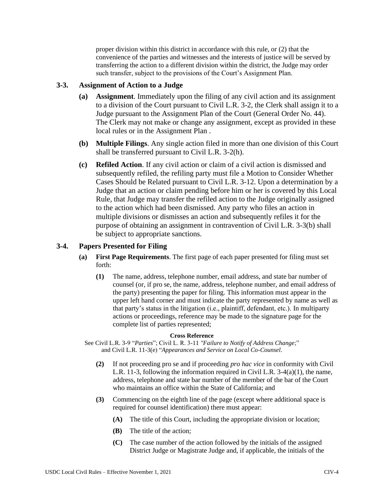proper division within this district in accordance with this rule, or (2) that the convenience of the parties and witnesses and the interests of justice will be served by transferring the action to a different division within the district, the Judge may order such transfer, subject to the provisions of the Court's Assignment Plan.

## <span id="page-12-1"></span><span id="page-12-0"></span>**3-3. Assignment of Action to a Judge**

- **(a) Assignment**. Immediately upon the filing of any civil action and its assignment to a division of the Court pursuant to Civil L.R. 3-2, the Clerk shall assign it to a Judge pursuant to the Assignment Plan of the Court (General Order No. 44). The Clerk may not make or change any assignment, except as provided in these local rules or in the Assignment Plan .
- <span id="page-12-2"></span>**(b) Multiple Filings**. Any single action filed in more than one division of this Court shall be transferred pursuant to Civil L.R. 3-2(h).
- <span id="page-12-3"></span>**(c) Refiled Action**. If any civil action or claim of a civil action is dismissed and subsequently refiled, the refiling party must file a Motion to Consider Whether Cases Should be Related pursuant to Civil L.R. 3-12. Upon a determination by a Judge that an action or claim pending before him or her is covered by this Local Rule, that Judge may transfer the refiled action to the Judge originally assigned to the action which had been dismissed. Any party who files an action in multiple divisions or dismisses an action and subsequently refiles it for the purpose of obtaining an assignment in contravention of Civil L.R. 3-3(b) shall be subject to appropriate sanctions.

## <span id="page-12-5"></span><span id="page-12-4"></span>**3-4. Papers Presented for Filing**

- **(a) First Page Requirements**. The first page of each paper presented for filing must set forth:
	- **(1)** The name, address, telephone number, email address, and state bar number of counsel (or, if pro se, the name, address, telephone number, and email address of the party) presenting the paper for filing. This information must appear in the upper left hand corner and must indicate the party represented by name as well as that party's status in the litigation (i.e., plaintiff, defendant, etc.). In multiparty actions or proceedings, reference may be made to the signature page for the complete list of parties represented;

## **Cross Reference**

See Civil L.R. 3-9 "*Parties*"; Civil L. R. 3-11 *"Failure to Notify of Address Change*;" and Civil L.R. 11-3(e) "*Appearances and Service on Local Co-Counsel*.

- **(2)** If not proceeding pro se and if proceeding *pro hac vice* in conformity with Civil L.R. 11-3, following the information required in Civil L.R. 3-4(a)(1), the name, address, telephone and state bar number of the member of the bar of the Court who maintains an office within the State of California; and
- **(3)** Commencing on the eighth line of the page (except where additional space is required for counsel identification) there must appear:
	- **(A)** The title of this Court, including the appropriate division or location;
	- **(B)** The title of the action;
	- **(C)** The case number of the action followed by the initials of the assigned District Judge or Magistrate Judge and, if applicable, the initials of the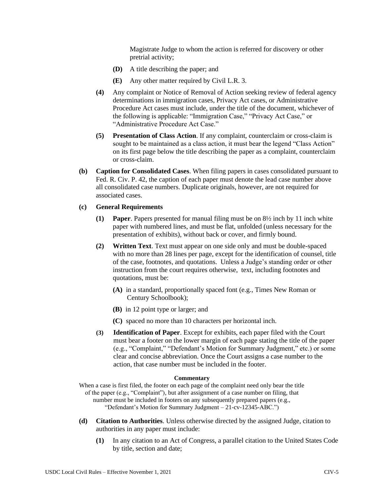Magistrate Judge to whom the action is referred for discovery or other pretrial activity;

- **(D)** A title describing the paper; and
- **(E)** Any other matter required by Civil L.R. 3.
- **(4)** Any complaint or Notice of Removal of Action seeking review of federal agency determinations in immigration cases, Privacy Act cases, or Administrative Procedure Act cases must include, under the title of the document, whichever of the following is applicable: "Immigration Case," "Privacy Act Case," or "Administrative Procedure Act Case."
- **(5) Presentation of Class Action**. If any complaint, counterclaim or cross-claim is sought to be maintained as a class action, it must bear the legend "Class Action" on its first page below the title describing the paper as a complaint, counterclaim or cross-claim.
- <span id="page-13-0"></span>**(b) Caption for Consolidated Cases**. When filing papers in cases consolidated pursuant to Fed. R. Civ. P. 42, the caption of each paper must denote the lead case number above all consolidated case numbers. Duplicate originals, however, are not required for associated cases.

#### <span id="page-13-1"></span>**(c) General Requirements**

- **(1) Paper**. Papers presented for manual filing must be on 8½ inch by 11 inch white paper with numbered lines, and must be flat, unfolded (unless necessary for the presentation of exhibits), without back or cover, and firmly bound.
- **(2) Written Text**. Text must appear on one side only and must be double-spaced with no more than 28 lines per page, except for the identification of counsel, title of the case, footnotes, and quotations. Unless a Judge's standing order or other instruction from the court requires otherwise, text, including footnotes and quotations, must be:
	- **(A)** in a standard, proportionally spaced font (e.g., Times New Roman or Century Schoolbook);
	- **(B)** in 12 point type or larger; and
	- **(C)** spaced no more than 10 characters per horizontal inch.
- **(3) Identification of Paper**. Except for exhibits, each paper filed with the Court must bear a footer on the lower margin of each page stating the title of the paper (e.g., "Complaint," "Defendant's Motion for Summary Judgment," etc.) or some clear and concise abbreviation. Once the Court assigns a case number to the action, that case number must be included in the footer.

#### **Commentary**

When a case is first filed, the footer on each page of the complaint need only bear the title of the paper (e.g., "Complaint"), but after assignment of a case number on filing, that number must be included in footers on any subsequently prepared papers (e.g., "Defendant's Motion for Summary Judgment – 21-cv-12345-ABC.")

- <span id="page-13-2"></span>**(d) Citation to Authorities**. Unless otherwise directed by the assigned Judge, citation to authorities in any paper must include:
	- **(1)** In any citation to an Act of Congress, a parallel citation to the United States Code by title, section and date;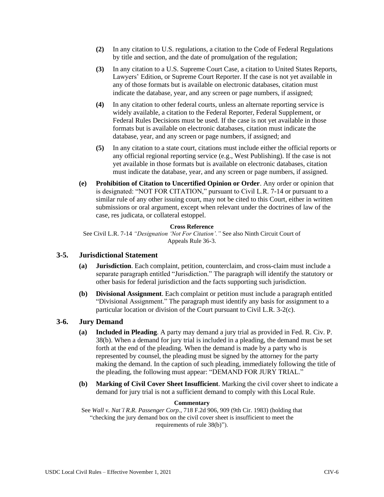- **(2)** In any citation to U.S. regulations, a citation to the Code of Federal Regulations by title and section, and the date of promulgation of the regulation;
- **(3)** In any citation to a U.S. Supreme Court Case, a citation to United States Reports, Lawyers' Edition, or Supreme Court Reporter. If the case is not yet available in any of those formats but is available on electronic databases, citation must indicate the database, year, and any screen or page numbers, if assigned;
- **(4)** In any citation to other federal courts, unless an alternate reporting service is widely available, a citation to the Federal Reporter, Federal Supplement, or Federal Rules Decisions must be used. If the case is not yet available in those formats but is available on electronic databases, citation must indicate the database, year, and any screen or page numbers, if assigned; and
- **(5)** In any citation to a state court, citations must include either the official reports or any official regional reporting service (e.g., West Publishing). If the case is not yet available in those formats but is available on electronic databases, citation must indicate the database, year, and any screen or page numbers, if assigned.
- <span id="page-14-0"></span>**(e) Prohibition of Citation to Uncertified Opinion or Order**. Any order or opinion that is designated: "NOT FOR CITATION," pursuant to Civil L.R. 7-14 or pursuant to a similar rule of any other issuing court, may not be cited to this Court, either in written submissions or oral argument, except when relevant under the doctrines of law of the case, res judicata, or collateral estoppel.

#### **Cross Reference**

See Civil L.R. 7-14 *"Designation 'Not For Citation'."* See also Ninth Circuit Court of Appeals Rule 36-3.

## <span id="page-14-2"></span><span id="page-14-1"></span>**3-5. Jurisdictional Statement**

- **(a) Jurisdiction**. Each complaint, petition, counterclaim, and cross-claim must include a separate paragraph entitled "Jurisdiction." The paragraph will identify the statutory or other basis for federal jurisdiction and the facts supporting such jurisdiction.
- **(b) Divisional Assignment**. Each complaint or petition must include a paragraph entitled "Divisional Assignment." The paragraph must identify any basis for assignment to a particular location or division of the Court pursuant to Civil L.R. 3-2(c).

### <span id="page-14-5"></span><span id="page-14-4"></span><span id="page-14-3"></span>**3-6. Jury Demand**

- **(a) Included in Pleading**. A party may demand a jury trial as provided in Fed. R. Civ. P. 38(b). When a demand for jury trial is included in a pleading, the demand must be set forth at the end of the pleading. When the demand is made by a party who is represented by counsel, the pleading must be signed by the attorney for the party making the demand. In the caption of such pleading, immediately following the title of the pleading, the following must appear: "DEMAND FOR JURY TRIAL."
- <span id="page-14-6"></span>**(b) Marking of Civil Cover Sheet Insufficient**. Marking the civil cover sheet to indicate a demand for jury trial is not a sufficient demand to comply with this Local Rule.

#### **Commentary**

See *Wall v. Nat'l R.R. Passenger Corp*., 718 F.2d 906, 909 (9th Cir. 1983) (holding that "checking the jury demand box on the civil cover sheet is insufficient to meet the requirements of rule 38(b)").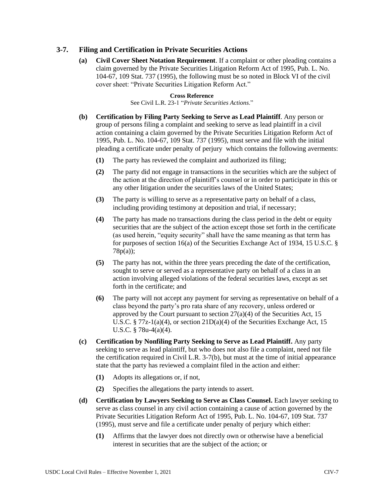## <span id="page-15-1"></span><span id="page-15-0"></span>**3-7. Filing and Certification in Private Securities Actions**

**(a) Civil Cover Sheet Notation Requirement**. If a complaint or other pleading contains a claim governed by the Private Securities Litigation Reform Act of 1995, Pub. L. No. 104-67, 109 Stat. 737 (1995), the following must be so noted in Block VI of the civil cover sheet: "Private Securities Litigation Reform Act."

#### **Cross Reference**

See Civil L.R. 23-1 "*Private Securities Actions*."

- <span id="page-15-2"></span>**(b) Certification by Filing Party Seeking to Serve as Lead Plaintiff**. Any person or group of persons filing a complaint and seeking to serve as lead plaintiff in a civil action containing a claim governed by the Private Securities Litigation Reform Act of 1995, Pub. L. No. 104-67, 109 Stat. 737 (1995), must serve and file with the initial pleading a certificate under penalty of perjury which contains the following averments:
	- **(1)** The party has reviewed the complaint and authorized its filing;
	- **(2)** The party did not engage in transactions in the securities which are the subject of the action at the direction of plaintiff's counsel or in order to participate in this or any other litigation under the securities laws of the United States;
	- **(3)** The party is willing to serve as a representative party on behalf of a class, including providing testimony at deposition and trial, if necessary;
	- **(4)** The party has made no transactions during the class period in the debt or equity securities that are the subject of the action except those set forth in the certificate (as used herein, "equity security" shall have the same meaning as that term has for purposes of section 16(a) of the Securities Exchange Act of 1934, 15 U.S.C. § 78p(a));
	- **(5)** The party has not, within the three years preceding the date of the certification, sought to serve or served as a representative party on behalf of a class in an action involving alleged violations of the federal securities laws, except as set forth in the certificate; and
	- **(6)** The party will not accept any payment for serving as representative on behalf of a class beyond the party's pro rata share of any recovery, unless ordered or approved by the Court pursuant to section  $27(a)(4)$  of the Securities Act, 15 U.S.C. § 77z-1(a)(4), or section 21D(a)(4) of the Securities Exchange Act, 15 U.S.C. § 78u-4(a)(4).
- <span id="page-15-3"></span>**(c) Certification by Nonfiling Party Seeking to Serve as Lead Plaintiff.** Any party seeking to serve as lead plaintiff, but who does not also file a complaint, need not file the certification required in Civil L.R. 3-7(b), but must at the time of initial appearance state that the party has reviewed a complaint filed in the action and either:
	- **(1)** Adopts its allegations or, if not,
	- **(2)** Specifies the allegations the party intends to assert.
- <span id="page-15-4"></span>**(d) Certification by Lawyers Seeking to Serve as Class Counsel.** Each lawyer seeking to serve as class counsel in any civil action containing a cause of action governed by the Private Securities Litigation Reform Act of 1995, Pub. L. No. 104-67, 109 Stat. 737 (1995), must serve and file a certificate under penalty of perjury which either:
	- **(1)** Affirms that the lawyer does not directly own or otherwise have a beneficial interest in securities that are the subject of the action; or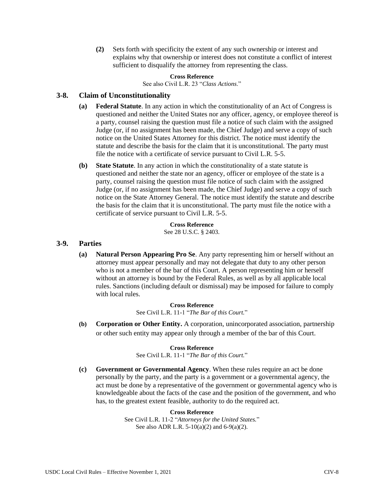**(2)** Sets forth with specificity the extent of any such ownership or interest and explains why that ownership or interest does not constitute a conflict of interest sufficient to disqualify the attorney from representing the class.

## **Cross Reference** See also Civil L.R. 23 "*Class Actions*."

## <span id="page-16-1"></span><span id="page-16-0"></span>**3-8. Claim of Unconstitutionality**

- **(a) Federal Statute**. In any action in which the constitutionality of an Act of Congress is questioned and neither the United States nor any officer, agency, or employee thereof is a party, counsel raising the question must file a notice of such claim with the assigned Judge (or, if no assignment has been made, the Chief Judge) and serve a copy of such notice on the United States Attorney for this district. The notice must identify the statute and describe the basis for the claim that it is unconstitutional. The party must file the notice with a certificate of service pursuant to Civil L.R. 5-5.
- <span id="page-16-2"></span>**(b) State Statute**. In any action in which the constitutionality of a state statute is questioned and neither the state nor an agency, officer or employee of the state is a party, counsel raising the question must file notice of such claim with the assigned Judge (or, if no assignment has been made, the Chief Judge) and serve a copy of such notice on the State Attorney General. The notice must identify the statute and describe the basis for the claim that it is unconstitutional. The party must file the notice with a certificate of service pursuant to Civil L.R. 5-5.

**Cross Reference** See 28 U.S.C. § 2403.

- <span id="page-16-4"></span><span id="page-16-3"></span>**3-9. Parties**
	- **(a) Natural Person Appearing Pro Se**. Any party representing him or herself without an attorney must appear personally and may not delegate that duty to any other person who is not a member of the bar of this Court. A person representing him or herself without an attorney is bound by the Federal Rules, as well as by all applicable local rules. Sanctions (including default or dismissal) may be imposed for failure to comply with local rules.

### **Cross Reference**

See Civil L.R. 11-1 "*The Bar of this Court.*"

<span id="page-16-5"></span>**(b) Corporation or Other Entity.** A corporation, unincorporated association, partnership or other such entity may appear only through a member of the bar of this Court.

## **Cross Reference**

See Civil L.R. 11-1 "*The Bar of this Court.*"

<span id="page-16-6"></span>**(c) Government or Governmental Agency**. When these rules require an act be done personally by the party, and the party is a government or a governmental agency, the act must be done by a representative of the government or governmental agency who is knowledgeable about the facts of the case and the position of the government, and who has, to the greatest extent feasible, authority to do the required act.

## **Cross Reference**

See Civil L.R. 11-2 "*Attorneys for the United States.*" See also ADR L.R. 5-10(a)(2) and 6-9(a)(2).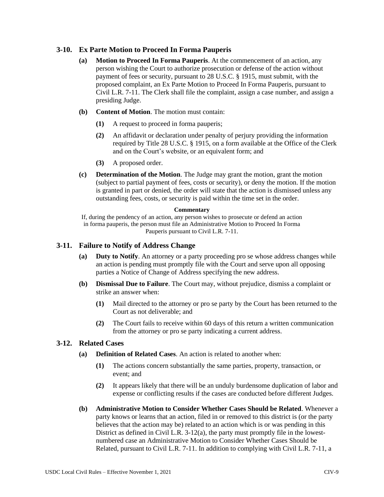## <span id="page-17-1"></span><span id="page-17-0"></span>**3-10. Ex Parte Motion to Proceed In Forma Pauperis**

- **(a) Motion to Proceed In Forma Pauperis**. At the commencement of an action, any person wishing the Court to authorize prosecution or defense of the action without payment of fees or security, pursuant to 28 U.S.C. § 1915, must submit, with the proposed complaint, an Ex Parte Motion to Proceed In Forma Pauperis, pursuant to Civil L.R. 7-11. The Clerk shall file the complaint, assign a case number, and assign a presiding Judge.
- <span id="page-17-2"></span>**(b) Content of Motion**. The motion must contain:
	- **(1)** A request to proceed in forma pauperis;
	- **(2)** An affidavit or declaration under penalty of perjury providing the information required by Title 28 U.S.C. § 1915, on a form available at the Office of the Clerk and on the Court's website, or an equivalent form; and
	- **(3)** A proposed order.
- <span id="page-17-3"></span>**(c) Determination of the Motion**. The Judge may grant the motion, grant the motion (subject to partial payment of fees, costs or security), or deny the motion. If the motion is granted in part or denied, the order will state that the action is dismissed unless any outstanding fees, costs, or security is paid within the time set in the order.

#### **Commentary**

If, during the pendency of an action, any person wishes to prosecute or defend an action in forma pauperis, the person must file an Administrative Motion to Proceed In Forma Pauperis pursuant to Civil L.R. 7-11.

## <span id="page-17-5"></span><span id="page-17-4"></span>**3-11. Failure to Notify of Address Change**

- **(a) Duty to Notify**. An attorney or a party proceeding pro se whose address changes while an action is pending must promptly file with the Court and serve upon all opposing parties a Notice of Change of Address specifying the new address.
- <span id="page-17-6"></span>**(b) Dismissal Due to Failure**. The Court may, without prejudice, dismiss a complaint or strike an answer when:
	- **(1)** Mail directed to the attorney or pro se party by the Court has been returned to the Court as not deliverable; and
	- **(2)** The Court fails to receive within 60 days of this return a written communication from the attorney or pro se party indicating a current address.

## <span id="page-17-8"></span><span id="page-17-7"></span>**3-12. Related Cases**

- **(a) Definition of Related Cases**. An action is related to another when:
	- **(1)** The actions concern substantially the same parties, property, transaction, or event; and
	- **(2)** It appears likely that there will be an unduly burdensome duplication of labor and expense or conflicting results if the cases are conducted before different Judges.
- <span id="page-17-9"></span>**(b) Administrative Motion to Consider Whether Cases Should be Related**. Whenever a party knows or learns that an action, filed in or removed to this district is (or the party believes that the action may be) related to an action which is or was pending in this District as defined in Civil L.R.  $3-12(a)$ , the party must promptly file in the lowestnumbered case an Administrative Motion to Consider Whether Cases Should be Related, pursuant to Civil L.R. 7-11. In addition to complying with Civil L.R. 7-11, a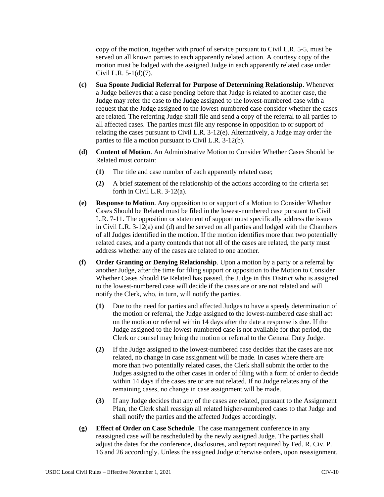copy of the motion, together with proof of service pursuant to Civil L.R. 5-5, must be served on all known parties to each apparently related action. A courtesy copy of the motion must be lodged with the assigned Judge in each apparently related case under Civil L.R. 5-1(d)(7).

- <span id="page-18-0"></span>**(c) Sua Sponte Judicial Referral for Purpose of Determining Relationship**. Whenever a Judge believes that a case pending before that Judge is related to another case, the Judge may refer the case to the Judge assigned to the lowest-numbered case with a request that the Judge assigned to the lowest-numbered case consider whether the cases are related. The referring Judge shall file and send a copy of the referral to all parties to all affected cases. The parties must file any response in opposition to or support of relating the cases pursuant to Civil L.R. 3-12(e). Alternatively, a Judge may order the parties to file a motion pursuant to Civil L.R. 3-12(b).
- <span id="page-18-1"></span>**(d) Content of Motion**. An Administrative Motion to Consider Whether Cases Should be Related must contain:
	- **(1)** The title and case number of each apparently related case;
	- **(2)** A brief statement of the relationship of the actions according to the criteria set forth in Civil L.R. 3-12(a).
- <span id="page-18-2"></span>**(e) Response to Motion**. Any opposition to or support of a Motion to Consider Whether Cases Should be Related must be filed in the lowest-numbered case pursuant to Civil L.R. 7-11. The opposition or statement of support must specifically address the issues in Civil L.R. 3-12(a) and (d) and be served on all parties and lodged with the Chambers of all Judges identified in the motion. If the motion identifies more than two potentially related cases, and a party contends that not all of the cases are related, the party must address whether any of the cases are related to one another.
- <span id="page-18-3"></span>**(f) Order Granting or Denying Relationship**. Upon a motion by a party or a referral by another Judge, after the time for filing support or opposition to the Motion to Consider Whether Cases Should Be Related has passed, the Judge in this District who is assigned to the lowest-numbered case will decide if the cases are or are not related and will notify the Clerk, who, in turn, will notify the parties.
	- **(1)** Due to the need for parties and affected Judges to have a speedy determination of the motion or referral, the Judge assigned to the lowest-numbered case shall act on the motion or referral within 14 days after the date a response is due. If the Judge assigned to the lowest-numbered case is not available for that period, the Clerk or counsel may bring the motion or referral to the General Duty Judge.
	- **(2)** If the Judge assigned to the lowest-numbered case decides that the cases are not related, no change in case assignment will be made. In cases where there are more than two potentially related cases, the Clerk shall submit the order to the Judges assigned to the other cases in order of filing with a form of order to decide within 14 days if the cases are or are not related. If no Judge relates any of the remaining cases, no change in case assignment will be made.
	- **(3)** If any Judge decides that any of the cases are related, pursuant to the Assignment Plan, the Clerk shall reassign all related higher-numbered cases to that Judge and shall notify the parties and the affected Judges accordingly.
- <span id="page-18-4"></span>**(g) Effect of Order on Case Schedule**. The case management conference in any reassigned case will be rescheduled by the newly assigned Judge. The parties shall adjust the dates for the conference, disclosures, and report required by Fed. R. Civ. P. 16 and 26 accordingly. Unless the assigned Judge otherwise orders, upon reassignment,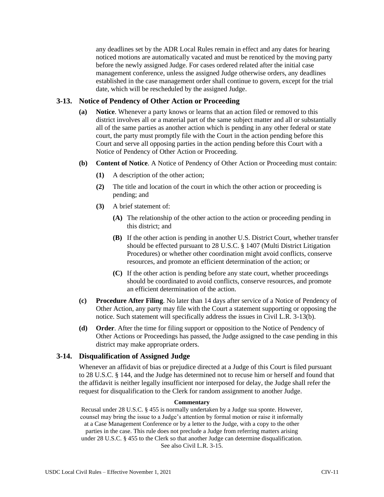any deadlines set by the ADR Local Rules remain in effect and any dates for hearing noticed motions are automatically vacated and must be renoticed by the moving party before the newly assigned Judge. For cases ordered related after the initial case management conference, unless the assigned Judge otherwise orders, any deadlines established in the case management order shall continue to govern, except for the trial date, which will be rescheduled by the assigned Judge.

## <span id="page-19-1"></span><span id="page-19-0"></span>**3-13. Notice of Pendency of Other Action or Proceeding**

- **(a) Notice**. Whenever a party knows or learns that an action filed or removed to this district involves all or a material part of the same subject matter and all or substantially all of the same parties as another action which is pending in any other federal or state court, the party must promptly file with the Court in the action pending before this Court and serve all opposing parties in the action pending before this Court with a Notice of Pendency of Other Action or Proceeding.
- <span id="page-19-2"></span>**(b) Content of Notice**. A Notice of Pendency of Other Action or Proceeding must contain:
	- **(1)** A description of the other action;
	- **(2)** The title and location of the court in which the other action or proceeding is pending; and
	- **(3)** A brief statement of:
		- **(A)** The relationship of the other action to the action or proceeding pending in this district; and
		- **(B)** If the other action is pending in another U.S. District Court, whether transfer should be effected pursuant to 28 U.S.C. § 1407 (Multi District Litigation Procedures) or whether other coordination might avoid conflicts, conserve resources, and promote an efficient determination of the action; or
		- **(C)** If the other action is pending before any state court, whether proceedings should be coordinated to avoid conflicts, conserve resources, and promote an efficient determination of the action.
- <span id="page-19-3"></span>**(c) Procedure After Filing**. No later than 14 days after service of a Notice of Pendency of Other Action, any party may file with the Court a statement supporting or opposing the notice. Such statement will specifically address the issues in Civil L.R. 3-13(b).
- **(d) Order**. After the time for filing support or opposition to the Notice of Pendency of Other Actions or Proceedings has passed, the Judge assigned to the case pending in this district may make appropriate orders.

## <span id="page-19-5"></span><span id="page-19-4"></span>**3-14. Disqualification of Assigned Judge**

Whenever an affidavit of bias or prejudice directed at a Judge of this Court is filed pursuant to 28 U.S.C. § 144, and the Judge has determined not to recuse him or herself and found that the affidavit is neither legally insufficient nor interposed for delay, the Judge shall refer the request for disqualification to the Clerk for random assignment to another Judge.

#### **Commentary**

Recusal under 28 U.S.C. § 455 is normally undertaken by a Judge sua sponte. However, counsel may bring the issue to a Judge's attention by formal motion or raise it informally at a Case Management Conference or by a letter to the Judge, with a copy to the other parties in the case. This rule does not preclude a Judge from referring matters arising under 28 U.S.C. § 455 to the Clerk so that another Judge can determine disqualification. See also Civil L.R. 3-15.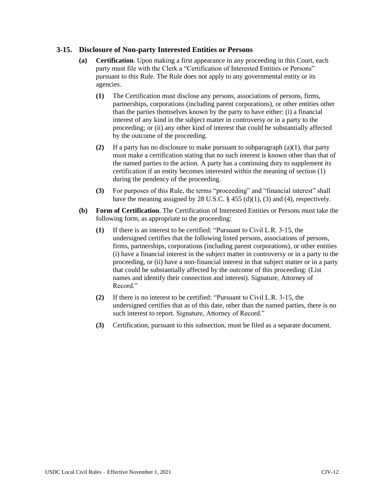## <span id="page-20-1"></span><span id="page-20-0"></span>**3-15. Disclosure of Non-party Interested Entities or Persons**

- **(a) Certification**. Upon making a first appearance in any proceeding in this Court, each party must file with the Clerk a "Certification of Interested Entities or Persons" pursuant to this Rule. The Rule does not apply to any governmental entity or its agencies.
	- **(1)** The Certification must disclose any persons, associations of persons, firms, partnerships, corporations (including parent corporations), or other entities other than the parties themselves known by the party to have either: (i) a financial interest of any kind in the subject matter in controversy or in a party to the proceeding; or (ii) any other kind of interest that could be substantially affected by the outcome of the proceeding.
	- **(2)** If a party has no disclosure to make pursuant to subparagraph (a)(1), that party must make a certification stating that no such interest is known other than that of the named parties to the action. A party has a continuing duty to supplement its certification if an entity becomes interested within the meaning of section (1) during the pendency of the proceeding.
	- **(3)** For purposes of this Rule, the terms "proceeding" and "financial interest" shall have the meaning assigned by 28 U.S.C. § 455 (d)(1), (3) and (4), respectively.
- <span id="page-20-2"></span>**(b) Form of Certification**. The Certification of Interested Entities or Persons must take the following form, as appropriate to the proceeding:
	- **(1)** If there is an interest to be certified: "Pursuant to Civil L.R. 3-15, the undersigned certifies that the following listed persons, associations of persons, firms, partnerships, corporations (including parent corporations), or other entities (i) have a financial interest in the subject matter in controversy or in a party to the proceeding, or (ii) have a non-financial interest in that subject matter or in a party that could be substantially affected by the outcome of this proceeding: (List names and identify their connection and interest). Signature, Attorney of Record."
	- **(2)** If there is no interest to be certified: "Pursuant to Civil L.R. 3-15, the undersigned certifies that as of this date, other than the named parties, there is no such interest to report. Signature, Attorney of Record."
	- **(3)** Certification, pursuant to this subsection, must be filed as a separate document.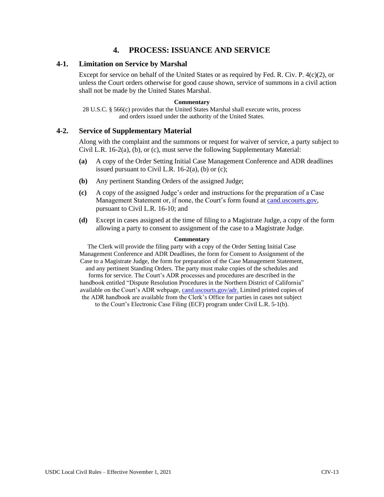## **4. PROCESS: ISSUANCE AND SERVICE**

## <span id="page-21-1"></span><span id="page-21-0"></span>**4-1. Limitation on Service by Marshal**

Except for service on behalf of the United States or as required by Fed. R. Civ. P. 4(c)(2), or unless the Court orders otherwise for good cause shown, service of summons in a civil action shall not be made by the United States Marshal.

#### **Commentary**

28 U.S.C. § 566(c) provides that the United States Marshal shall execute writs, process and orders issued under the authority of the United States.

## <span id="page-21-2"></span>**4-2. Service of Supplementary Material**

Along with the complaint and the summons or request for waiver of service, a party subject to Civil L.R. 16-2(a), (b), or (c), must serve the following Supplementary Material:

- **(a)** A copy of the Order Setting Initial Case Management Conference and ADR deadlines issued pursuant to Civil L.R.  $16-2(a)$ , (b) or (c);
- **(b)** Any pertinent Standing Orders of the assigned Judge;
- **(c)** A copy of the assigned Judge's order and instructions for the preparation of a Case Management Statement or, if none, the Court's form found at [cand.uscourts.gov,](file://///CANDSF/DATA/Users/_SHARED%20DOCS/LOCAL%20RULES,%20GENERAL%20ORDERS%20&%20IOPs/Local_Rules/Current%20Local%20Rules/www.cand.uscourts.gov) pursuant to Civil L.R. 16-10; and
- **(d)** Except in cases assigned at the time of filing to a Magistrate Judge, a copy of the form allowing a party to consent to assignment of the case to a Magistrate Judge.

#### **Commentary**

The Clerk will provide the filing party with a copy of the Order Setting Initial Case Management Conference and ADR Deadlines, the form for Consent to Assignment of the Case to a Magistrate Judge, the form for preparation of the Case Management Statement, and any pertinent Standing Orders. The party must make copies of the schedules and forms for service. The Court's ADR processes and procedures are described in the handbook entitled "Dispute Resolution Procedures in the Northern District of California" available on the Court's ADR webpage, [cand.uscourts.gov/adr.](http://www.cand.uscourts.gov/adr.) Limited printed copies of the ADR handbook are available from the Clerk's Office for parties in cases not subject to the Court's Electronic Case Filing (ECF) program under Civil L.R. 5-1(b).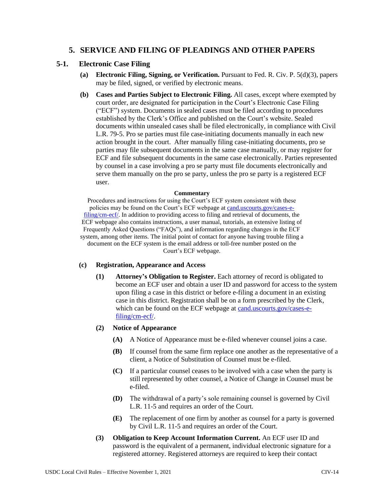## **5. SERVICE AND FILING OF PLEADINGS AND OTHER PAPERS**

## <span id="page-22-3"></span><span id="page-22-2"></span><span id="page-22-1"></span><span id="page-22-0"></span>**5-1. Electronic Case Filing**

- **(a) Electronic Filing, Signing, or Verification.** Pursuant to Fed. R. Civ. P. 5(d)(3), papers may be filed, signed, or verified by electronic means.
- **(b) Cases and Parties Subject to Electronic Filing.** All cases, except where exempted by court order, are designated for participation in the Court's Electronic Case Filing ("ECF") system. Documents in sealed cases must be filed according to procedures established by the Clerk's Office and published on the Court's website. Sealed documents within unsealed cases shall be filed electronically, in compliance with Civil L.R. 79-5. Pro se parties must file case-initiating documents manually in each new action brought in the court. After manually filing case-initiating documents, pro se parties may file subsequent documents in the same case manually, or may register for ECF and file subsequent documents in the same case electronically. Parties represented by counsel in a case involving a pro se party must file documents electronically and serve them manually on the pro se party, unless the pro se party is a registered ECF user.

#### **Commentary**

Procedures and instructions for using the Court's ECF system consistent with these policies may be found on the Court's ECF webpage at [cand.uscourts.gov/cases-e](https://fedcourts-my.sharepoint.com/personal/william_noble_cand_uscourts_gov/Documents/cand.uscourts.gov/cases-e-filing/cm-ecf/)[filing/cm-ecf/.](https://fedcourts-my.sharepoint.com/personal/william_noble_cand_uscourts_gov/Documents/cand.uscourts.gov/cases-e-filing/cm-ecf/) In addition to providing access to filing and retrieval of documents, the ECF webpage also contains instructions, a user manual, tutorials, an extensive listing of Frequently Asked Questions ("FAQs"), and information regarding changes in the ECF system, among other items. The initial point of contact for anyone having trouble filing a document on the ECF system is the email address or toll-free number posted on the Court's ECF webpage.

#### <span id="page-22-4"></span>**(c) Registration, Appearance and Access**

**(1) Attorney's Obligation to Register.** Each attorney of record is obligated to become an ECF user and obtain a user ID and password for access to the system upon filing a case in this district or before e-filing a document in an existing case in this district. Registration shall be on a form prescribed by the Clerk, which can be found on the ECF webpage at [cand.uscourts.gov/cases-e](https://fedcourts-my.sharepoint.com/personal/william_noble_cand_uscourts_gov/Documents/cand.uscourts.gov/cases-e-filing/cm-ecf/)[filing/cm-ecf/.](https://fedcourts-my.sharepoint.com/personal/william_noble_cand_uscourts_gov/Documents/cand.uscourts.gov/cases-e-filing/cm-ecf/)

## **(2) Notice of Appearance**

- **(A)** A Notice of Appearance must be e-filed whenever counsel joins a case.
- **(B)** If counsel from the same firm replace one another as the representative of a client, a Notice of Substitution of Counsel must be e-filed.
- **(C)** If a particular counsel ceases to be involved with a case when the party is still represented by other counsel, a Notice of Change in Counsel must be e-filed.
- **(D)** The withdrawal of a party's sole remaining counsel is governed by Civil L.R. 11-5 and requires an order of the Court.
- **(E)** The replacement of one firm by another as counsel for a party is governed by Civil L.R. 11-5 and requires an order of the Court.
- **(3) Obligation to Keep Account Information Current.** An ECF user ID and password is the equivalent of a permanent, individual electronic signature for a registered attorney. Registered attorneys are required to keep their contact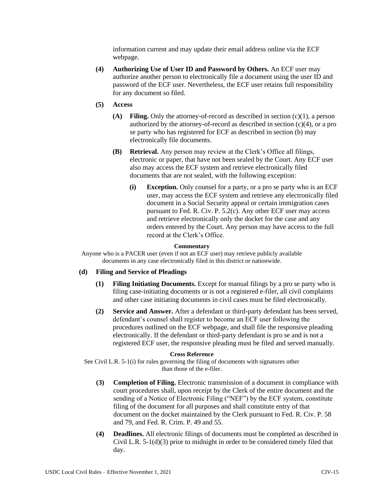information current and may update their email address online via the ECF webpage.

- **(4) Authorizing Use of User ID and Password by Others.** An ECF user may authorize another person to electronically file a document using the user ID and password of the ECF user. Nevertheless, the ECF user retains full responsibility for any document so filed.
- **(5) Access**
	- **(A) Filing.** Only the attorney-of-record as described in section  $(c)(1)$ , a person authorized by the attorney-of-record as described in section  $(c)(4)$ , or a pro se party who has registered for ECF as described in section (b) may electronically file documents.
	- **(B) Retrieval.** Any person may review at the Clerk's Office all filings, electronic or paper, that have not been sealed by the Court. Any ECF user also may access the ECF system and retrieve electronically filed documents that are not sealed, with the following exception:
		- **(i) Exception.** Only counsel for a party, or a pro se party who is an ECF user, may access the ECF system and retrieve any electronically filed document in a Social Security appeal or certain immigration cases pursuant to Fed. R. Civ. P. 5.2(c). Any other ECF user may access and retrieve electronically only the docket for the case and any orders entered by the Court. Any person may have access to the full record at the Clerk's Office.

#### **Commentary**

Anyone who is a PACER user (even if not an ECF user) may retrieve publicly available documents in any case electronically filed in this district or nationwide.

#### <span id="page-23-0"></span>**(d) Filing and Service of Pleadings**

- **(1) Filing Initiating Documents.** Except for manual filings by a pro se party who is filing case-initiating documents or is not a registered e-filer, all civil complaints and other case initiating documents in civil cases must be filed electronically.
- **(2) Service and Answer.** After a defendant or third-party defendant has been served, defendant's counsel shall register to become an ECF user following the procedures outlined on the ECF webpage, and shall file the responsive pleading electronically. If the defendant or third-party defendant is pro se and is not a registered ECF user, the responsive pleading must be filed and served manually.

#### **Cross Reference**

See Civil L.R. 5-1(i) for rules governing the filing of documents with signatures other than those of the e-filer.

- **(3) Completion of Filing.** Electronic transmission of a document in compliance with court procedures shall, upon receipt by the Clerk of the entire document and the sending of a Notice of Electronic Filing ("NEF") by the ECF system, constitute filing of the document for all purposes and shall constitute entry of that document on the docket maintained by the Clerk pursuant to Fed. R. Civ. P. 58 and 79, and Fed. R. Crim. P. 49 and 55.
- **(4) Deadlines.** All electronic filings of documents must be completed as described in Civil L.R. 5-1(d)(3) prior to midnight in order to be considered timely filed that day.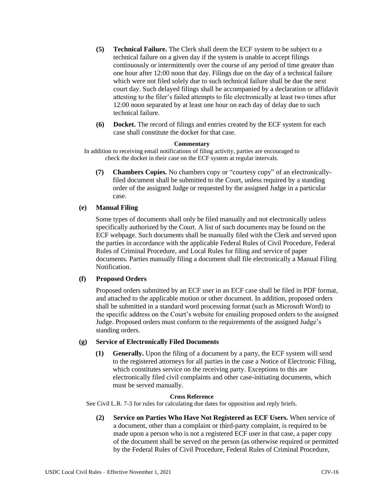- **(5) Technical Failure.** The Clerk shall deem the ECF system to be subject to a technical failure on a given day if the system is unable to accept filings continuously or intermittently over the course of any period of time greater than one hour after 12:00 noon that day. Filings due on the day of a technical failure which were not filed solely due to such technical failure shall be due the next court day. Such delayed filings shall be accompanied by a declaration or affidavit attesting to the filer's failed attempts to file electronically at least two times after 12:00 noon separated by at least one hour on each day of delay due to such technical failure.
- **(6) Docket.** The record of filings and entries created by the ECF system for each case shall constitute the docket for that case.

#### **Commentary**

In addition to receiving email notifications of filing activity, parties are encouraged to check the docket in their case on the ECF system at regular intervals.

**(7) Chambers Copies.** No chambers copy or "courtesy copy" of an electronicallyfiled document shall be submitted to the Court, unless required by a standing order of the assigned Judge or requested by the assigned Judge in a particular case.

#### <span id="page-24-0"></span>**(e) Manual Filing**

Some types of documents shall only be filed manually and not electronically unless specifically authorized by the Court. A list of such documents may be found on the ECF webpage. Such documents shall be manually filed with the Clerk and served upon the parties in accordance with the applicable Federal Rules of Civil Procedure, Federal Rules of Criminal Procedure, and Local Rules for filing and service of paper documents. Parties manually filing a document shall file electronically a Manual Filing Notification.

#### <span id="page-24-1"></span>**(f) Proposed Orders**

Proposed orders submitted by an ECF user in an ECF case shall be filed in PDF format, and attached to the applicable motion or other document. In addition, proposed orders shall be submitted in a standard word processing format (such as Microsoft Word) to the specific address on the Court's website for emailing proposed orders to the assigned Judge. Proposed orders must conform to the requirements of the assigned Judge's standing orders.

### <span id="page-24-2"></span>**(g) Service of Electronically Filed Documents**

**(1) Generally.** Upon the filing of a document by a party, the ECF system will send to the registered attorneys for all parties in the case a Notice of Electronic Filing, which constitutes service on the receiving party. Exceptions to this are electronically filed civil complaints and other case-initiating documents, which must be served manually.

#### **Cross Reference**

See Civil L.R. 7-3 for rules for calculating due dates for opposition and reply briefs.

**(2) Service on Parties Who Have Not Registered as ECF Users.** When service of a document, other than a complaint or third-party complaint, is required to be made upon a person who is not a registered ECF user in that case, a paper copy of the document shall be served on the person (as otherwise required or permitted by the Federal Rules of Civil Procedure, Federal Rules of Criminal Procedure,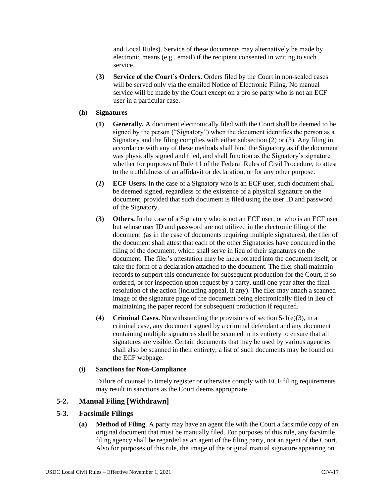and Local Rules). Service of these documents may alternatively be made by electronic means (e.g., email) if the recipient consented in writing to such service.

**(3) Service of the Court's Orders.** Orders filed by the Court in non-sealed cases will be served only via the emailed Notice of Electronic Filing. No manual service will be made by the Court except on a pro se party who is not an ECF user in a particular case.

## <span id="page-25-0"></span>**(h) Signatures**

- **(1) Generally.** A document electronically filed with the Court shall be deemed to be signed by the person ("Signatory") when the document identifies the person as a Signatory and the filing complies with either subsection (2) or (3). Any filing in accordance with any of these methods shall bind the Signatory as if the document was physically signed and filed, and shall function as the Signatory's signature whether for purposes of Rule 11 of the Federal Rules of Civil Procedure, to attest to the truthfulness of an affidavit or declaration, or for any other purpose.
- **(2) ECF Users.** In the case of a Signatory who is an ECF user, such document shall be deemed signed, regardless of the existence of a physical signature on the document, provided that such document is filed using the user ID and password of the Signatory.
- **(3) Others.** In the case of a Signatory who is not an ECF user, or who is an ECF user but whose user ID and password are not utilized in the electronic filing of the document (as in the case of documents requiring multiple signatures), the filer of the document shall attest that each of the other Signatories have concurred in the filing of the document, which shall serve in lieu of their signatures on the document. The filer's attestation may be incorporated into the document itself, or take the form of a declaration attached to the document. The filer shall maintain records to support this concurrence for subsequent production for the Court, if so ordered, or for inspection upon request by a party, until one year after the final resolution of the action (including appeal, if any). The filer may attach a scanned image of the signature page of the document being electronically filed in lieu of maintaining the paper record for subsequent production if required.
- **(4) Criminal Cases.** Notwithstanding the provisions of section 5-1(e)(3), in a criminal case, any document signed by a criminal defendant and any document containing multiple signatures shall be scanned in its entirety to ensure that all signatures are visible. Certain documents that may be used by various agencies shall also be scanned in their entirety; a list of such documents may be found on the ECF webpage.

## **(i) Sanctions for Non-Compliance**

Failure of counsel to timely register or otherwise comply with ECF filing requirements may result in sanctions as the Court deems appropriate.

## <span id="page-25-2"></span><span id="page-25-1"></span>**5-2. Manual Filing [Withdrawn]**

## <span id="page-25-4"></span><span id="page-25-3"></span>**5-3. Facsimile Filings**

**(a) Method of Filing**. A party may have an agent file with the Court a facsimile copy of an original document that must be manually filed. For purposes of this rule, any facsimile filing agency shall be regarded as an agent of the filing party, not an agent of the Court. Also for purposes of this rule, the image of the original manual signature appearing on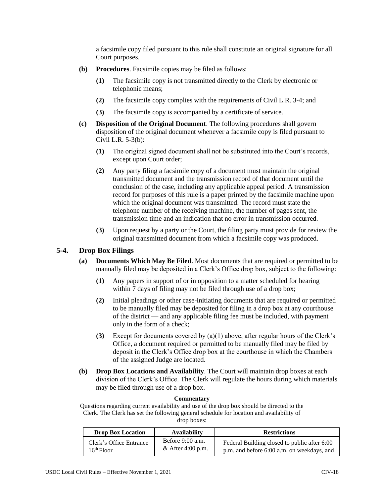a facsimile copy filed pursuant to this rule shall constitute an original signature for all Court purposes.

- <span id="page-26-0"></span>**(b) Procedures**. Facsimile copies may be filed as follows:
	- **(1)** The facsimile copy is not transmitted directly to the Clerk by electronic or telephonic means;
	- **(2)** The facsimile copy complies with the requirements of Civil L.R. 3-4; and
	- **(3)** The facsimile copy is accompanied by a certificate of service.
- <span id="page-26-1"></span>**(c) Disposition of the Original Document**. The following procedures shall govern disposition of the original document whenever a facsimile copy is filed pursuant to Civil L.R. 5-3(b):
	- **(1)** The original signed document shall not be substituted into the Court's records, except upon Court order;
	- **(2)** Any party filing a facsimile copy of a document must maintain the original transmitted document and the transmission record of that document until the conclusion of the case, including any applicable appeal period. A transmission record for purposes of this rule is a paper printed by the facsimile machine upon which the original document was transmitted. The record must state the telephone number of the receiving machine, the number of pages sent, the transmission time and an indication that no error in transmission occurred.
	- **(3)** Upon request by a party or the Court, the filing party must provide for review the original transmitted document from which a facsimile copy was produced.

## <span id="page-26-3"></span><span id="page-26-2"></span>**5-4. Drop Box Filings**

- **(a) Documents Which May Be Filed**. Most documents that are required or permitted to be manually filed may be deposited in a Clerk's Office drop box, subject to the following:
	- **(1)** Any papers in support of or in opposition to a matter scheduled for hearing within 7 days of filing may not be filed through use of a drop box;
	- **(2)** Initial pleadings or other case-initiating documents that are required or permitted to be manually filed may be deposited for filing in a drop box at any courthouse of the district — and any applicable filing fee must be included, with payment only in the form of a check;
	- **(3)** Except for documents covered by (a)(1) above, after regular hours of the Clerk's Office, a document required or permitted to be manually filed may be filed by deposit in the Clerk's Office drop box at the courthouse in which the Chambers of the assigned Judge are located.
- <span id="page-26-4"></span>**(b) Drop Box Locations and Availability**. The Court will maintain drop boxes at each division of the Clerk's Office. The Clerk will regulate the hours during which materials may be filed through use of a drop box.

#### **Commentary**

Questions regarding current availability and use of the drop box should be directed to the Clerk. The Clerk has set the following general schedule for location and availability of drop boxes:

| <b>Drop Box Location</b> | <b>Availability</b> | <b>Restrictions</b>                          |
|--------------------------|---------------------|----------------------------------------------|
| Clerk's Office Entrance  | Before $9:00$ a.m.  | Federal Building closed to public after 6:00 |
| $16th$ Floor             | $&$ After 4:00 p.m. | p.m. and before 6:00 a.m. on weekdays, and   |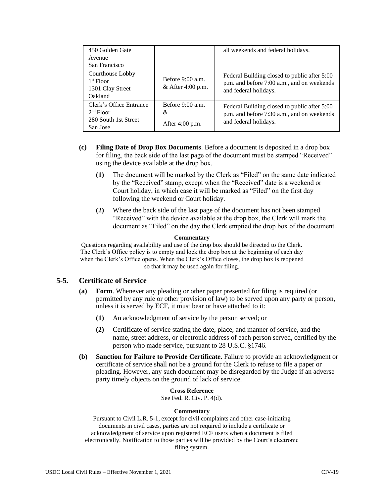| 450 Golden Gate<br>Avenue<br>San Francisco                                 |                                              | all weekends and federal holidays.                                                                                  |
|----------------------------------------------------------------------------|----------------------------------------------|---------------------------------------------------------------------------------------------------------------------|
| Courthouse Lobby<br>$1st$ Floor<br>1301 Clay Street<br>Oakland             | Before 9:00 a.m.<br>$&$ After 4:00 p.m.      | Federal Building closed to public after 5:00<br>p.m. and before 7:00 a.m., and on weekends<br>and federal holidays. |
| Clerk's Office Entrance<br>$2nd$ Floor<br>280 South 1st Street<br>San Jose | Before $9:00$ a.m.<br>&<br>After $4:00$ p.m. | Federal Building closed to public after 5:00<br>p.m. and before 7:30 a.m., and on weekends<br>and federal holidays. |

- <span id="page-27-0"></span>**(c) Filing Date of Drop Box Documents**. Before a document is deposited in a drop box for filing, the back side of the last page of the document must be stamped "Received" using the device available at the drop box.
	- **(1)** The document will be marked by the Clerk as "Filed" on the same date indicated by the "Received" stamp, except when the "Received" date is a weekend or Court holiday, in which case it will be marked as "Filed" on the first day following the weekend or Court holiday.
	- **(2)** Where the back side of the last page of the document has not been stamped "Received" with the device available at the drop box, the Clerk will mark the document as "Filed" on the day the Clerk emptied the drop box of the document.

#### **Commentary**

Questions regarding availability and use of the drop box should be directed to the Clerk. The Clerk's Office policy is to empty and lock the drop box at the beginning of each day when the Clerk's Office opens. When the Clerk's Office closes, the drop box is reopened so that it may be used again for filing.

## <span id="page-27-2"></span><span id="page-27-1"></span>**5-5. Certificate of Service**

- **(a) Form**. Whenever any pleading or other paper presented for filing is required (or permitted by any rule or other provision of law) to be served upon any party or person, unless it is served by ECF, it must bear or have attached to it:
	- **(1)** An acknowledgment of service by the person served; or
	- **(2)** Certificate of service stating the date, place, and manner of service, and the name, street address, or electronic address of each person served, certified by the person who made service, pursuant to 28 U.S.C. §1746.
- <span id="page-27-3"></span>**(b) Sanction for Failure to Provide Certificate**. Failure to provide an acknowledgment or certificate of service shall not be a ground for the Clerk to refuse to file a paper or pleading. However, any such document may be disregarded by the Judge if an adverse party timely objects on the ground of lack of service.

#### **Cross Reference**

See Fed. R. Civ. P. 4(d).

#### **Commentary**

Pursuant to Civil L.R. 5-1, except for civil complaints and other case-initiating documents in civil cases, parties are not required to include a certificate or acknowledgment of service upon registered ECF users when a document is filed electronically. Notification to those parties will be provided by the Court's electronic filing system.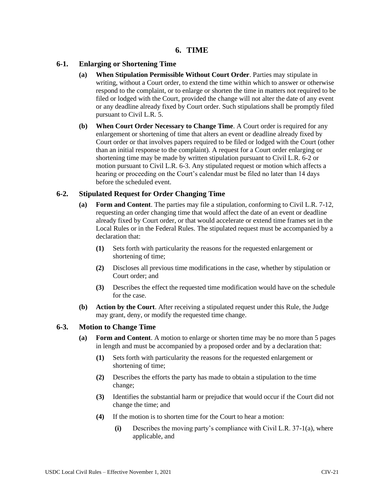## **6. TIME**

## <span id="page-29-2"></span><span id="page-29-1"></span><span id="page-29-0"></span>**6-1. Enlarging or Shortening Time**

- **(a) When Stipulation Permissible Without Court Order**. Parties may stipulate in writing, without a Court order, to extend the time within which to answer or otherwise respond to the complaint, or to enlarge or shorten the time in matters not required to be filed or lodged with the Court, provided the change will not alter the date of any event or any deadline already fixed by Court order. Such stipulations shall be promptly filed pursuant to Civil L.R. 5.
- <span id="page-29-3"></span>**(b) When Court Order Necessary to Change Time**. A Court order is required for any enlargement or shortening of time that alters an event or deadline already fixed by Court order or that involves papers required to be filed or lodged with the Court (other than an initial response to the complaint). A request for a Court order enlarging or shortening time may be made by written stipulation pursuant to Civil L.R. 6-2 or motion pursuant to Civil L.R. 6-3. Any stipulated request or motion which affects a hearing or proceeding on the Court's calendar must be filed no later than 14 days before the scheduled event.

## <span id="page-29-5"></span><span id="page-29-4"></span>**6-2. Stipulated Request for Order Changing Time**

- **(a) Form and Content**. The parties may file a stipulation, conforming to Civil L.R. 7-12, requesting an order changing time that would affect the date of an event or deadline already fixed by Court order, or that would accelerate or extend time frames set in the Local Rules or in the Federal Rules. The stipulated request must be accompanied by a declaration that:
	- **(1)** Sets forth with particularity the reasons for the requested enlargement or shortening of time;
	- **(2)** Discloses all previous time modifications in the case, whether by stipulation or Court order; and
	- **(3)** Describes the effect the requested time modification would have on the schedule for the case.
- **(b) Action by the Court**. After receiving a stipulated request under this Rule, the Judge may grant, deny, or modify the requested time change.

## <span id="page-29-8"></span><span id="page-29-7"></span><span id="page-29-6"></span>**6-3. Motion to Change Time**

- **(a) Form and Content**. A motion to enlarge or shorten time may be no more than 5 pages in length and must be accompanied by a proposed order and by a declaration that:
	- **(1)** Sets forth with particularity the reasons for the requested enlargement or shortening of time;
	- **(2)** Describes the efforts the party has made to obtain a stipulation to the time change;
	- **(3)** Identifies the substantial harm or prejudice that would occur if the Court did not change the time; and
	- **(4)** If the motion is to shorten time for the Court to hear a motion:
		- **(i)** Describes the moving party's compliance with Civil L.R. 37-1(a), where applicable, and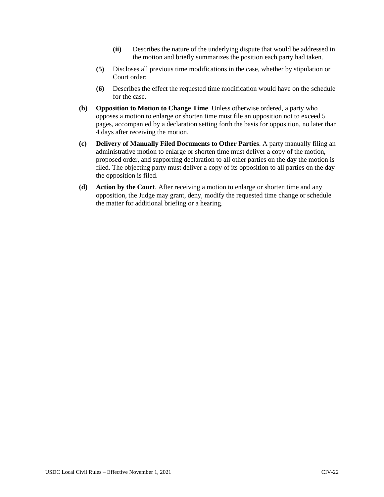- **(ii)** Describes the nature of the underlying dispute that would be addressed in the motion and briefly summarizes the position each party had taken.
- **(5)** Discloses all previous time modifications in the case, whether by stipulation or Court order;
- **(6)** Describes the effect the requested time modification would have on the schedule for the case.
- <span id="page-30-0"></span>**(b) Opposition to Motion to Change Time**. Unless otherwise ordered, a party who opposes a motion to enlarge or shorten time must file an opposition not to exceed 5 pages, accompanied by a declaration setting forth the basis for opposition, no later than 4 days after receiving the motion.
- <span id="page-30-1"></span>**(c) Delivery of Manually Filed Documents to Other Parties**. A party manually filing an administrative motion to enlarge or shorten time must deliver a copy of the motion, proposed order, and supporting declaration to all other parties on the day the motion is filed. The objecting party must deliver a copy of its opposition to all parties on the day the opposition is filed.
- <span id="page-30-2"></span>**(d) Action by the Court**. After receiving a motion to enlarge or shorten time and any opposition, the Judge may grant, deny, modify the requested time change or schedule the matter for additional briefing or a hearing.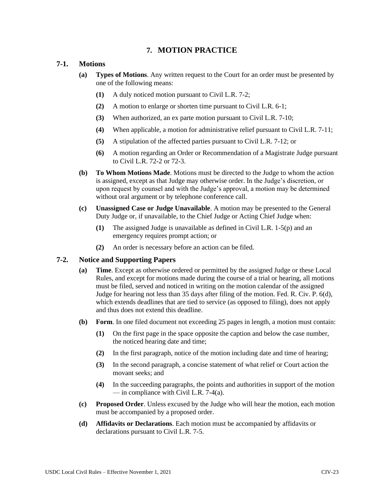## **7. MOTION PRACTICE**

## <span id="page-31-2"></span><span id="page-31-1"></span><span id="page-31-0"></span>**7-1. Motions**

- **(a) Types of Motions**. Any written request to the Court for an order must be presented by one of the following means:
	- **(1)** A duly noticed motion pursuant to Civil L.R. 7-2;
	- **(2)** A motion to enlarge or shorten time pursuant to Civil L.R. 6-1;
	- **(3)** When authorized, an ex parte motion pursuant to Civil L.R. 7-10;
	- **(4)** When applicable, a motion for administrative relief pursuant to Civil L.R. 7-11;
	- **(5)** A stipulation of the affected parties pursuant to Civil L.R. 7-12; or
	- **(6)** A motion regarding an Order or Recommendation of a Magistrate Judge pursuant to Civil L.R. 72-2 or 72-3.
- <span id="page-31-3"></span>**(b) To Whom Motions Made**. Motions must be directed to the Judge to whom the action is assigned, except as that Judge may otherwise order. In the Judge's discretion, or upon request by counsel and with the Judge's approval, a motion may be determined without oral argument or by telephone conference call.
- <span id="page-31-4"></span>**(c) Unassigned Case or Judge Unavailable**. A motion may be presented to the General Duty Judge or, if unavailable, to the Chief Judge or Acting Chief Judge when:
	- **(1)** The assigned Judge is unavailable as defined in Civil L.R. 1-5(p) and an emergency requires prompt action; or
	- **(2)** An order is necessary before an action can be filed.

## <span id="page-31-6"></span><span id="page-31-5"></span>**7-2. Notice and Supporting Papers**

- **(a) Time**. Except as otherwise ordered or permitted by the assigned Judge or these Local Rules, and except for motions made during the course of a trial or hearing, all motions must be filed, served and noticed in writing on the motion calendar of the assigned Judge for hearing not less than 35 days after filing of the motion. Fed. R. Civ. P. 6(d), which extends deadlines that are tied to service (as opposed to filing), does not apply and thus does not extend this deadline.
- <span id="page-31-7"></span>**(b) Form**. In one filed document not exceeding 25 pages in length, a motion must contain:
	- **(1)** On the first page in the space opposite the caption and below the case number, the noticed hearing date and time;
	- **(2)** In the first paragraph, notice of the motion including date and time of hearing;
	- **(3)** In the second paragraph, a concise statement of what relief or Court action the movant seeks; and
	- **(4)** In the succeeding paragraphs, the points and authorities in support of the motion — in compliance with Civil L.R. 7-4(a).
- <span id="page-31-8"></span>**(c) Proposed Order**. Unless excused by the Judge who will hear the motion, each motion must be accompanied by a proposed order.
- <span id="page-31-9"></span>**(d) Affidavits or Declarations**. Each motion must be accompanied by affidavits or declarations pursuant to Civil L.R. 7-5.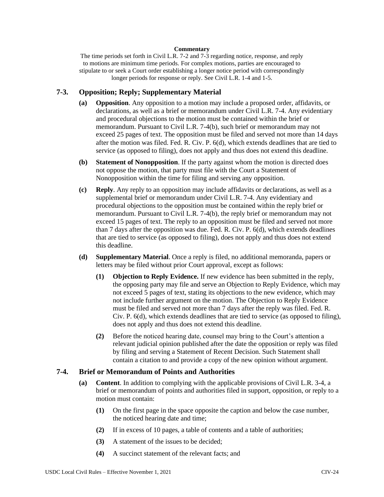#### **Commentary**

The time periods set forth in Civil L.R. 7-2 and 7-3 regarding notice, response, and reply to motions are minimum time periods. For complex motions, parties are encouraged to stipulate to or seek a Court order establishing a longer notice period with correspondingly longer periods for response or reply. See Civil L.R. 1-4 and 1-5.

## <span id="page-32-1"></span><span id="page-32-0"></span>**7-3. Opposition; Reply; Supplementary Material**

- **(a) Opposition**. Any opposition to a motion may include a proposed order, affidavits, or declarations, as well as a brief or memorandum under Civil L.R. 7-4. Any evidentiary and procedural objections to the motion must be contained within the brief or memorandum. Pursuant to Civil L.R. 7-4(b), such brief or memorandum may not exceed 25 pages of text. The opposition must be filed and served not more than 14 days after the motion was filed. Fed. R. Civ. P. 6(d), which extends deadlines that are tied to service (as opposed to filing), does not apply and thus does not extend this deadline.
- <span id="page-32-2"></span>**(b) Statement of Nonopposition**. If the party against whom the motion is directed does not oppose the motion, that party must file with the Court a Statement of Nonopposition within the time for filing and serving any opposition.
- <span id="page-32-3"></span>**(c) Reply**. Any reply to an opposition may include affidavits or declarations, as well as a supplemental brief or memorandum under Civil L.R. 7-4. Any evidentiary and procedural objections to the opposition must be contained within the reply brief or memorandum. Pursuant to Civil L.R. 7-4(b), the reply brief or memorandum may not exceed 15 pages of text. The reply to an opposition must be filed and served not more than 7 days after the opposition was due. Fed. R. Civ. P. 6(d), which extends deadlines that are tied to service (as opposed to filing), does not apply and thus does not extend this deadline.
- <span id="page-32-4"></span>**(d) Supplementary Material**. Once a reply is filed, no additional memoranda, papers or letters may be filed without prior Court approval, except as follows:
	- **(1) Objection to Reply Evidence.** If new evidence has been submitted in the reply, the opposing party may file and serve an Objection to Reply Evidence, which may not exceed 5 pages of text, stating its objections to the new evidence, which may not include further argument on the motion. The Objection to Reply Evidence must be filed and served not more than 7 days after the reply was filed. Fed. R. Civ. P. 6(d), which extends deadlines that are tied to service (as opposed to filing), does not apply and thus does not extend this deadline.
	- **(2)** Before the noticed hearing date, counsel may bring to the Court's attention a relevant judicial opinion published after the date the opposition or reply was filed by filing and serving a Statement of Recent Decision. Such Statement shall contain a citation to and provide a copy of the new opinion without argument.

#### <span id="page-32-6"></span><span id="page-32-5"></span>**7-4. Brief or Memorandum of Points and Authorities**

- **(a) Content**. In addition to complying with the applicable provisions of Civil L.R. 3-4, a brief or memorandum of points and authorities filed in support, opposition, or reply to a motion must contain:
	- **(1)** On the first page in the space opposite the caption and below the case number, the noticed hearing date and time;
	- **(2)** If in excess of 10 pages, a table of contents and a table of authorities;
	- **(3)** A statement of the issues to be decided;
	- **(4)** A succinct statement of the relevant facts; and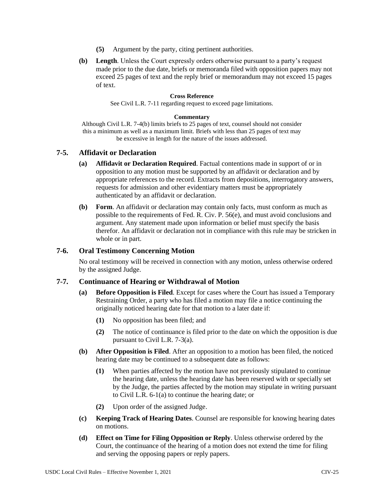- **(5)** Argument by the party, citing pertinent authorities.
- <span id="page-33-0"></span>**(b) Length**. Unless the Court expressly orders otherwise pursuant to a party's request made prior to the due date, briefs or memoranda filed with opposition papers may not exceed 25 pages of text and the reply brief or memorandum may not exceed 15 pages of text.

#### **Cross Reference**

See Civil L.R. 7-11 regarding request to exceed page limitations.

#### **Commentary**

Although Civil L.R. 7-4(b) limits briefs to 25 pages of text, counsel should not consider this a minimum as well as a maximum limit. Briefs with less than 25 pages of text may be excessive in length for the nature of the issues addressed.

## <span id="page-33-2"></span><span id="page-33-1"></span>**7-5. Affidavit or Declaration**

- **(a) Affidavit or Declaration Required**. Factual contentions made in support of or in opposition to any motion must be supported by an affidavit or declaration and by appropriate references to the record. Extracts from depositions, interrogatory answers, requests for admission and other evidentiary matters must be appropriately authenticated by an affidavit or declaration.
- <span id="page-33-3"></span>**(b) Form**. An affidavit or declaration may contain only facts, must conform as much as possible to the requirements of Fed. R. Civ. P. 56(e), and must avoid conclusions and argument. Any statement made upon information or belief must specify the basis therefor. An affidavit or declaration not in compliance with this rule may be stricken in whole or in part.

### <span id="page-33-4"></span>**7-6. Oral Testimony Concerning Motion**

No oral testimony will be received in connection with any motion, unless otherwise ordered by the assigned Judge.

### <span id="page-33-6"></span><span id="page-33-5"></span>**7-7. Continuance of Hearing or Withdrawal of Motion**

- **(a) Before Opposition is Filed**. Except for cases where the Court has issued a Temporary Restraining Order, a party who has filed a motion may file a notice continuing the originally noticed hearing date for that motion to a later date if:
	- **(1)** No opposition has been filed; and
	- **(2)** The notice of continuance is filed prior to the date on which the opposition is due pursuant to Civil L.R. 7-3(a).
- <span id="page-33-7"></span>**(b) After Opposition is Filed**. After an opposition to a motion has been filed, the noticed hearing date may be continued to a subsequent date as follows:
	- **(1)** When parties affected by the motion have not previously stipulated to continue the hearing date, unless the hearing date has been reserved with or specially set by the Judge, the parties affected by the motion may stipulate in writing pursuant to Civil L.R. 6-1(a) to continue the hearing date; or
	- **(2)** Upon order of the assigned Judge.
- <span id="page-33-8"></span>**(c) Keeping Track of Hearing Dates**. Counsel are responsible for knowing hearing dates on motions.
- <span id="page-33-9"></span>**(d) Effect on Time for Filing Opposition or Reply**. Unless otherwise ordered by the Court, the continuance of the hearing of a motion does not extend the time for filing and serving the opposing papers or reply papers.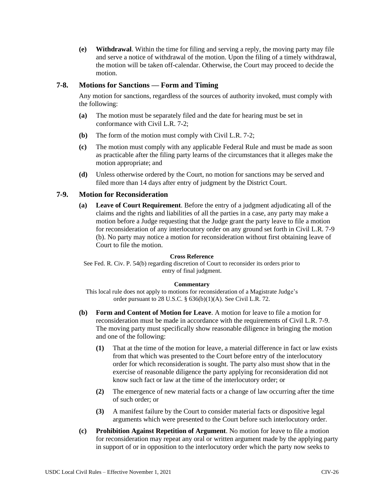<span id="page-34-0"></span>**(e) Withdrawal**. Within the time for filing and serving a reply, the moving party may file and serve a notice of withdrawal of the motion. Upon the filing of a timely withdrawal, the motion will be taken off-calendar. Otherwise, the Court may proceed to decide the motion.

## <span id="page-34-1"></span>**7-8. Motions for Sanctions — Form and Timing**

Any motion for sanctions, regardless of the sources of authority invoked, must comply with the following:

- **(a)** The motion must be separately filed and the date for hearing must be set in conformance with Civil L.R. 7-2;
- **(b)** The form of the motion must comply with Civil L.R. 7-2;
- **(c)** The motion must comply with any applicable Federal Rule and must be made as soon as practicable after the filing party learns of the circumstances that it alleges make the motion appropriate; and
- **(d)** Unless otherwise ordered by the Court, no motion for sanctions may be served and filed more than 14 days after entry of judgment by the District Court.

## <span id="page-34-3"></span><span id="page-34-2"></span>**7-9. Motion for Reconsideration**

**(a) Leave of Court Requirement**. Before the entry of a judgment adjudicating all of the claims and the rights and liabilities of all the parties in a case, any party may make a motion before a Judge requesting that the Judge grant the party leave to file a motion for reconsideration of any interlocutory order on any ground set forth in Civil L.R. 7-9 (b). No party may notice a motion for reconsideration without first obtaining leave of Court to file the motion.

### **Cross Reference**

See Fed. R. Civ. P. 54(b) regarding discretion of Court to reconsider its orders prior to entry of final judgment.

#### **Commentary**

This local rule does not apply to motions for reconsideration of a Magistrate Judge's order pursuant to 28 U.S.C. § 636(b)(1)(A). See Civil L.R. 72.

- <span id="page-34-4"></span>**(b) Form and Content of Motion for Leave**. A motion for leave to file a motion for reconsideration must be made in accordance with the requirements of Civil L.R. 7-9. The moving party must specifically show reasonable diligence in bringing the motion and one of the following:
	- **(1)** That at the time of the motion for leave, a material difference in fact or law exists from that which was presented to the Court before entry of the interlocutory order for which reconsideration is sought. The party also must show that in the exercise of reasonable diligence the party applying for reconsideration did not know such fact or law at the time of the interlocutory order; or
	- **(2)** The emergence of new material facts or a change of law occurring after the time of such order; or
	- **(3)** A manifest failure by the Court to consider material facts or dispositive legal arguments which were presented to the Court before such interlocutory order.
- <span id="page-34-5"></span>**(c) Prohibition Against Repetition of Argument**. No motion for leave to file a motion for reconsideration may repeat any oral or written argument made by the applying party in support of or in opposition to the interlocutory order which the party now seeks to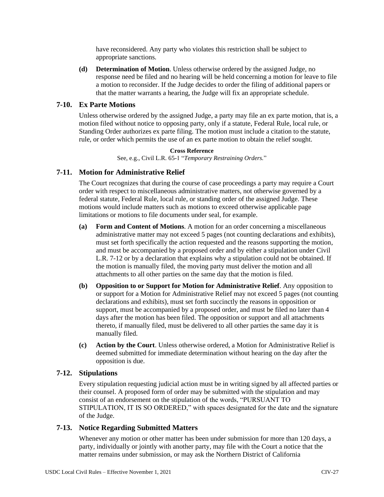have reconsidered. Any party who violates this restriction shall be subject to appropriate sanctions.

<span id="page-35-0"></span>**(d) Determination of Motion**. Unless otherwise ordered by the assigned Judge, no response need be filed and no hearing will be held concerning a motion for leave to file a motion to reconsider. If the Judge decides to order the filing of additional papers or that the matter warrants a hearing, the Judge will fix an appropriate schedule.

## <span id="page-35-1"></span>**7-10. Ex Parte Motions**

Unless otherwise ordered by the assigned Judge, a party may file an ex parte motion, that is, a motion filed without notice to opposing party, only if a statute, Federal Rule, local rule, or Standing Order authorizes ex parte filing. The motion must include a citation to the statute, rule, or order which permits the use of an ex parte motion to obtain the relief sought.

#### **Cross Reference**

See, e.g., Civil L.R. 65-1 "*Temporary Restraining Orders.*"

## <span id="page-35-2"></span>**7-11. Motion for Administrative Relief**

The Court recognizes that during the course of case proceedings a party may require a Court order with respect to miscellaneous administrative matters, not otherwise governed by a federal statute, Federal Rule, local rule, or standing order of the assigned Judge. These motions would include matters such as motions to exceed otherwise applicable page limitations or motions to file documents under seal, for example.

- <span id="page-35-3"></span>**(a) Form and Content of Motions**. A motion for an order concerning a miscellaneous administrative matter may not exceed 5 pages (not counting declarations and exhibits), must set forth specifically the action requested and the reasons supporting the motion, and must be accompanied by a proposed order and by either a stipulation under Civil L.R. 7-12 or by a declaration that explains why a stipulation could not be obtained. If the motion is manually filed, the moving party must deliver the motion and all attachments to all other parties on the same day that the motion is filed.
- <span id="page-35-4"></span>**(b) Opposition to or Support for Motion for Administrative Relief**. Any opposition to or support for a Motion for Administrative Relief may not exceed 5 pages (not counting declarations and exhibits), must set forth succinctly the reasons in opposition or support, must be accompanied by a proposed order, and must be filed no later than 4 days after the motion has been filed. The opposition or support and all attachments thereto, if manually filed, must be delivered to all other parties the same day it is manually filed.
- **(c) Action by the Court**. Unless otherwise ordered, a Motion for Administrative Relief is deemed submitted for immediate determination without hearing on the day after the opposition is due.

## <span id="page-35-6"></span><span id="page-35-5"></span>**7-12. Stipulations**

Every stipulation requesting judicial action must be in writing signed by all affected parties or their counsel. A proposed form of order may be submitted with the stipulation and may consist of an endorsement on the stipulation of the words, "PURSUANT TO STIPULATION, IT IS SO ORDERED," with spaces designated for the date and the signature of the Judge.

## <span id="page-35-7"></span>**7-13. Notice Regarding Submitted Matters**

Whenever any motion or other matter has been under submission for more than 120 days, a party, individually or jointly with another party, may file with the Court a notice that the matter remains under submission, or may ask the Northern District of California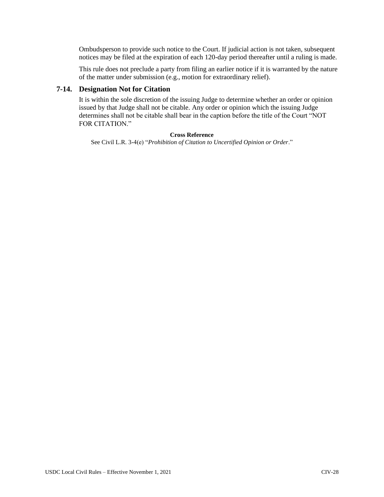Ombudsperson to provide such notice to the Court. If judicial action is not taken, subsequent notices may be filed at the expiration of each 120-day period thereafter until a ruling is made.

This rule does not preclude a party from filing an earlier notice if it is warranted by the nature of the matter under submission (e.g., motion for extraordinary relief).

#### **7-14. Designation Not for Citation**

It is within the sole discretion of the issuing Judge to determine whether an order or opinion issued by that Judge shall not be citable. Any order or opinion which the issuing Judge determines shall not be citable shall bear in the caption before the title of the Court "NOT FOR CITATION."

#### **Cross Reference**

See Civil L.R. 3-4(e) "*Prohibition of Citation to Uncertified Opinion or Order*."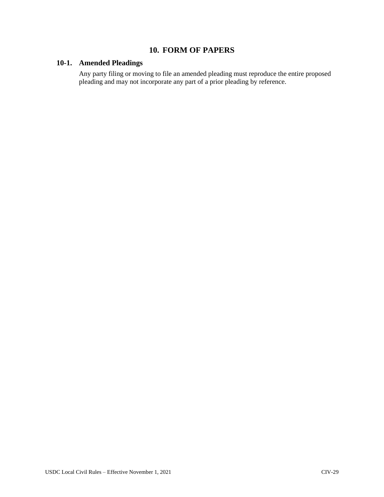# **10. FORM OF PAPERS**

# **10-1. Amended Pleadings**

Any party filing or moving to file an amended pleading must reproduce the entire proposed pleading and may not incorporate any part of a prior pleading by reference.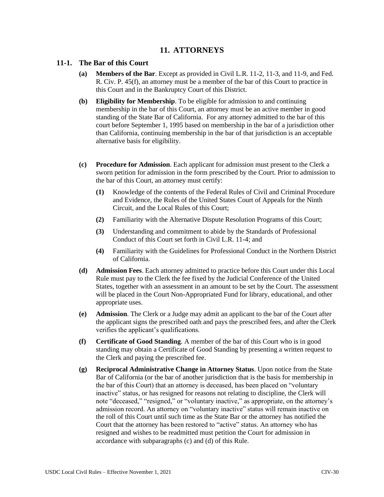# **11. ATTORNEYS**

## **11-1. The Bar of this Court**

- **(a) Members of the Bar**. Except as provided in Civil L.R. 11-2, 11-3, and 11-9, and Fed. R. Civ. P. 45(f), an attorney must be a member of the bar of this Court to practice in this Court and in the Bankruptcy Court of this District.
- **(b) Eligibility for Membership**. To be eligible for admission to and continuing membership in the bar of this Court, an attorney must be an active member in good standing of the State Bar of California. For any attorney admitted to the bar of this court before September 1, 1995 based on membership in the bar of a jurisdiction other than California, continuing membership in the bar of that jurisdiction is an acceptable alternative basis for eligibility.
- **(c) Procedure for Admission**. Each applicant for admission must present to the Clerk a sworn petition for admission in the form prescribed by the Court. Prior to admission to the bar of this Court, an attorney must certify:
	- **(1)** Knowledge of the contents of the Federal Rules of Civil and Criminal Procedure and Evidence, the Rules of the United States Court of Appeals for the Ninth Circuit, and the Local Rules of this Court;
	- **(2)** Familiarity with the Alternative Dispute Resolution Programs of this Court;
	- **(3)** Understanding and commitment to abide by the Standards of Professional Conduct of this Court set forth in Civil L.R. 11-4; and
	- **(4)** Familiarity with the Guidelines for Professional Conduct in the Northern District of California.
- **(d) Admission Fees**. Each attorney admitted to practice before this Court under this Local Rule must pay to the Clerk the fee fixed by the Judicial Conference of the United States, together with an assessment in an amount to be set by the Court. The assessment will be placed in the Court Non-Appropriated Fund for library, educational, and other appropriate uses.
- **(e) Admission**. The Clerk or a Judge may admit an applicant to the bar of the Court after the applicant signs the prescribed oath and pays the prescribed fees, and after the Clerk verifies the applicant's qualifications.
- **(f) Certificate of Good Standing**. A member of the bar of this Court who is in good standing may obtain a Certificate of Good Standing by presenting a written request to the Clerk and paying the prescribed fee.
- **(g) Reciprocal Administrative Change in Attorney Status**. Upon notice from the State Bar of California (or the bar of another jurisdiction that is the basis for membership in the bar of this Court) that an attorney is deceased, has been placed on "voluntary inactive" status, or has resigned for reasons not relating to discipline, the Clerk will note "deceased," "resigned," or "voluntary inactive," as appropriate, on the attorney's admission record. An attorney on "voluntary inactive" status will remain inactive on the roll of this Court until such time as the State Bar or the attorney has notified the Court that the attorney has been restored to "active" status. An attorney who has resigned and wishes to be readmitted must petition the Court for admission in accordance with subparagraphs (c) and (d) of this Rule.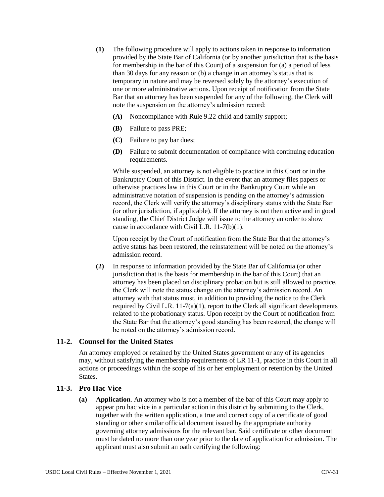- **(1)** The following procedure will apply to actions taken in response to information provided by the State Bar of California (or by another jurisdiction that is the basis for membership in the bar of this Court) of a suspension for (a) a period of less than 30 days for any reason or (b) a change in an attorney's status that is temporary in nature and may be reversed solely by the attorney's execution of one or more administrative actions. Upon receipt of notification from the State Bar that an attorney has been suspended for any of the following, the Clerk will note the suspension on the attorney's admission record:
	- **(A)** Noncompliance with Rule 9.22 child and family support;
	- **(B)** Failure to pass PRE;
	- **(C)** Failure to pay bar dues;
	- **(D)** Failure to submit documentation of compliance with continuing education requirements.

While suspended, an attorney is not eligible to practice in this Court or in the Bankruptcy Court of this District. In the event that an attorney files papers or otherwise practices law in this Court or in the Bankruptcy Court while an administrative notation of suspension is pending on the attorney's admission record, the Clerk will verify the attorney's disciplinary status with the State Bar (or other jurisdiction, if applicable). If the attorney is not then active and in good standing, the Chief District Judge will issue to the attorney an order to show cause in accordance with Civil L.R. 11-7(b)(1).

Upon receipt by the Court of notification from the State Bar that the attorney's active status has been restored, the reinstatement will be noted on the attorney's admission record.

**(2)** In response to information provided by the State Bar of California (or other jurisdiction that is the basis for membership in the bar of this Court) that an attorney has been placed on disciplinary probation but is still allowed to practice, the Clerk will note the status change on the attorney's admission record. An attorney with that status must, in addition to providing the notice to the Clerk required by Civil L.R. 11-7(a)(1), report to the Clerk all significant developments related to the probationary status. Upon receipt by the Court of notification from the State Bar that the attorney's good standing has been restored, the change will be noted on the attorney's admission record.

## **11-2. Counsel for the United States**

An attorney employed or retained by the United States government or any of its agencies may, without satisfying the membership requirements of LR 11-1, practice in this Court in all actions or proceedings within the scope of his or her employment or retention by the United States.

### **11-3. Pro Hac Vice**

**(a) Application**. An attorney who is not a member of the bar of this Court may apply to appear pro hac vice in a particular action in this district by submitting to the Clerk, together with the written application, a true and correct copy of a certificate of good standing or other similar official document issued by the appropriate authority governing attorney admissions for the relevant bar. Said certificate or other document must be dated no more than one year prior to the date of application for admission. The applicant must also submit an oath certifying the following: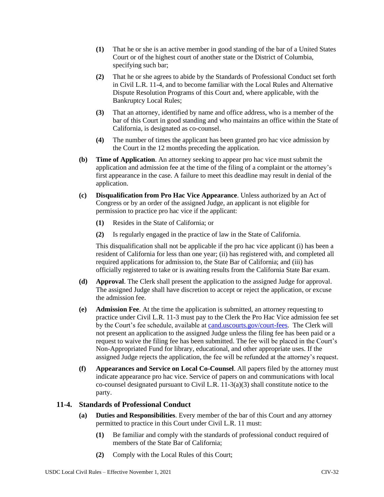- **(1)** That he or she is an active member in good standing of the bar of a United States Court or of the highest court of another state or the District of Columbia, specifying such bar;
- **(2)** That he or she agrees to abide by the Standards of Professional Conduct set forth in Civil L.R. 11-4, and to become familiar with the Local Rules and Alternative Dispute Resolution Programs of this Court and, where applicable, with the Bankruptcy Local Rules;
- **(3)** That an attorney, identified by name and office address, who is a member of the bar of this Court in good standing and who maintains an office within the State of California, is designated as co-counsel.
- **(4)** The number of times the applicant has been granted pro hac vice admission by the Court in the 12 months preceding the application.
- **(b) Time of Application**. An attorney seeking to appear pro hac vice must submit the application and admission fee at the time of the filing of a complaint or the attorney's first appearance in the case. A failure to meet this deadline may result in denial of the application.
- **(c) Disqualification from Pro Hac Vice Appearance**. Unless authorized by an Act of Congress or by an order of the assigned Judge, an applicant is not eligible for permission to practice pro hac vice if the applicant:
	- **(1)** Resides in the State of California; or
	- **(2)** Is regularly engaged in the practice of law in the State of California.

This disqualification shall not be applicable if the pro hac vice applicant (i) has been a resident of California for less than one year; (ii) has registered with, and completed all required applications for admission to, the State Bar of California; and (iii) has officially registered to take or is awaiting results from the California State Bar exam.

- **(d) Approval**. The Clerk shall present the application to the assigned Judge for approval. The assigned Judge shall have discretion to accept or reject the application, or excuse the admission fee.
- **(e) Admission Fee**. At the time the application is submitted, an attorney requesting to practice under Civil L.R. 11-3 must pay to the Clerk the Pro Hac Vice admission fee set by the Court's fee schedule, available at [cand.uscourts.gov/court-fees.](https://fedcourts-my.sharepoint.com/personal/william_noble_cand_uscourts_gov/Documents/cand.uscourts.gov/court-fees) The Clerk will not present an application to the assigned Judge unless the filing fee has been paid or a request to waive the filing fee has been submitted. The fee will be placed in the Court's Non-Appropriated Fund for library, educational, and other appropriate uses. If the assigned Judge rejects the application, the fee will be refunded at the attorney's request.
- **(f) Appearances and Service on Local Co-Counsel**. All papers filed by the attorney must indicate appearance pro hac vice. Service of papers on and communications with local co-counsel designated pursuant to Civil L.R.  $11-3(a)(3)$  shall constitute notice to the party.

# **11-4. Standards of Professional Conduct**

- **(a) Duties and Responsibilities**. Every member of the bar of this Court and any attorney permitted to practice in this Court under Civil L.R. 11 must:
	- **(1)** Be familiar and comply with the standards of professional conduct required of members of the State Bar of California;
	- **(2)** Comply with the Local Rules of this Court;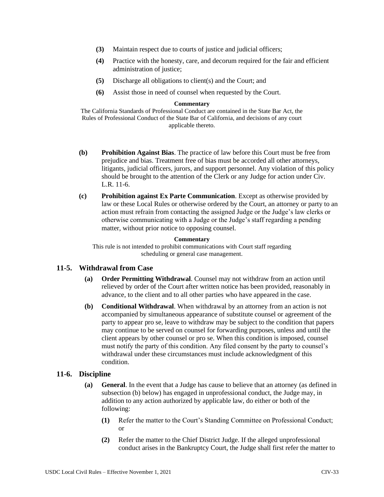- **(3)** Maintain respect due to courts of justice and judicial officers;
- **(4)** Practice with the honesty, care, and decorum required for the fair and efficient administration of justice;
- **(5)** Discharge all obligations to client(s) and the Court; and
- **(6)** Assist those in need of counsel when requested by the Court.

#### **Commentary**

The California Standards of Professional Conduct are contained in the State Bar Act, the Rules of Professional Conduct of the State Bar of California, and decisions of any court applicable thereto.

- **(b) Prohibition Against Bias**. The practice of law before this Court must be free from prejudice and bias. Treatment free of bias must be accorded all other attorneys, litigants, judicial officers, jurors, and support personnel. Any violation of this policy should be brought to the attention of the Clerk or any Judge for action under Civ. L.R. 11-6.
- **(c) Prohibition against Ex Parte Communication**. Except as otherwise provided by law or these Local Rules or otherwise ordered by the Court, an attorney or party to an action must refrain from contacting the assigned Judge or the Judge's law clerks or otherwise communicating with a Judge or the Judge's staff regarding a pending matter, without prior notice to opposing counsel.

#### **Commentary**

This rule is not intended to prohibit communications with Court staff regarding scheduling or general case management.

### **11-5. Withdrawal from Case**

- **(a) Order Permitting Withdrawal**. Counsel may not withdraw from an action until relieved by order of the Court after written notice has been provided, reasonably in advance, to the client and to all other parties who have appeared in the case.
- **(b) Conditional Withdrawal**. When withdrawal by an attorney from an action is not accompanied by simultaneous appearance of substitute counsel or agreement of the party to appear pro se, leave to withdraw may be subject to the condition that papers may continue to be served on counsel for forwarding purposes, unless and until the client appears by other counsel or pro se. When this condition is imposed, counsel must notify the party of this condition. Any filed consent by the party to counsel's withdrawal under these circumstances must include acknowledgment of this condition.

### **11-6. Discipline**

- **(a) General**. In the event that a Judge has cause to believe that an attorney (as defined in subsection (b) below) has engaged in unprofessional conduct, the Judge may, in addition to any action authorized by applicable law, do either or both of the following:
	- **(1)** Refer the matter to the Court's Standing Committee on Professional Conduct; or
	- **(2)** Refer the matter to the Chief District Judge. If the alleged unprofessional conduct arises in the Bankruptcy Court, the Judge shall first refer the matter to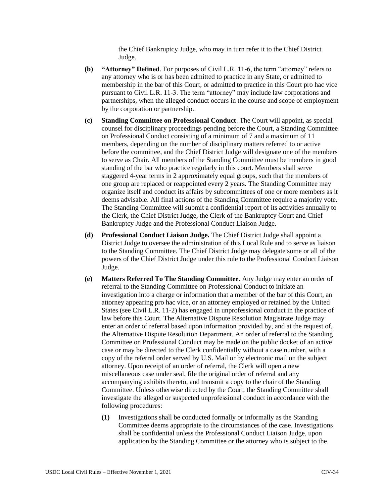the Chief Bankruptcy Judge, who may in turn refer it to the Chief District Judge.

- **(b) "Attorney" Defined**. For purposes of Civil L.R. 11-6, the term "attorney" refers to any attorney who is or has been admitted to practice in any State, or admitted to membership in the bar of this Court, or admitted to practice in this Court pro hac vice pursuant to Civil L.R. 11-3. The term "attorney" may include law corporations and partnerships, when the alleged conduct occurs in the course and scope of employment by the corporation or partnership.
- **(c) Standing Committee on Professional Conduct**. The Court will appoint, as special counsel for disciplinary proceedings pending before the Court, a Standing Committee on Professional Conduct consisting of a minimum of 7 and a maximum of 11 members, depending on the number of disciplinary matters referred to or active before the committee, and the Chief District Judge will designate one of the members to serve as Chair. All members of the Standing Committee must be members in good standing of the bar who practice regularly in this court. Members shall serve staggered 4-year terms in 2 approximately equal groups, such that the members of one group are replaced or reappointed every 2 years. The Standing Committee may organize itself and conduct its affairs by subcommittees of one or more members as it deems advisable. All final actions of the Standing Committee require a majority vote. The Standing Committee will submit a confidential report of its activities annually to the Clerk, the Chief District Judge, the Clerk of the Bankruptcy Court and Chief Bankruptcy Judge and the Professional Conduct Liaison Judge.
- **(d) Professional Conduct Liaison Judge.** The Chief District Judge shall appoint a District Judge to oversee the administration of this Local Rule and to serve as liaison to the Standing Committee. The Chief District Judge may delegate some or all of the powers of the Chief District Judge under this rule to the Professional Conduct Liaison Judge.
- **(e) Matters Referred To The Standing Committee**. Any Judge may enter an order of referral to the Standing Committee on Professional Conduct to initiate an investigation into a charge or information that a member of the bar of this Court, an attorney appearing pro hac vice, or an attorney employed or retained by the United States (see Civil L.R. 11-2) has engaged in unprofessional conduct in the practice of law before this Court. The Alternative Dispute Resolution Magistrate Judge may enter an order of referral based upon information provided by, and at the request of, the Alternative Dispute Resolution Department. An order of referral to the Standing Committee on Professional Conduct may be made on the public docket of an active case or may be directed to the Clerk confidentially without a case number, with a copy of the referral order served by U.S. Mail or by electronic mail on the subject attorney. Upon receipt of an order of referral, the Clerk will open a new miscellaneous case under seal, file the original order of referral and any accompanying exhibits thereto, and transmit a copy to the chair of the Standing Committee. Unless otherwise directed by the Court, the Standing Committee shall investigate the alleged or suspected unprofessional conduct in accordance with the following procedures:
	- **(1)** Investigations shall be conducted formally or informally as the Standing Committee deems appropriate to the circumstances of the case. Investigations shall be confidential unless the Professional Conduct Liaison Judge, upon application by the Standing Committee or the attorney who is subject to the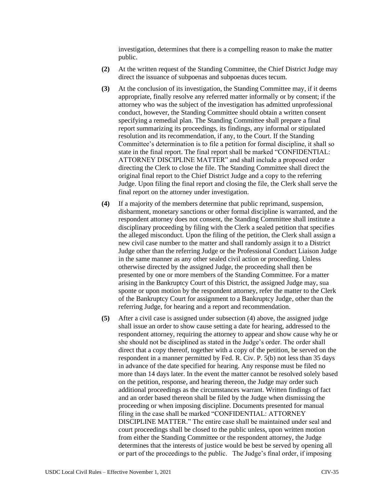investigation, determines that there is a compelling reason to make the matter public.

- **(2)** At the written request of the Standing Committee, the Chief District Judge may direct the issuance of subpoenas and subpoenas duces tecum.
- **(3)** At the conclusion of its investigation, the Standing Committee may, if it deems appropriate, finally resolve any referred matter informally or by consent; if the attorney who was the subject of the investigation has admitted unprofessional conduct, however, the Standing Committee should obtain a written consent specifying a remedial plan. The Standing Committee shall prepare a final report summarizing its proceedings, its findings, any informal or stipulated resolution and its recommendation, if any, to the Court. If the Standing Committee's determination is to file a petition for formal discipline, it shall so state in the final report. The final report shall be marked "CONFIDENTIAL: ATTORNEY DISCIPLINE MATTER" and shall include a proposed order directing the Clerk to close the file. The Standing Committee shall direct the original final report to the Chief District Judge and a copy to the referring Judge. Upon filing the final report and closing the file, the Clerk shall serve the final report on the attorney under investigation.
- **(4)** If a majority of the members determine that public reprimand, suspension, disbarment, monetary sanctions or other formal discipline is warranted, and the respondent attorney does not consent, the Standing Committee shall institute a disciplinary proceeding by filing with the Clerk a sealed petition that specifies the alleged misconduct. Upon the filing of the petition, the Clerk shall assign a new civil case number to the matter and shall randomly assign it to a District Judge other than the referring Judge or the Professional Conduct Liaison Judge in the same manner as any other sealed civil action or proceeding. Unless otherwise directed by the assigned Judge, the proceeding shall then be presented by one or more members of the Standing Committee. For a matter arising in the Bankruptcy Court of this District, the assigned Judge may, sua sponte or upon motion by the respondent attorney, refer the matter to the Clerk of the Bankruptcy Court for assignment to a Bankruptcy Judge, other than the referring Judge, for hearing and a report and recommendation.
- **(5)** After a civil case is assigned under subsection (4) above, the assigned judge shall issue an order to show cause setting a date for hearing, addressed to the respondent attorney, requiring the attorney to appear and show cause why he or she should not be disciplined as stated in the Judge's order. The order shall direct that a copy thereof, together with a copy of the petition, be served on the respondent in a manner permitted by Fed. R. Civ. P. 5(b) not less than 35 days in advance of the date specified for hearing. Any response must be filed no more than 14 days later. In the event the matter cannot be resolved solely based on the petition, response, and hearing thereon, the Judge may order such additional proceedings as the circumstances warrant. Written findings of fact and an order based thereon shall be filed by the Judge when dismissing the proceeding or when imposing discipline. Documents presented for manual filing in the case shall be marked "CONFIDENTIAL: ATTORNEY DISCIPLINE MATTER." The entire case shall be maintained under seal and court proceedings shall be closed to the public unless, upon written motion from either the Standing Committee or the respondent attorney, the Judge determines that the interests of justice would be best be served by opening all or part of the proceedings to the public. The Judge's final order, if imposing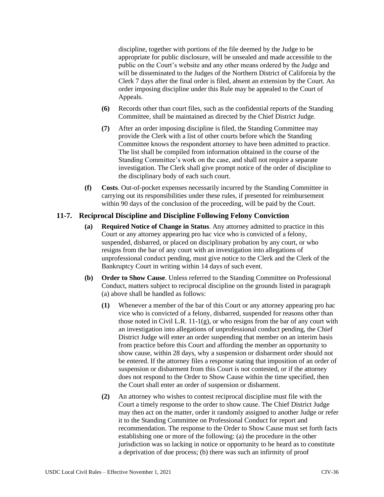discipline, together with portions of the file deemed by the Judge to be appropriate for public disclosure, will be unsealed and made accessible to the public on the Court's website and any other means ordered by the Judge and will be disseminated to the Judges of the Northern District of California by the Clerk 7 days after the final order is filed, absent an extension by the Court. An order imposing discipline under this Rule may be appealed to the Court of Appeals.

- **(6)** Records other than court files, such as the confidential reports of the Standing Committee, shall be maintained as directed by the Chief District Judge.
- **(7)** After an order imposing discipline is filed, the Standing Committee may provide the Clerk with a list of other courts before which the Standing Committee knows the respondent attorney to have been admitted to practice. The list shall be compiled from information obtained in the course of the Standing Committee's work on the case, and shall not require a separate investigation. The Clerk shall give prompt notice of the order of discipline to the disciplinary body of each such court.
- **(f) Costs**. Out-of-pocket expenses necessarily incurred by the Standing Committee in carrying out its responsibilities under these rules, if presented for reimbursement within 90 days of the conclusion of the proceeding, will be paid by the Court.

## **11-7. Reciprocal Discipline and Discipline Following Felony Conviction**

- **(a) Required Notice of Change in Status**. Any attorney admitted to practice in this Court or any attorney appearing pro hac vice who is convicted of a felony, suspended, disbarred, or placed on disciplinary probation by any court, or who resigns from the bar of any court with an investigation into allegations of unprofessional conduct pending, must give notice to the Clerk and the Clerk of the Bankruptcy Court in writing within 14 days of such event.
- **(b) Order to Show Cause**. Unless referred to the Standing Committee on Professional Conduct, matters subject to reciprocal discipline on the grounds listed in paragraph (a) above shall be handled as follows:
	- **(1)** Whenever a member of the bar of this Court or any attorney appearing pro hac vice who is convicted of a felony, disbarred, suspended for reasons other than those noted in Civil L.R.  $11-1(g)$ , or who resigns from the bar of any court with an investigation into allegations of unprofessional conduct pending, the Chief District Judge will enter an order suspending that member on an interim basis from practice before this Court and affording the member an opportunity to show cause, within 28 days, why a suspension or disbarment order should not be entered. If the attorney files a response stating that imposition of an order of suspension or disbarment from this Court is not contested, or if the attorney does not respond to the Order to Show Cause within the time specified, then the Court shall enter an order of suspension or disbarment.
	- **(2)** An attorney who wishes to contest reciprocal discipline must file with the Court a timely response to the order to show cause. The Chief District Judge may then act on the matter, order it randomly assigned to another Judge or refer it to the Standing Committee on Professional Conduct for report and recommendation. The response to the Order to Show Cause must set forth facts establishing one or more of the following: (a) the procedure in the other jurisdiction was so lacking in notice or opportunity to be heard as to constitute a deprivation of due process; (b) there was such an infirmity of proof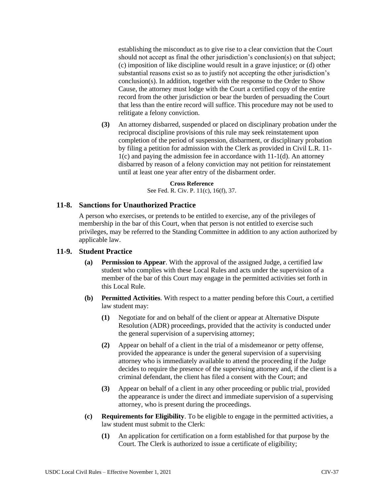establishing the misconduct as to give rise to a clear conviction that the Court should not accept as final the other jurisdiction's conclusion(s) on that subject; (c) imposition of like discipline would result in a grave injustice; or (d) other substantial reasons exist so as to justify not accepting the other jurisdiction's conclusion(s). In addition, together with the response to the Order to Show Cause, the attorney must lodge with the Court a certified copy of the entire record from the other jurisdiction or bear the burden of persuading the Court that less than the entire record will suffice. This procedure may not be used to relitigate a felony conviction.

**(3)** An attorney disbarred, suspended or placed on disciplinary probation under the reciprocal discipline provisions of this rule may seek reinstatement upon completion of the period of suspension, disbarment, or disciplinary probation by filing a petition for admission with the Clerk as provided in Civil L.R. 11- 1(c) and paying the admission fee in accordance with 11-1(d). An attorney disbarred by reason of a felony conviction may not petition for reinstatement until at least one year after entry of the disbarment order.

#### **Cross Reference**

See Fed. R. Civ. P. 11(c), 16(f), 37.

# **11-8. Sanctions for Unauthorized Practice**

A person who exercises, or pretends to be entitled to exercise, any of the privileges of membership in the bar of this Court, when that person is not entitled to exercise such privileges, may be referred to the Standing Committee in addition to any action authorized by applicable law.

#### **11-9. Student Practice**

- **(a) Permission to Appear**. With the approval of the assigned Judge, a certified law student who complies with these Local Rules and acts under the supervision of a member of the bar of this Court may engage in the permitted activities set forth in this Local Rule.
- **(b) Permitted Activities**. With respect to a matter pending before this Court, a certified law student may:
	- **(1)** Negotiate for and on behalf of the client or appear at Alternative Dispute Resolution (ADR) proceedings, provided that the activity is conducted under the general supervision of a supervising attorney;
	- **(2)** Appear on behalf of a client in the trial of a misdemeanor or petty offense, provided the appearance is under the general supervision of a supervising attorney who is immediately available to attend the proceeding if the Judge decides to require the presence of the supervising attorney and, if the client is a criminal defendant, the client has filed a consent with the Court; and
	- **(3)** Appear on behalf of a client in any other proceeding or public trial, provided the appearance is under the direct and immediate supervision of a supervising attorney, who is present during the proceedings.
- **(c) Requirements for Eligibility**. To be eligible to engage in the permitted activities, a law student must submit to the Clerk:
	- **(1)** An application for certification on a form established for that purpose by the Court. The Clerk is authorized to issue a certificate of eligibility;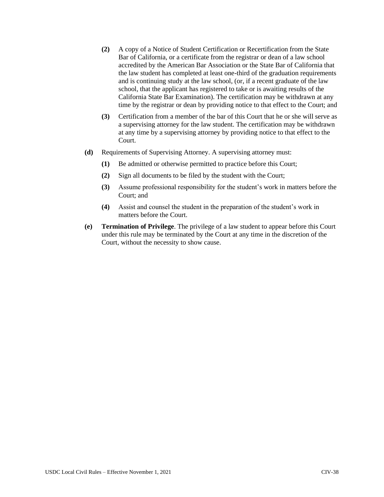- **(2)** A copy of a Notice of Student Certification or Recertification from the State Bar of California, or a certificate from the registrar or dean of a law school accredited by the American Bar Association or the State Bar of California that the law student has completed at least one-third of the graduation requirements and is continuing study at the law school, (or, if a recent graduate of the law school, that the applicant has registered to take or is awaiting results of the California State Bar Examination). The certification may be withdrawn at any time by the registrar or dean by providing notice to that effect to the Court; and
- **(3)** Certification from a member of the bar of this Court that he or she will serve as a supervising attorney for the law student. The certification may be withdrawn at any time by a supervising attorney by providing notice to that effect to the Court.
- **(d)** Requirements of Supervising Attorney. A supervising attorney must:
	- **(1)** Be admitted or otherwise permitted to practice before this Court;
	- **(2)** Sign all documents to be filed by the student with the Court;
	- **(3)** Assume professional responsibility for the student's work in matters before the Court; and
	- **(4)** Assist and counsel the student in the preparation of the student's work in matters before the Court.
- **(e) Termination of Privilege**. The privilege of a law student to appear before this Court under this rule may be terminated by the Court at any time in the discretion of the Court, without the necessity to show cause.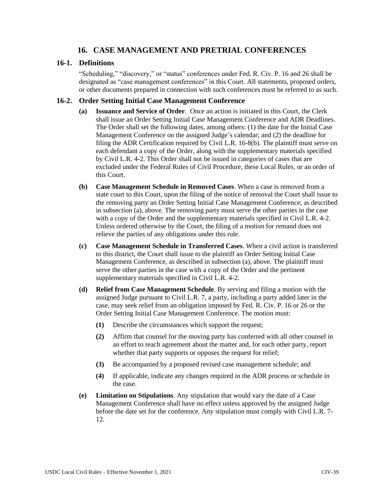# **16. CASE MANAGEMENT AND PRETRIAL CONFERENCES**

# **16-1. Definitions**

"Scheduling," "discovery," or "status" conferences under Fed. R. Civ. P. 16 and 26 shall be designated as "case management conferences" in this Court. All statements, proposed orders, or other documents prepared in connection with such conferences must be referred to as such.

## **16-2. Order Setting Initial Case Management Conference**

- **(a) Issuance and Service of Order**. Once an action is initiated in this Court, the Clerk shall issue an Order Setting Initial Case Management Conference and ADR Deadlines. The Order shall set the following dates, among others: (1) the date for the Initial Case Management Conference on the assigned Judge's calendar; and (2) the deadline for filing the ADR Certification required by Civil L.R. 16-8(b). The plaintiff must serve on each defendant a copy of the Order, along with the supplementary materials specified by Civil L.R. 4-2. This Order shall not be issued in categories of cases that are excluded under the Federal Rules of Civil Procedure, these Local Rules, or an order of this Court.
- **(b) Case Management Schedule in Removed Cases**. When a case is removed from a state court to this Court, upon the filing of the notice of removal the Court shall issue to the removing party an Order Setting Initial Case Management Conference, as described in subsection (a), above. The removing party must serve the other parties in the case with a copy of the Order and the supplementary materials specified in Civil L.R. 4-2. Unless ordered otherwise by the Court, the filing of a motion for remand does not relieve the parties of any obligations under this rule.
- **(c) Case Management Schedule in Transferred Cases**. When a civil action is transferred to this district, the Court shall issue to the plaintiff an Order Setting Initial Case Management Conference, as described in subsection (a), above. The plaintiff must serve the other parties in the case with a copy of the Order and the pertinent supplementary materials specified in Civil L.R. 4-2.
- **(d) Relief from Case Management Schedule**. By serving and filing a motion with the assigned Judge pursuant to Civil L.R. 7, a party, including a party added later in the case, may seek relief from an obligation imposed by Fed. R. Civ. P. 16 or 26 or the Order Setting Initial Case Management Conference. The motion must:
	- **(1)** Describe the circumstances which support the request;
	- **(2)** Affirm that counsel for the moving party has conferred with all other counsel in an effort to reach agreement about the matter and, for each other party, report whether that party supports or opposes the request for relief;
	- **(3)** Be accompanied by a proposed revised case management schedule; and
	- **(4)** If applicable, indicate any changes required in the ADR process or schedule in the case.
- **(e) Limitation on Stipulations**. Any stipulation that would vary the date of a Case Management Conference shall have no effect unless approved by the assigned Judge before the date set for the conference. Any stipulation must comply with Civil L.R. 7- 12.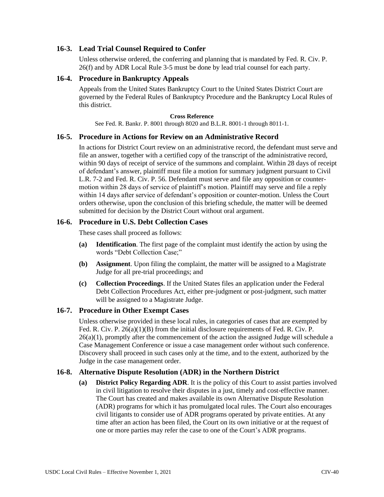# **16-3. Lead Trial Counsel Required to Confer**

Unless otherwise ordered, the conferring and planning that is mandated by Fed. R. Civ. P. 26(f) and by ADR Local Rule 3-5 must be done by lead trial counsel for each party.

### **16-4. Procedure in Bankruptcy Appeals**

Appeals from the United States Bankruptcy Court to the United States District Court are governed by the Federal Rules of Bankruptcy Procedure and the Bankruptcy Local Rules of this district.

#### **Cross Reference**

See Fed. R. Bankr. P. 8001 through 8020 and B.L.R. 8001-1 through 8011-1.

#### **16-5. Procedure in Actions for Review on an Administrative Record**

In actions for District Court review on an administrative record, the defendant must serve and file an answer, together with a certified copy of the transcript of the administrative record, within 90 days of receipt of service of the summons and complaint. Within 28 days of receipt of defendant's answer, plaintiff must file a motion for summary judgment pursuant to Civil L.R. 7-2 and Fed. R. Civ. P. 56. Defendant must serve and file any opposition or countermotion within 28 days of service of plaintiff's motion. Plaintiff may serve and file a reply within 14 days after service of defendant's opposition or counter-motion. Unless the Court orders otherwise, upon the conclusion of this briefing schedule, the matter will be deemed submitted for decision by the District Court without oral argument.

#### **16-6. Procedure in U.S. Debt Collection Cases**

These cases shall proceed as follows:

- **(a) Identification**. The first page of the complaint must identify the action by using the words "Debt Collection Case;"
- **(b) Assignment**. Upon filing the complaint, the matter will be assigned to a Magistrate Judge for all pre-trial proceedings; and
- **(c) Collection Proceedings**. If the United States files an application under the Federal Debt Collection Procedures Act, either pre-judgment or post-judgment, such matter will be assigned to a Magistrate Judge.

# **16-7. Procedure in Other Exempt Cases**

Unless otherwise provided in these local rules, in categories of cases that are exempted by Fed. R. Civ. P. 26(a)(1)(B) from the initial disclosure requirements of Fed. R. Civ. P.  $26(a)(1)$ , promptly after the commencement of the action the assigned Judge will schedule a Case Management Conference or issue a case management order without such conference. Discovery shall proceed in such cases only at the time, and to the extent, authorized by the Judge in the case management order.

#### **16-8. Alternative Dispute Resolution (ADR) in the Northern District**

**(a) District Policy Regarding ADR**. It is the policy of this Court to assist parties involved in civil litigation to resolve their disputes in a just, timely and cost-effective manner. The Court has created and makes available its own Alternative Dispute Resolution (ADR) programs for which it has promulgated local rules. The Court also encourages civil litigants to consider use of ADR programs operated by private entities. At any time after an action has been filed, the Court on its own initiative or at the request of one or more parties may refer the case to one of the Court's ADR programs.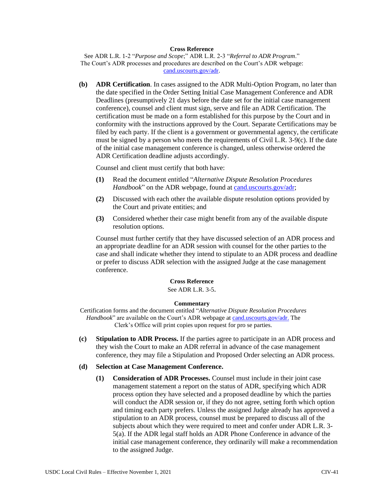#### **Cross Reference**

See ADR L.R. 1-2 "*Purpose and Scope*;" ADR L.R. 2-3 "*Referral to ADR Program*." The Court's ADR processes and procedures are described on the Court's ADR webpage: [cand.uscourts.gov/](http://www.cand.uscourts.gov/)adr.

**(b) ADR Certification**. In cases assigned to the ADR Multi-Option Program, no later than the date specified in the Order Setting Initial Case Management Conference and ADR Deadlines (presumptively 21 days before the date set for the initial case management conference), counsel and client must sign, serve and file an ADR Certification. The certification must be made on a form established for this purpose by the Court and in conformity with the instructions approved by the Court. Separate Certifications may be filed by each party. If the client is a government or governmental agency, the certificate must be signed by a person who meets the requirements of Civil L.R. 3-9(c). If the date of the initial case management conference is changed, unless otherwise ordered the ADR Certification deadline adjusts accordingly.

Counsel and client must certify that both have:

- **(1)** Read the document entitled "*Alternative Dispute Resolution Procedures Handbook*" on the ADR webpage, found at [cand.uscourts.gov/](http://www.cand.uscourts.gov/)adr;
- **(2)** Discussed with each other the available dispute resolution options provided by the Court and private entities; and
- **(3)** Considered whether their case might benefit from any of the available dispute resolution options.

Counsel must further certify that they have discussed selection of an ADR process and an appropriate deadline for an ADR session with counsel for the other parties to the case and shall indicate whether they intend to stipulate to an ADR process and deadline or prefer to discuss ADR selection with the assigned Judge at the case management conference.

#### **Cross Reference**

See ADR L.R. 3-5.

#### **Commentary**

Certification forms and the document entitled "*Alternative Dispute Resolution Procedures Handbook*" are available on the Court's ADR webpage at [cand.uscourts.gov/](http://www.cand.uscourts.gov/)adr. The Clerk's Office will print copies upon request for pro se parties.

**(c) Stipulation to ADR Process.** If the parties agree to participate in an ADR process and they wish the Court to make an ADR referral in advance of the case management conference, they may file a Stipulation and Proposed Order selecting an ADR process.

#### **(d) Selection at Case Management Conference.**

**(1) Consideration of ADR Processes.** Counsel must include in their joint case management statement a report on the status of ADR, specifying which ADR process option they have selected and a proposed deadline by which the parties will conduct the ADR session or, if they do not agree, setting forth which option and timing each party prefers. Unless the assigned Judge already has approved a stipulation to an ADR process, counsel must be prepared to discuss all of the subjects about which they were required to meet and confer under ADR L.R. 3- 5(a). If the ADR legal staff holds an ADR Phone Conference in advance of the initial case management conference, they ordinarily will make a recommendation to the assigned Judge.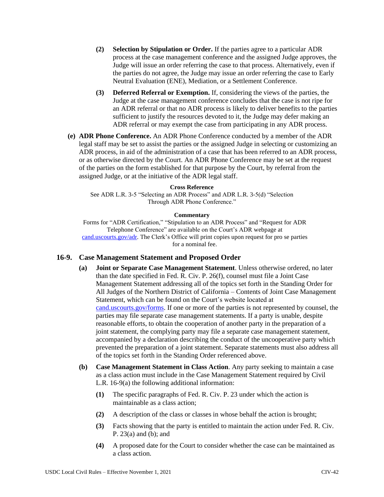- **(2) Selection by Stipulation or Order.** If the parties agree to a particular ADR process at the case management conference and the assigned Judge approves, the Judge will issue an order referring the case to that process. Alternatively, even if the parties do not agree, the Judge may issue an order referring the case to Early Neutral Evaluation (ENE), Mediation, or a Settlement Conference.
- **(3) Deferred Referral or Exemption.** If, considering the views of the parties, the Judge at the case management conference concludes that the case is not ripe for an ADR referral or that no ADR process is likely to deliver benefits to the parties sufficient to justify the resources devoted to it, the Judge may defer making an ADR referral or may exempt the case from participating in any ADR process.
- **(e) ADR Phone Conference.** An ADR Phone Conference conducted by a member of the ADR legal staff may be set to assist the parties or the assigned Judge in selecting or customizing an ADR process, in aid of the administration of a case that has been referred to an ADR process, or as otherwise directed by the Court. An ADR Phone Conference may be set at the request of the parties on the form established for that purpose by the Court, by referral from the assigned Judge, or at the initiative of the ADR legal staff.

#### **Cross Reference**

See ADR L.R. 3-5 "Selecting an ADR Process" and ADR L.R. 3-5(d) "Selection Through ADR Phone Conference."

#### **Commentary**

Forms for "ADR Certification," "Stipulation to an ADR Process" and "Request for ADR Telephone Conference" are available on the Court's ADR webpage at [cand.uscourts.gov/](http://www.cand.uscourts.gov/)adr. The Clerk's Office will print copies upon request for pro se parties for a nominal fee.

#### **16-9. Case Management Statement and Proposed Order**

- **(a) Joint or Separate Case Management Statement**. Unless otherwise ordered, no later than the date specified in Fed. R. Civ. P. 26(f), counsel must file a Joint Case Management Statement addressing all of the topics set forth in the Standing Order for All Judges of the Northern District of California – Contents of Joint Case Management Statement, which can be found on the Court's website located at [cand.uscourts.gov/](file://///CANDSF/DATA/Users/_SHARED%20DOCS/LOCAL%20RULES,%20GENERAL%20ORDERS%20&%20IOPs/Local_Rules/Current%20Local%20Rules/www.cand.uscourts.gov)forms. If one or more of the parties is not represented by counsel, the parties may file separate case management statements. If a party is unable, despite reasonable efforts, to obtain the cooperation of another party in the preparation of a joint statement, the complying party may file a separate case management statement, accompanied by a declaration describing the conduct of the uncooperative party which prevented the preparation of a joint statement. Separate statements must also address all of the topics set forth in the Standing Order referenced above.
- **(b) Case Management Statement in Class Action**. Any party seeking to maintain a case as a class action must include in the Case Management Statement required by Civil L.R. 16-9(a) the following additional information:
	- **(1)** The specific paragraphs of Fed. R. Civ. P. 23 under which the action is maintainable as a class action;
	- **(2)** A description of the class or classes in whose behalf the action is brought;
	- **(3)** Facts showing that the party is entitled to maintain the action under Fed. R. Civ. P. 23(a) and (b); and
	- **(4)** A proposed date for the Court to consider whether the case can be maintained as a class action.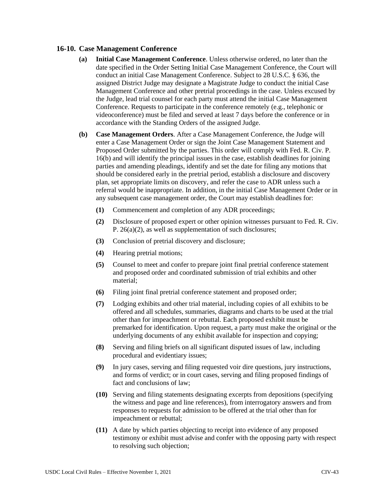## **16-10. Case Management Conference**

- **(a) Initial Case Management Conference**. Unless otherwise ordered, no later than the date specified in the Order Setting Initial Case Management Conference, the Court will conduct an initial Case Management Conference. Subject to 28 U.S.C. § 636, the assigned District Judge may designate a Magistrate Judge to conduct the initial Case Management Conference and other pretrial proceedings in the case. Unless excused by the Judge, lead trial counsel for each party must attend the initial Case Management Conference. Requests to participate in the conference remotely (e.g., telephonic or videoconference) must be filed and served at least 7 days before the conference or in accordance with the Standing Orders of the assigned Judge.
- **(b) Case Management Orders**. After a Case Management Conference, the Judge will enter a Case Management Order or sign the Joint Case Management Statement and Proposed Order submitted by the parties. This order will comply with Fed. R. Civ. P. 16(b) and will identify the principal issues in the case, establish deadlines for joining parties and amending pleadings, identify and set the date for filing any motions that should be considered early in the pretrial period, establish a disclosure and discovery plan, set appropriate limits on discovery, and refer the case to ADR unless such a referral would be inappropriate. In addition, in the initial Case Management Order or in any subsequent case management order, the Court may establish deadlines for:
	- **(1)** Commencement and completion of any ADR proceedings;
	- **(2)** Disclosure of proposed expert or other opinion witnesses pursuant to Fed. R. Civ. P. 26(a)(2), as well as supplementation of such disclosures;
	- **(3)** Conclusion of pretrial discovery and disclosure;
	- **(4)** Hearing pretrial motions;
	- **(5)** Counsel to meet and confer to prepare joint final pretrial conference statement and proposed order and coordinated submission of trial exhibits and other material;
	- **(6)** Filing joint final pretrial conference statement and proposed order;
	- **(7)** Lodging exhibits and other trial material, including copies of all exhibits to be offered and all schedules, summaries, diagrams and charts to be used at the trial other than for impeachment or rebuttal. Each proposed exhibit must be premarked for identification. Upon request, a party must make the original or the underlying documents of any exhibit available for inspection and copying;
	- **(8)** Serving and filing briefs on all significant disputed issues of law, including procedural and evidentiary issues;
	- **(9)** In jury cases, serving and filing requested voir dire questions, jury instructions, and forms of verdict; or in court cases, serving and filing proposed findings of fact and conclusions of law;
	- **(10)** Serving and filing statements designating excerpts from depositions (specifying the witness and page and line references), from interrogatory answers and from responses to requests for admission to be offered at the trial other than for impeachment or rebuttal;
	- **(11)** A date by which parties objecting to receipt into evidence of any proposed testimony or exhibit must advise and confer with the opposing party with respect to resolving such objection;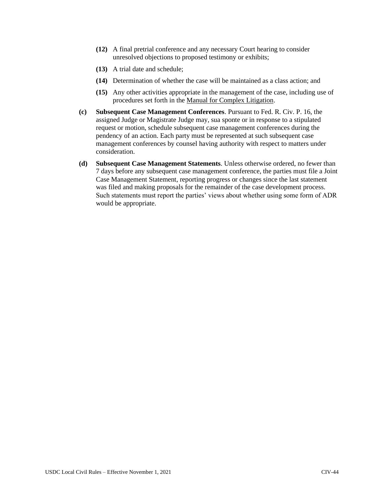- **(12)** A final pretrial conference and any necessary Court hearing to consider unresolved objections to proposed testimony or exhibits;
- **(13)** A trial date and schedule;
- **(14)** Determination of whether the case will be maintained as a class action; and
- **(15)** Any other activities appropriate in the management of the case, including use of procedures set forth in the Manual for Complex Litigation.
- **(c) Subsequent Case Management Conferences**. Pursuant to Fed. R. Civ. P. 16, the assigned Judge or Magistrate Judge may, sua sponte or in response to a stipulated request or motion, schedule subsequent case management conferences during the pendency of an action. Each party must be represented at such subsequent case management conferences by counsel having authority with respect to matters under consideration.
- **(d) Subsequent Case Management Statements**. Unless otherwise ordered, no fewer than 7 days before any subsequent case management conference, the parties must file a Joint Case Management Statement, reporting progress or changes since the last statement was filed and making proposals for the remainder of the case development process. Such statements must report the parties' views about whether using some form of ADR would be appropriate.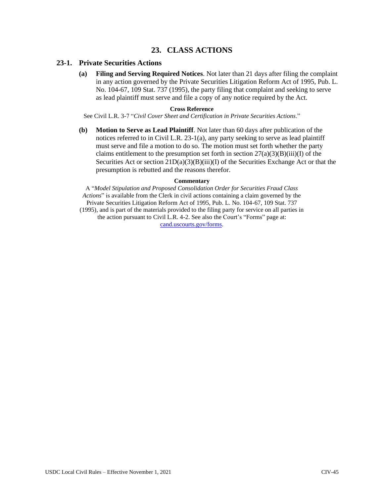# **23. CLASS ACTIONS**

#### **23-1. Private Securities Actions**

**(a) Filing and Serving Required Notices**. Not later than 21 days after filing the complaint in any action governed by the Private Securities Litigation Reform Act of 1995, Pub. L. No. 104-67, 109 Stat. 737 (1995), the party filing that complaint and seeking to serve as lead plaintiff must serve and file a copy of any notice required by the Act.

#### **Cross Reference**

See Civil L.R. 3-7 "*Civil Cover Sheet and Certification in Private Securities Actions*."

**(b) Motion to Serve as Lead Plaintiff**. Not later than 60 days after publication of the notices referred to in Civil L.R. 23-1(a), any party seeking to serve as lead plaintiff must serve and file a motion to do so. The motion must set forth whether the party claims entitlement to the presumption set forth in section  $27(a)(3)(B)(iii)(I)$  of the Securities Act or section  $21D(a)(3)(B)(iii)(I)$  of the Securities Exchange Act or that the presumption is rebutted and the reasons therefor.

#### **Commentary**

A "*Model Stipulation and Proposed Consolidation Order for Securities Fraud Class Actions*" is available from the Clerk in civil actions containing a claim governed by the Private Securities Litigation Reform Act of 1995, Pub. L. No. 104-67, 109 Stat. 737 (1995), and is part of the materials provided to the filing party for service on all parties in the action pursuant to Civil L.R. 4-2. See also the Court's "Forms" page at: [cand.uscourts.gov/forms.](https://fedcourts-my.sharepoint.com/personal/william_noble_cand_uscourts_gov/Documents/cand.uscourts.gov/forms)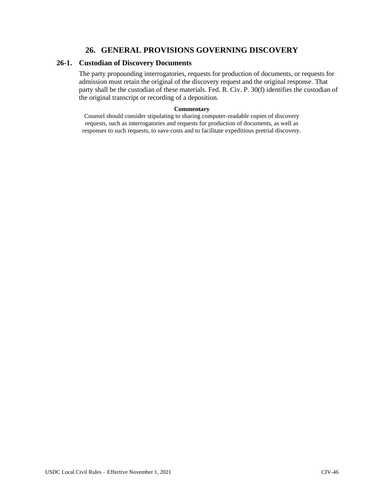# **26. GENERAL PROVISIONS GOVERNING DISCOVERY**

#### **26-1. Custodian of Discovery Documents**

The party propounding interrogatories, requests for production of documents, or requests for admission must retain the original of the discovery request and the original response. That party shall be the custodian of these materials. Fed. R. Civ. P. 30(f) identifies the custodian of the original transcript or recording of a deposition.

#### **Commentary**

Counsel should consider stipulating to sharing computer-readable copies of discovery requests, such as interrogatories and requests for production of documents, as well as responses to such requests, to save costs and to facilitate expeditious pretrial discovery.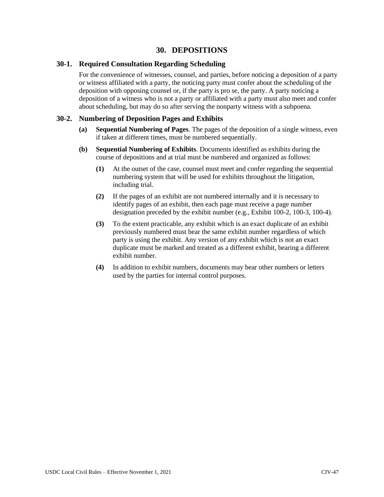# **30. DEPOSITIONS**

# **30-1. Required Consultation Regarding Scheduling**

For the convenience of witnesses, counsel, and parties, before noticing a deposition of a party or witness affiliated with a party, the noticing party must confer about the scheduling of the deposition with opposing counsel or, if the party is pro se, the party. A party noticing a deposition of a witness who is not a party or affiliated with a party must also meet and confer about scheduling, but may do so after serving the nonparty witness with a subpoena.

## **30-2. Numbering of Deposition Pages and Exhibits**

- **(a) Sequential Numbering of Pages**. The pages of the deposition of a single witness, even if taken at different times, must be numbered sequentially.
- **(b) Sequential Numbering of Exhibits**. Documents identified as exhibits during the course of depositions and at trial must be numbered and organized as follows:
	- **(1)** At the outset of the case, counsel must meet and confer regarding the sequential numbering system that will be used for exhibits throughout the litigation, including trial.
	- **(2)** If the pages of an exhibit are not numbered internally and it is necessary to identify pages of an exhibit, then each page must receive a page number designation preceded by the exhibit number (e.g., Exhibit 100-2, 100-3, 100-4).
	- **(3)** To the extent practicable, any exhibit which is an exact duplicate of an exhibit previously numbered must bear the same exhibit number regardless of which party is using the exhibit. Any version of any exhibit which is not an exact duplicate must be marked and treated as a different exhibit, bearing a different exhibit number.
	- **(4)** In addition to exhibit numbers, documents may bear other numbers or letters used by the parties for internal control purposes.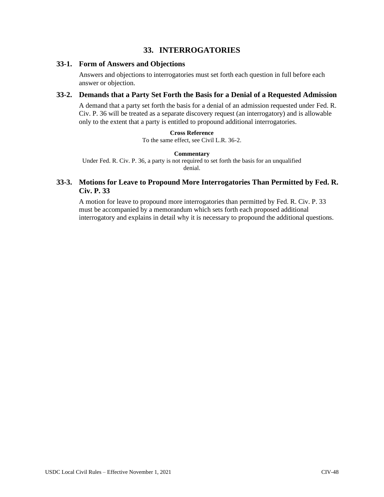# **33. INTERROGATORIES**

## **33-1. Form of Answers and Objections**

Answers and objections to interrogatories must set forth each question in full before each answer or objection.

## **33-2. Demands that a Party Set Forth the Basis for a Denial of a Requested Admission**

A demand that a party set forth the basis for a denial of an admission requested under Fed. R. Civ. P. 36 will be treated as a separate discovery request (an interrogatory) and is allowable only to the extent that a party is entitled to propound additional interrogatories.

# **Cross Reference**

To the same effect, see Civil L.R. 36-2.

#### **Commentary**

Under Fed. R. Civ. P. 36, a party is not required to set forth the basis for an unqualified denial.

# **33-3. Motions for Leave to Propound More Interrogatories Than Permitted by Fed. R. Civ. P. 33**

A motion for leave to propound more interrogatories than permitted by Fed. R. Civ. P. 33 must be accompanied by a memorandum which sets forth each proposed additional interrogatory and explains in detail why it is necessary to propound the additional questions.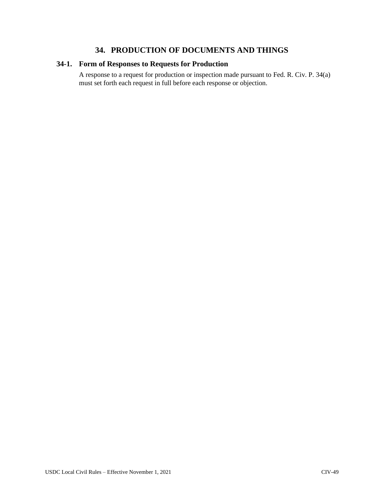# **34. PRODUCTION OF DOCUMENTS AND THINGS**

# **34-1. Form of Responses to Requests for Production**

A response to a request for production or inspection made pursuant to Fed. R. Civ. P. 34(a) must set forth each request in full before each response or objection.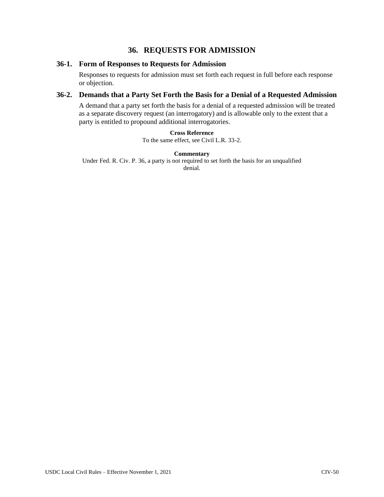# **36. REQUESTS FOR ADMISSION**

### **36-1. Form of Responses to Requests for Admission**

Responses to requests for admission must set forth each request in full before each response or objection.

### **36-2. Demands that a Party Set Forth the Basis for a Denial of a Requested Admission**

A demand that a party set forth the basis for a denial of a requested admission will be treated as a separate discovery request (an interrogatory) and is allowable only to the extent that a party is entitled to propound additional interrogatories.

> **Cross Reference** To the same effect, see Civil L.R. 33-2.

#### **Commentary**

Under Fed. R. Civ. P. 36, a party is not required to set forth the basis for an unqualified denial.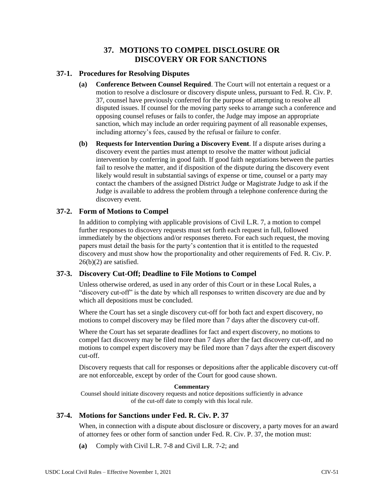# **37. MOTIONS TO COMPEL DISCLOSURE OR DISCOVERY OR FOR SANCTIONS**

## **37-1. Procedures for Resolving Disputes**

- **(a) Conference Between Counsel Required**. The Court will not entertain a request or a motion to resolve a disclosure or discovery dispute unless, pursuant to Fed. R. Civ. P. 37, counsel have previously conferred for the purpose of attempting to resolve all disputed issues. If counsel for the moving party seeks to arrange such a conference and opposing counsel refuses or fails to confer, the Judge may impose an appropriate sanction, which may include an order requiring payment of all reasonable expenses, including attorney's fees, caused by the refusal or failure to confer.
- **(b) Requests for Intervention During a Discovery Event**. If a dispute arises during a discovery event the parties must attempt to resolve the matter without judicial intervention by conferring in good faith. If good faith negotiations between the parties fail to resolve the matter, and if disposition of the dispute during the discovery event likely would result in substantial savings of expense or time, counsel or a party may contact the chambers of the assigned District Judge or Magistrate Judge to ask if the Judge is available to address the problem through a telephone conference during the discovery event.

## **37-2. Form of Motions to Compel**

In addition to complying with applicable provisions of Civil L.R. 7, a motion to compel further responses to discovery requests must set forth each request in full, followed immediately by the objections and/or responses thereto. For each such request, the moving papers must detail the basis for the party's contention that it is entitled to the requested discovery and must show how the proportionality and other requirements of Fed. R. Civ. P. 26(b)(2) are satisfied.

# **37-3. Discovery Cut-Off; Deadline to File Motions to Compel**

Unless otherwise ordered, as used in any order of this Court or in these Local Rules, a "discovery cut-off" is the date by which all responses to written discovery are due and by which all depositions must be concluded.

Where the Court has set a single discovery cut-off for both fact and expert discovery, no motions to compel discovery may be filed more than 7 days after the discovery cut-off.

Where the Court has set separate deadlines for fact and expert discovery, no motions to compel fact discovery may be filed more than 7 days after the fact discovery cut-off, and no motions to compel expert discovery may be filed more than 7 days after the expert discovery cut-off.

Discovery requests that call for responses or depositions after the applicable discovery cut-off are not enforceable, except by order of the Court for good cause shown.

#### **Commentary**

Counsel should initiate discovery requests and notice depositions sufficiently in advance of the cut-off date to comply with this local rule.

# **37-4. Motions for Sanctions under Fed. R. Civ. P. 37**

When, in connection with a dispute about disclosure or discovery, a party moves for an award of attorney fees or other form of sanction under Fed. R. Civ. P. 37, the motion must:

**(a)** Comply with Civil L.R. 7-8 and Civil L.R. 7-2; and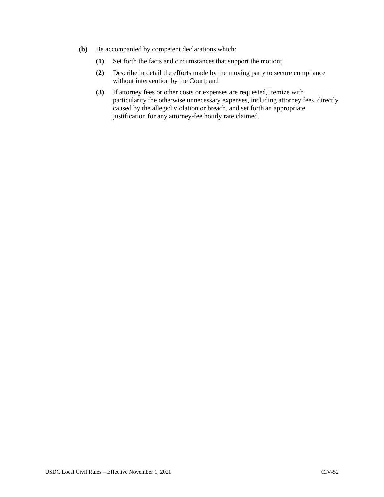- **(b)** Be accompanied by competent declarations which:
	- **(1)** Set forth the facts and circumstances that support the motion;
	- **(2)** Describe in detail the efforts made by the moving party to secure compliance without intervention by the Court; and
	- **(3)** If attorney fees or other costs or expenses are requested, itemize with particularity the otherwise unnecessary expenses, including attorney fees, directly caused by the alleged violation or breach, and set forth an appropriate justification for any attorney-fee hourly rate claimed.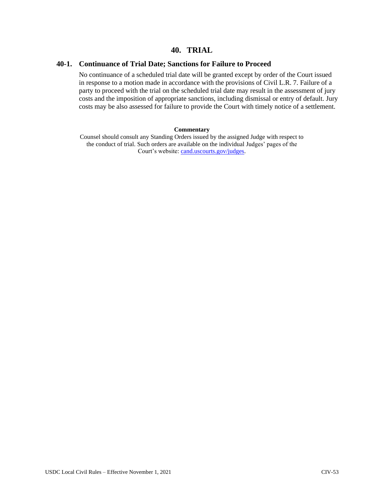# **40. TRIAL**

## **40-1. Continuance of Trial Date; Sanctions for Failure to Proceed**

No continuance of a scheduled trial date will be granted except by order of the Court issued in response to a motion made in accordance with the provisions of Civil L.R. 7. Failure of a party to proceed with the trial on the scheduled trial date may result in the assessment of jury costs and the imposition of appropriate sanctions, including dismissal or entry of default. Jury costs may be also assessed for failure to provide the Court with timely notice of a settlement.

#### **Commentary**

Counsel should consult any Standing Orders issued by the assigned Judge with respect to the conduct of trial. Such orders are available on the individual Judges' pages of the Court's website: cand.uscourts.gov/judges.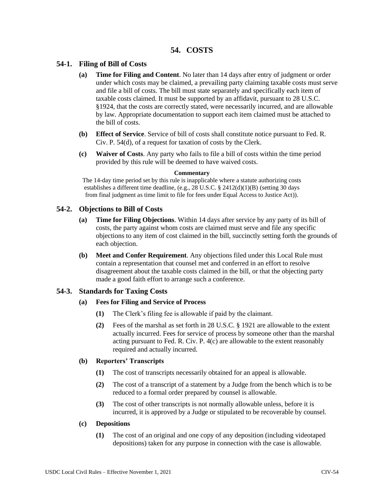# **54. COSTS**

# **54-1. Filing of Bill of Costs**

- **(a) Time for Filing and Content**. No later than 14 days after entry of judgment or order under which costs may be claimed, a prevailing party claiming taxable costs must serve and file a bill of costs. The bill must state separately and specifically each item of taxable costs claimed. It must be supported by an affidavit, pursuant to 28 U.S.C. §1924, that the costs are correctly stated, were necessarily incurred, and are allowable by law. Appropriate documentation to support each item claimed must be attached to the bill of costs.
- **(b) Effect of Service**. Service of bill of costs shall constitute notice pursuant to Fed. R. Civ. P. 54(d), of a request for taxation of costs by the Clerk.
- **(c) Waiver of Costs**. Any party who fails to file a bill of costs within the time period provided by this rule will be deemed to have waived costs.

#### **Commentary**

The 14-day time period set by this rule is inapplicable where a statute authorizing costs establishes a different time deadline, (e.g., 28 U.S.C. § 2412(d)(1)(B) (setting 30 days from final judgment as time limit to file for fees under Equal Access to Justice Act)).

## **54-2. Objections to Bill of Costs**

- **(a) Time for Filing Objections**. Within 14 days after service by any party of its bill of costs, the party against whom costs are claimed must serve and file any specific objections to any item of cost claimed in the bill, succinctly setting forth the grounds of each objection.
- **(b) Meet and Confer Requirement**. Any objections filed under this Local Rule must contain a representation that counsel met and conferred in an effort to resolve disagreement about the taxable costs claimed in the bill, or that the objecting party made a good faith effort to arrange such a conference.

### **54-3. Standards for Taxing Costs**

### **(a) Fees for Filing and Service of Process**

- **(1)** The Clerk's filing fee is allowable if paid by the claimant.
- **(2)** Fees of the marshal as set forth in 28 U.S.C. § 1921 are allowable to the extent actually incurred. Fees for service of process by someone other than the marshal acting pursuant to Fed. R. Civ. P. 4(c) are allowable to the extent reasonably required and actually incurred.

### **(b) Reporters' Transcripts**

- **(1)** The cost of transcripts necessarily obtained for an appeal is allowable.
- **(2)** The cost of a transcript of a statement by a Judge from the bench which is to be reduced to a formal order prepared by counsel is allowable.
- **(3)** The cost of other transcripts is not normally allowable unless, before it is incurred, it is approved by a Judge or stipulated to be recoverable by counsel.

### **(c) Depositions**

**(1)** The cost of an original and one copy of any deposition (including videotaped depositions) taken for any purpose in connection with the case is allowable.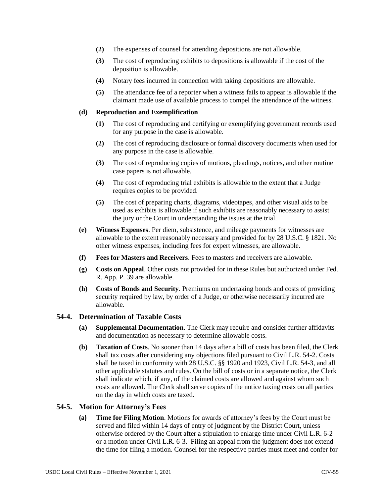- **(2)** The expenses of counsel for attending depositions are not allowable.
- **(3)** The cost of reproducing exhibits to depositions is allowable if the cost of the deposition is allowable.
- **(4)** Notary fees incurred in connection with taking depositions are allowable.
- **(5)** The attendance fee of a reporter when a witness fails to appear is allowable if the claimant made use of available process to compel the attendance of the witness.

#### **(d) Reproduction and Exemplification**

- **(1)** The cost of reproducing and certifying or exemplifying government records used for any purpose in the case is allowable.
- **(2)** The cost of reproducing disclosure or formal discovery documents when used for any purpose in the case is allowable.
- **(3)** The cost of reproducing copies of motions, pleadings, notices, and other routine case papers is not allowable.
- **(4)** The cost of reproducing trial exhibits is allowable to the extent that a Judge requires copies to be provided.
- **(5)** The cost of preparing charts, diagrams, videotapes, and other visual aids to be used as exhibits is allowable if such exhibits are reasonably necessary to assist the jury or the Court in understanding the issues at the trial.
- **(e) Witness Expenses**. Per diem, subsistence, and mileage payments for witnesses are allowable to the extent reasonably necessary and provided for by 28 U.S.C. § 1821. No other witness expenses, including fees for expert witnesses, are allowable.
- **(f) Fees for Masters and Receivers**. Fees to masters and receivers are allowable.
- **(g) Costs on Appeal**. Other costs not provided for in these Rules but authorized under Fed. R. App. P. 39 are allowable.
- **(h) Costs of Bonds and Security**. Premiums on undertaking bonds and costs of providing security required by law, by order of a Judge, or otherwise necessarily incurred are allowable.

### **54-4. Determination of Taxable Costs**

- **(a) Supplemental Documentation**. The Clerk may require and consider further affidavits and documentation as necessary to determine allowable costs.
- **(b) Taxation of Costs**. No sooner than 14 days after a bill of costs has been filed, the Clerk shall tax costs after considering any objections filed pursuant to Civil L.R. 54-2. Costs shall be taxed in conformity with 28 U.S.C. §§ 1920 and 1923, Civil L.R. 54-3, and all other applicable statutes and rules. On the bill of costs or in a separate notice, the Clerk shall indicate which, if any, of the claimed costs are allowed and against whom such costs are allowed. The Clerk shall serve copies of the notice taxing costs on all parties on the day in which costs are taxed.

### **54-5. Motion for Attorney's Fees**

**(a) Time for Filing Motion**. Motions for awards of attorney's fees by the Court must be served and filed within 14 days of entry of judgment by the District Court, unless otherwise ordered by the Court after a stipulation to enlarge time under Civil L.R. 6-2 or a motion under Civil L.R. 6-3. Filing an appeal from the judgment does not extend the time for filing a motion. Counsel for the respective parties must meet and confer for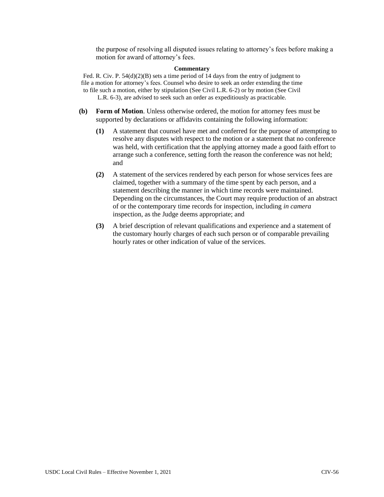the purpose of resolving all disputed issues relating to attorney's fees before making a motion for award of attorney's fees.

#### **Commentary**

Fed. R. Civ. P. 54(d)(2)(B) sets a time period of 14 days from the entry of judgment to file a motion for attorney's fees. Counsel who desire to seek an order extending the time to file such a motion, either by stipulation (See Civil L.R. 6-2) or by motion (See Civil L.R. 6-3), are advised to seek such an order as expeditiously as practicable.

- **(b) Form of Motion**. Unless otherwise ordered, the motion for attorney fees must be supported by declarations or affidavits containing the following information:
	- **(1)** A statement that counsel have met and conferred for the purpose of attempting to resolve any disputes with respect to the motion or a statement that no conference was held, with certification that the applying attorney made a good faith effort to arrange such a conference, setting forth the reason the conference was not held; and
	- **(2)** A statement of the services rendered by each person for whose services fees are claimed, together with a summary of the time spent by each person, and a statement describing the manner in which time records were maintained. Depending on the circumstances, the Court may require production of an abstract of or the contemporary time records for inspection, including *in camera* inspection, as the Judge deems appropriate; and
	- **(3)** A brief description of relevant qualifications and experience and a statement of the customary hourly charges of each such person or of comparable prevailing hourly rates or other indication of value of the services.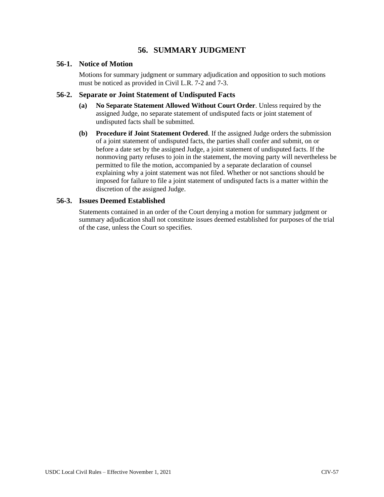# **56. SUMMARY JUDGMENT**

## **56-1. Notice of Motion**

Motions for summary judgment or summary adjudication and opposition to such motions must be noticed as provided in Civil L.R. 7-2 and 7-3.

# **56-2. Separate or Joint Statement of Undisputed Facts**

- **(a) No Separate Statement Allowed Without Court Order**. Unless required by the assigned Judge, no separate statement of undisputed facts or joint statement of undisputed facts shall be submitted.
- **(b) Procedure if Joint Statement Ordered**. If the assigned Judge orders the submission of a joint statement of undisputed facts, the parties shall confer and submit, on or before a date set by the assigned Judge, a joint statement of undisputed facts. If the nonmoving party refuses to join in the statement, the moving party will nevertheless be permitted to file the motion, accompanied by a separate declaration of counsel explaining why a joint statement was not filed. Whether or not sanctions should be imposed for failure to file a joint statement of undisputed facts is a matter within the discretion of the assigned Judge.

## **56-3. Issues Deemed Established**

Statements contained in an order of the Court denying a motion for summary judgment or summary adjudication shall not constitute issues deemed established for purposes of the trial of the case, unless the Court so specifies.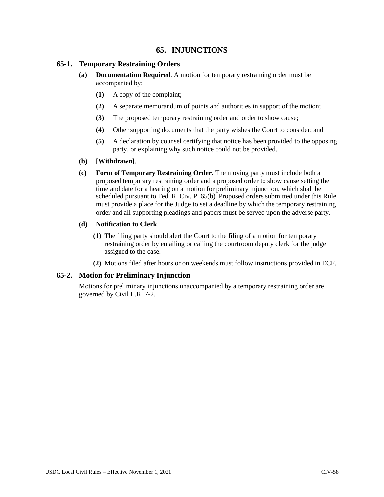# **65. INJUNCTIONS**

## **65-1. Temporary Restraining Orders**

- **(a) Documentation Required**. A motion for temporary restraining order must be accompanied by:
	- **(1)** A copy of the complaint;
	- **(2)** A separate memorandum of points and authorities in support of the motion;
	- **(3)** The proposed temporary restraining order and order to show cause;
	- **(4)** Other supporting documents that the party wishes the Court to consider; and
	- **(5)** A declaration by counsel certifying that notice has been provided to the opposing party, or explaining why such notice could not be provided.

### **(b) [Withdrawn]**.

**(c) Form of Temporary Restraining Order**. The moving party must include both a proposed temporary restraining order and a proposed order to show cause setting the time and date for a hearing on a motion for preliminary injunction, which shall be scheduled pursuant to Fed. R. Civ. P. 65(b). Proposed orders submitted under this Rule must provide a place for the Judge to set a deadline by which the temporary restraining order and all supporting pleadings and papers must be served upon the adverse party.

### **(d) Notification to Clerk**.

- **(1)** The filing party should alert the Court to the filing of a motion for temporary restraining order by emailing or calling the courtroom deputy clerk for the judge assigned to the case.
- **(2)** Motions filed after hours or on weekends must follow instructions provided in ECF.

### **65-2. Motion for Preliminary Injunction**

Motions for preliminary injunctions unaccompanied by a temporary restraining order are governed by Civil L.R. 7-2.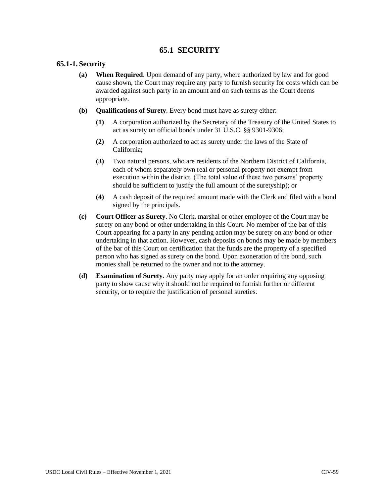# **65.1 SECURITY**

# **65.1-1. Security**

- **(a) When Required**. Upon demand of any party, where authorized by law and for good cause shown, the Court may require any party to furnish security for costs which can be awarded against such party in an amount and on such terms as the Court deems appropriate.
- **(b) Qualifications of Surety**. Every bond must have as surety either:
	- **(1)** A corporation authorized by the Secretary of the Treasury of the United States to act as surety on official bonds under 31 U.S.C. §§ 9301-9306;
	- **(2)** A corporation authorized to act as surety under the laws of the State of California;
	- **(3)** Two natural persons, who are residents of the Northern District of California, each of whom separately own real or personal property not exempt from execution within the district. (The total value of these two persons' property should be sufficient to justify the full amount of the suretyship); or
	- **(4)** A cash deposit of the required amount made with the Clerk and filed with a bond signed by the principals.
- **(c) Court Officer as Surety**. No Clerk, marshal or other employee of the Court may be surety on any bond or other undertaking in this Court. No member of the bar of this Court appearing for a party in any pending action may be surety on any bond or other undertaking in that action. However, cash deposits on bonds may be made by members of the bar of this Court on certification that the funds are the property of a specified person who has signed as surety on the bond. Upon exoneration of the bond, such monies shall be returned to the owner and not to the attorney.
- **(d) Examination of Surety**. Any party may apply for an order requiring any opposing party to show cause why it should not be required to furnish further or different security, or to require the justification of personal sureties.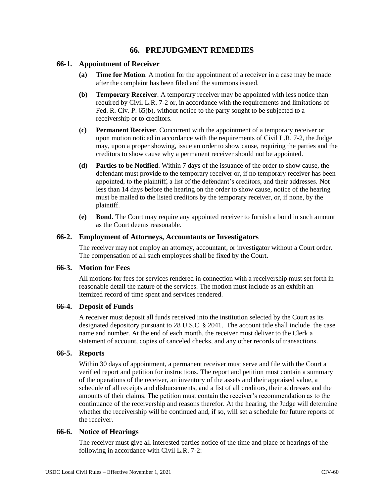# **66. PREJUDGMENT REMEDIES**

## **66-1. Appointment of Receiver**

- **(a) Time for Motion**. A motion for the appointment of a receiver in a case may be made after the complaint has been filed and the summons issued.
- **(b) Temporary Receiver**. A temporary receiver may be appointed with less notice than required by Civil L.R. 7-2 or, in accordance with the requirements and limitations of Fed. R. Civ. P. 65(b), without notice to the party sought to be subjected to a receivership or to creditors.
- **(c) Permanent Receiver**. Concurrent with the appointment of a temporary receiver or upon motion noticed in accordance with the requirements of Civil L.R. 7-2, the Judge may, upon a proper showing, issue an order to show cause, requiring the parties and the creditors to show cause why a permanent receiver should not be appointed.
- **(d) Parties to be Notified**. Within 7 days of the issuance of the order to show cause, the defendant must provide to the temporary receiver or, if no temporary receiver has been appointed, to the plaintiff, a list of the defendant's creditors, and their addresses. Not less than 14 days before the hearing on the order to show cause, notice of the hearing must be mailed to the listed creditors by the temporary receiver, or, if none, by the plaintiff.
- **(e) Bond**. The Court may require any appointed receiver to furnish a bond in such amount as the Court deems reasonable.

## **66-2. Employment of Attorneys, Accountants or Investigators**

The receiver may not employ an attorney, accountant, or investigator without a Court order. The compensation of all such employees shall be fixed by the Court.

# **66-3. Motion for Fees**

All motions for fees for services rendered in connection with a receivership must set forth in reasonable detail the nature of the services. The motion must include as an exhibit an itemized record of time spent and services rendered.

### **66-4. Deposit of Funds**

A receiver must deposit all funds received into the institution selected by the Court as its designated depository pursuant to 28 U.S.C. § 2041. The account title shall include the case name and number. At the end of each month, the receiver must deliver to the Clerk a statement of account, copies of canceled checks, and any other records of transactions.

# **66-5. Reports**

Within 30 days of appointment, a permanent receiver must serve and file with the Court a verified report and petition for instructions. The report and petition must contain a summary of the operations of the receiver, an inventory of the assets and their appraised value, a schedule of all receipts and disbursements, and a list of all creditors, their addresses and the amounts of their claims. The petition must contain the receiver's recommendation as to the continuance of the receivership and reasons therefor. At the hearing, the Judge will determine whether the receivership will be continued and, if so, will set a schedule for future reports of the receiver.

# **66-6. Notice of Hearings**

The receiver must give all interested parties notice of the time and place of hearings of the following in accordance with Civil L.R. 7-2: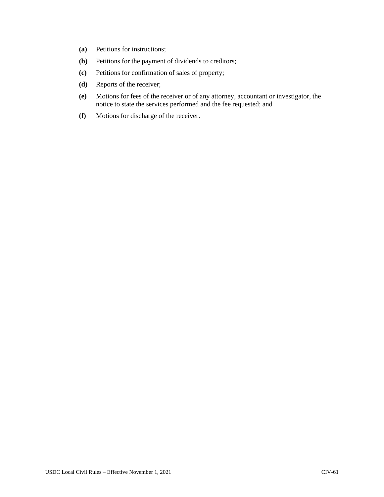- **(a)** Petitions for instructions;
- **(b)** Petitions for the payment of dividends to creditors;
- **(c)** Petitions for confirmation of sales of property;
- **(d)** Reports of the receiver;
- **(e)** Motions for fees of the receiver or of any attorney, accountant or investigator, the notice to state the services performed and the fee requested; and
- **(f)** Motions for discharge of the receiver.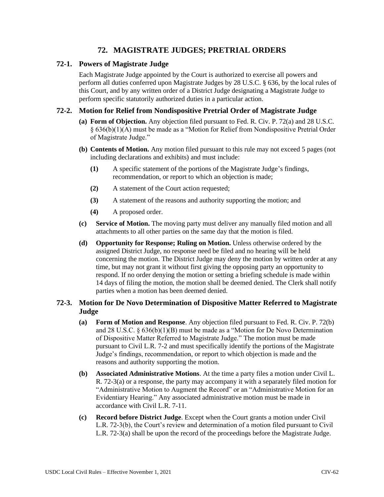# **72. MAGISTRATE JUDGES; PRETRIAL ORDERS**

# **72-1. Powers of Magistrate Judge**

Each Magistrate Judge appointed by the Court is authorized to exercise all powers and perform all duties conferred upon Magistrate Judges by 28 U.S.C. § 636, by the local rules of this Court, and by any written order of a District Judge designating a Magistrate Judge to perform specific statutorily authorized duties in a particular action.

# **72-2. Motion for Relief from Nondispositive Pretrial Order of Magistrate Judge**

- **(a) Form of Objection.** Any objection filed pursuant to Fed. R. Civ. P. 72(a) and 28 U.S.C. § 636(b)(1)(A) must be made as a "Motion for Relief from Nondispositive Pretrial Order of Magistrate Judge."
- **(b) Contents of Motion.** Any motion filed pursuant to this rule may not exceed 5 pages (not including declarations and exhibits) and must include:
	- **(1)** A specific statement of the portions of the Magistrate Judge's findings, recommendation, or report to which an objection is made;
	- **(2)** A statement of the Court action requested;
	- **(3)** A statement of the reasons and authority supporting the motion; and
	- **(4)** A proposed order.
- **(c) Service of Motion.** The moving party must deliver any manually filed motion and all attachments to all other parties on the same day that the motion is filed.
- **(d) Opportunity for Response; Ruling on Motion.** Unless otherwise ordered by the assigned District Judge, no response need be filed and no hearing will be held concerning the motion. The District Judge may deny the motion by written order at any time, but may not grant it without first giving the opposing party an opportunity to respond. If no order denying the motion or setting a briefing schedule is made within 14 days of filing the motion, the motion shall be deemed denied. The Clerk shall notify parties when a motion has been deemed denied.

## **72-3. Motion for De Novo Determination of Dispositive Matter Referred to Magistrate Judge**

- **(a) Form of Motion and Response**. Any objection filed pursuant to Fed. R. Civ. P. 72(b) and 28 U.S.C.  $\S 636(b)(1)(B)$  must be made as a "Motion for De Novo Determination of Dispositive Matter Referred to Magistrate Judge." The motion must be made pursuant to Civil L.R. 7-2 and must specifically identify the portions of the Magistrate Judge's findings, recommendation, or report to which objection is made and the reasons and authority supporting the motion.
- **(b) Associated Administrative Motions**. At the time a party files a motion under Civil L.  $R. 72-3(a)$  or a response, the party may accompany it with a separately filed motion for "Administrative Motion to Augment the Record" or an "Administrative Motion for an Evidentiary Hearing." Any associated administrative motion must be made in accordance with Civil L.R. 7-11.
- **(c) Record before District Judge**. Except when the Court grants a motion under Civil L.R. 72-3(b), the Court's review and determination of a motion filed pursuant to Civil L.R. 72-3(a) shall be upon the record of the proceedings before the Magistrate Judge.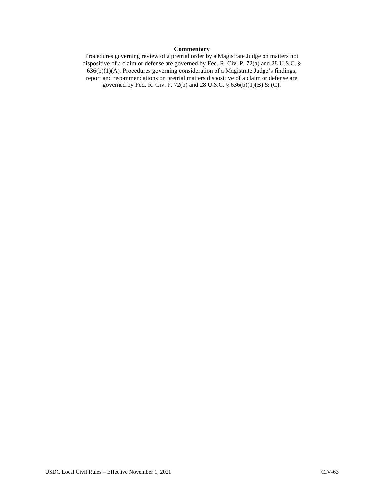#### **Commentary**

Procedures governing review of a pretrial order by a Magistrate Judge on matters not dispositive of a claim or defense are governed by Fed. R. Civ. P. 72(a) and 28 U.S.C. §  $636(b)(1)(A)$ . Procedures governing consideration of a Magistrate Judge's findings, report and recommendations on pretrial matters dispositive of a claim or defense are governed by Fed. R. Civ. P. 72(b) and 28 U.S.C. § 636(b)(1)(B) & (C).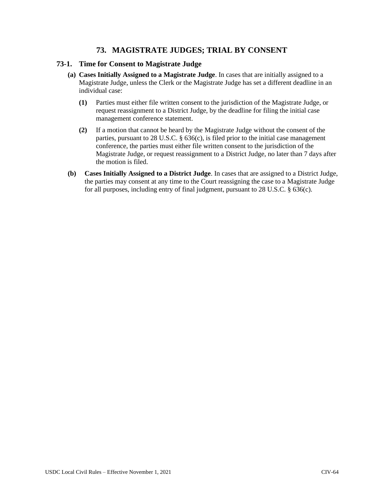# **73. MAGISTRATE JUDGES; TRIAL BY CONSENT**

## **73-1. Time for Consent to Magistrate Judge**

- **(a) Cases Initially Assigned to a Magistrate Judge**. In cases that are initially assigned to a Magistrate Judge, unless the Clerk or the Magistrate Judge has set a different deadline in an individual case:
	- **(1)** Parties must either file written consent to the jurisdiction of the Magistrate Judge, or request reassignment to a District Judge, by the deadline for filing the initial case management conference statement.
	- **(2)** If a motion that cannot be heard by the Magistrate Judge without the consent of the parties, pursuant to 28 U.S.C. § 636(c), is filed prior to the initial case management conference, the parties must either file written consent to the jurisdiction of the Magistrate Judge, or request reassignment to a District Judge, no later than 7 days after the motion is filed.
- **(b) Cases Initially Assigned to a District Judge**. In cases that are assigned to a District Judge, the parties may consent at any time to the Court reassigning the case to a Magistrate Judge for all purposes, including entry of final judgment, pursuant to 28 U.S.C. § 636(c).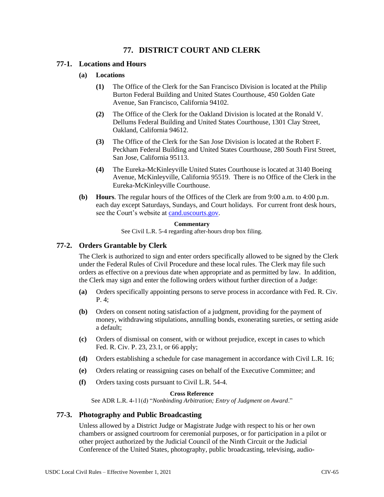# **77. DISTRICT COURT AND CLERK**

## **77-1. Locations and Hours**

### **(a) Locations**

- **(1)** The Office of the Clerk for the San Francisco Division is located at the Philip Burton Federal Building and United States Courthouse, 450 Golden Gate Avenue, San Francisco, California 94102.
- **(2)** The Office of the Clerk for the Oakland Division is located at the Ronald V. Dellums Federal Building and United States Courthouse, 1301 Clay Street, Oakland, California 94612.
- **(3)** The Office of the Clerk for the San Jose Division is located at the Robert F. Peckham Federal Building and United States Courthouse, 280 South First Street, San Jose, California 95113.
- **(4)** The Eureka-McKinleyville United States Courthouse is located at 3140 Boeing Avenue, McKinleyville, California 95519. There is no Office of the Clerk in the Eureka-McKinleyville Courthouse.
- **(b) Hours**. The regular hours of the Offices of the Clerk are from 9:00 a.m. to 4:00 p.m. each day except Saturdays, Sundays, and Court holidays. For current front desk hours, see the Court's website at [cand.uscourts.gov.](https://fedcourts-my.sharepoint.com/personal/william_noble_cand_uscourts_gov/Documents/cand.uscourts.gov)

#### **Commentary**

See Civil L.R. 5-4 regarding after-hours drop box filing.

## **77-2. Orders Grantable by Clerk**

The Clerk is authorized to sign and enter orders specifically allowed to be signed by the Clerk under the Federal Rules of Civil Procedure and these local rules. The Clerk may file such orders as effective on a previous date when appropriate and as permitted by law. In addition, the Clerk may sign and enter the following orders without further direction of a Judge:

- **(a)** Orders specifically appointing persons to serve process in accordance with Fed. R. Civ. P. 4;
- **(b)** Orders on consent noting satisfaction of a judgment, providing for the payment of money, withdrawing stipulations, annulling bonds, exonerating sureties, or setting aside a default;
- **(c)** Orders of dismissal on consent, with or without prejudice, except in cases to which Fed. R. Civ. P. 23, 23.1, or 66 apply;
- **(d)** Orders establishing a schedule for case management in accordance with Civil L.R. 16;
- **(e)** Orders relating or reassigning cases on behalf of the Executive Committee; and
- **(f)** Orders taxing costs pursuant to Civil L.R. 54-4.

#### **Cross Reference**

See ADR L.R. 4-11(d) "*Nonbinding Arbitration; Entry of Judgment on Award*."

#### **77-3. Photography and Public Broadcasting**

Unless allowed by a District Judge or Magistrate Judge with respect to his or her own chambers or assigned courtroom for ceremonial purposes, or for participation in a pilot or other project authorized by the Judicial Council of the Ninth Circuit or the Judicial Conference of the United States, photography, public broadcasting, televising, audio-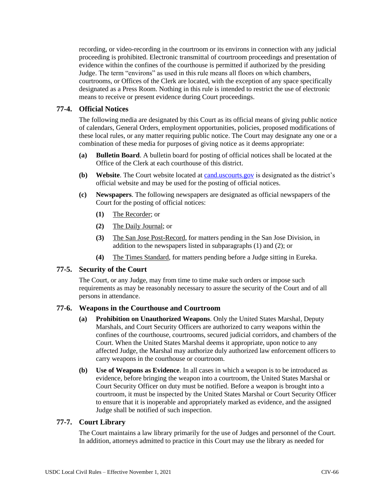recording, or video-recording in the courtroom or its environs in connection with any judicial proceeding is prohibited. Electronic transmittal of courtroom proceedings and presentation of evidence within the confines of the courthouse is permitted if authorized by the presiding Judge. The term "environs" as used in this rule means all floors on which chambers, courtrooms, or Offices of the Clerk are located, with the exception of any space specifically designated as a Press Room. Nothing in this rule is intended to restrict the use of electronic means to receive or present evidence during Court proceedings.

## **77-4. Official Notices**

The following media are designated by this Court as its official means of giving public notice of calendars, General Orders, employment opportunities, policies, proposed modifications of these local rules, or any matter requiring public notice. The Court may designate any one or a combination of these media for purposes of giving notice as it deems appropriate:

- **(a) Bulletin Board**. A bulletin board for posting of official notices shall be located at the Office of the Clerk at each courthouse of this district.
- **(b) Website**. The Court website located at [cand.uscourts.gov](http://www.cand.uscourts.gov/) is designated as the district's official website and may be used for the posting of official notices.
- **(c) Newspapers**. The following newspapers are designated as official newspapers of the Court for the posting of official notices:
	- **(1)** The Recorder; or
	- **(2)** The Daily Journal; or
	- **(3)** The San Jose Post-Record, for matters pending in the San Jose Division, in addition to the newspapers listed in subparagraphs (1) and (2); or
	- **(4)** The Times Standard, for matters pending before a Judge sitting in Eureka.

#### **77-5. Security of the Court**

The Court, or any Judge, may from time to time make such orders or impose such requirements as may be reasonably necessary to assure the security of the Court and of all persons in attendance.

#### **77-6. Weapons in the Courthouse and Courtroom**

- **(a) Prohibition on Unauthorized Weapons**. Only the United States Marshal, Deputy Marshals, and Court Security Officers are authorized to carry weapons within the confines of the courthouse, courtrooms, secured judicial corridors, and chambers of the Court. When the United States Marshal deems it appropriate, upon notice to any affected Judge, the Marshal may authorize duly authorized law enforcement officers to carry weapons in the courthouse or courtroom.
- **(b) Use of Weapons as Evidence**. In all cases in which a weapon is to be introduced as evidence, before bringing the weapon into a courtroom, the United States Marshal or Court Security Officer on duty must be notified. Before a weapon is brought into a courtroom, it must be inspected by the United States Marshal or Court Security Officer to ensure that it is inoperable and appropriately marked as evidence, and the assigned Judge shall be notified of such inspection.

#### **77-7. Court Library**

The Court maintains a law library primarily for the use of Judges and personnel of the Court. In addition, attorneys admitted to practice in this Court may use the library as needed for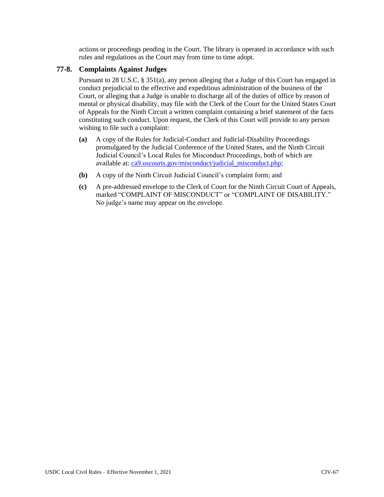actions or proceedings pending in the Court. The library is operated in accordance with such rules and regulations as the Court may from time to time adopt.

## **77-8. Complaints Against Judges**

Pursuant to 28 U.S.C. § 351(a), any person alleging that a Judge of this Court has engaged in conduct prejudicial to the effective and expeditious administration of the business of the Court, or alleging that a Judge is unable to discharge all of the duties of office by reason of mental or physical disability, may file with the Clerk of the Court for the United States Court of Appeals for the Ninth Circuit a written complaint containing a brief statement of the facts constituting such conduct. Upon request, the Clerk of this Court will provide to any person wishing to file such a complaint:

- **(a)** A copy of the Rules for Judicial-Conduct and Judicial-Disability Proceedings promulgated by the Judicial Conference of the United States, and the Ninth Circuit Judicial Council's Local Rules for Misconduct Proceedings, both of which are available at: [ca9.uscourts.gov/misconduct/judicial\\_misconduct.php;](https://fedcourts-my.sharepoint.com/personal/william_noble_cand_uscourts_gov/Documents/ca9.uscourts.gov/misconduct/judicial_misconduct.php)
- **(b)** A copy of the Ninth Circuit Judicial Council's complaint form; and
- **(c)** A pre-addressed envelope to the Clerk of Court for the Ninth Circuit Court of Appeals, marked "COMPLAINT OF MISCONDUCT" or "COMPLAINT OF DISABILITY." No judge's name may appear on the envelope.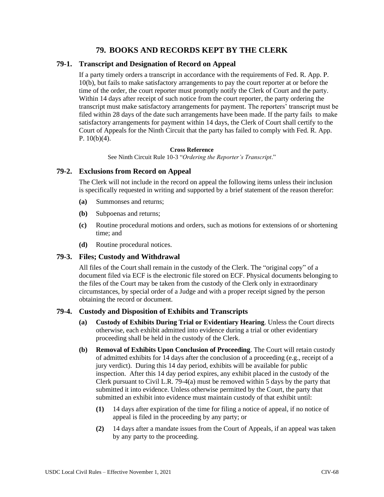# **79. BOOKS AND RECORDS KEPT BY THE CLERK**

## **79-1. Transcript and Designation of Record on Appeal**

If a party timely orders a transcript in accordance with the requirements of Fed. R. App. P. 10(b), but fails to make satisfactory arrangements to pay the court reporter at or before the time of the order, the court reporter must promptly notify the Clerk of Court and the party. Within 14 days after receipt of such notice from the court reporter, the party ordering the transcript must make satisfactory arrangements for payment. The reporters' transcript must be filed within 28 days of the date such arrangements have been made. If the party fails to make satisfactory arrangements for payment within 14 days, the Clerk of Court shall certify to the Court of Appeals for the Ninth Circuit that the party has failed to comply with Fed. R. App. P. 10(b)(4).

#### **Cross Reference**

See Ninth Circuit Rule 10-3 "*Ordering the Reporter's Transcript*."

## **79-2. Exclusions from Record on Appeal**

The Clerk will not include in the record on appeal the following items unless their inclusion is specifically requested in writing and supported by a brief statement of the reason therefor:

- **(a)** Summonses and returns;
- **(b)** Subpoenas and returns;
- **(c)** Routine procedural motions and orders, such as motions for extensions of or shortening time; and
- **(d)** Routine procedural notices.

#### **79-3. Files; Custody and Withdrawal**

All files of the Court shall remain in the custody of the Clerk. The "original copy" of a document filed via ECF is the electronic file stored on ECF. Physical documents belonging to the files of the Court may be taken from the custody of the Clerk only in extraordinary circumstances, by special order of a Judge and with a proper receipt signed by the person obtaining the record or document.

#### **79-4. Custody and Disposition of Exhibits and Transcripts**

- **(a) Custody of Exhibits During Trial or Evidentiary Hearing**. Unless the Court directs otherwise, each exhibit admitted into evidence during a trial or other evidentiary proceeding shall be held in the custody of the Clerk.
- **(b) Removal of Exhibits Upon Conclusion of Proceeding**. The Court will retain custody of admitted exhibits for 14 days after the conclusion of a proceeding (e.g., receipt of a jury verdict). During this 14 day period, exhibits will be available for public inspection. After this 14 day period expires, any exhibit placed in the custody of the Clerk pursuant to Civil L.R. 79-4(a) must be removed within 5 days by the party that submitted it into evidence. Unless otherwise permitted by the Court, the party that submitted an exhibit into evidence must maintain custody of that exhibit until:
	- **(1)** 14 days after expiration of the time for filing a notice of appeal, if no notice of appeal is filed in the proceeding by any party; or
	- **(2)** 14 days after a mandate issues from the Court of Appeals, if an appeal was taken by any party to the proceeding.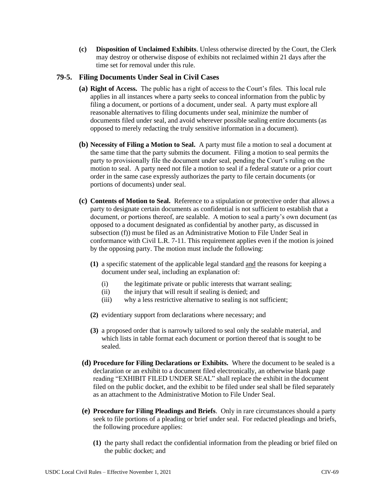**(c) Disposition of Unclaimed Exhibits**. Unless otherwise directed by the Court, the Clerk may destroy or otherwise dispose of exhibits not reclaimed within 21 days after the time set for removal under this rule.

## **79-5. Filing Documents Under Seal in Civil Cases**

- **(a) Right of Access.** The public has a right of access to the Court's files. This local rule applies in all instances where a party seeks to conceal information from the public by filing a document, or portions of a document, under seal. A party must explore all reasonable alternatives to filing documents under seal, minimize the number of documents filed under seal, and avoid wherever possible sealing entire documents (as opposed to merely redacting the truly sensitive information in a document).
- **(b) Necessity of Filing a Motion to Seal.** A party must file a motion to seal a document at the same time that the party submits the document. Filing a motion to seal permits the party to provisionally file the document under seal, pending the Court's ruling on the motion to seal. A party need not file a motion to seal if a federal statute or a prior court order in the same case expressly authorizes the party to file certain documents (or portions of documents) under seal.
- **(c) Contents of Motion to Seal.** Reference to a stipulation or protective order that allows a party to designate certain documents as confidential is not sufficient to establish that a document, or portions thereof, are sealable. A motion to seal a party's own document (as opposed to a document designated as confidential by another party, as discussed in subsection (f)) must be filed as an Administrative Motion to File Under Seal in conformance with Civil L.R. 7-11. This requirement applies even if the motion is joined by the opposing party. The motion must include the following:
	- **(1)** a specific statement of the applicable legal standard and the reasons for keeping a document under seal, including an explanation of:
		- (i) the legitimate private or public interests that warrant sealing;
		- (ii) the injury that will result if sealing is denied; and
		- (iii) why a less restrictive alternative to sealing is not sufficient;
	- **(2)** evidentiary support from declarations where necessary; and
	- **(3)** a proposed order that is narrowly tailored to seal only the sealable material, and which lists in table format each document or portion thereof that is sought to be sealed.
- **(d) Procedure for Filing Declarations or Exhibits.** Where the document to be sealed is a declaration or an exhibit to a document filed electronically, an otherwise blank page reading "EXHIBIT FILED UNDER SEAL" shall replace the exhibit in the document filed on the public docket, and the exhibit to be filed under seal shall be filed separately as an attachment to the Administrative Motion to File Under Seal.
- **(e) Procedure for Filing Pleadings and Briefs**. Only in rare circumstances should a party seek to file portions of a pleading or brief under seal. For redacted pleadings and briefs, the following procedure applies:
	- **(1)** the party shall redact the confidential information from the pleading or brief filed on the public docket; and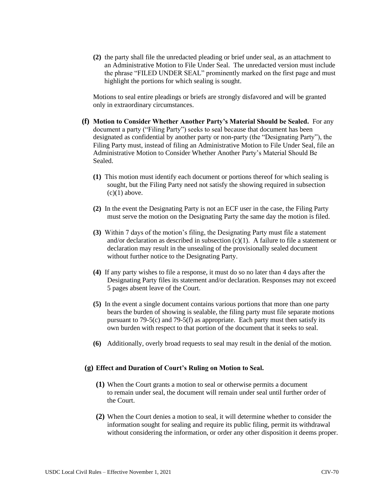**(2)** the party shall file the unredacted pleading or brief under seal, as an attachment to an Administrative Motion to File Under Seal. The unredacted version must include the phrase "FILED UNDER SEAL" prominently marked on the first page and must highlight the portions for which sealing is sought.

Motions to seal entire pleadings or briefs are strongly disfavored and will be granted only in extraordinary circumstances.

- **(f) Motion to Consider Whether Another Party's Material Should be Sealed.** For any document a party ("Filing Party") seeks to seal because that document has been designated as confidential by another party or non-party (the "Designating Party"), the Filing Party must, instead of filing an Administrative Motion to File Under Seal, file an Administrative Motion to Consider Whether Another Party's Material Should Be Sealed.
	- **(1)** This motion must identify each document or portions thereof for which sealing is sought, but the Filing Party need not satisfy the showing required in subsection  $(c)(1)$  above.
	- **(2)** In the event the Designating Party is not an ECF user in the case, the Filing Party must serve the motion on the Designating Party the same day the motion is filed.
	- **(3)** Within 7 days of the motion's filing, the Designating Party must file a statement and/or declaration as described in subsection  $(c)(1)$ . A failure to file a statement or declaration may result in the unsealing of the provisionally sealed document without further notice to the Designating Party.
	- **(4)** If any party wishes to file a response, it must do so no later than 4 days after the Designating Party files its statement and/or declaration. Responses may not exceed 5 pages absent leave of the Court.
	- **(5)** In the event a single document contains various portions that more than one party bears the burden of showing is sealable, the filing party must file separate motions pursuant to 79-5(c) and 79-5(f) as appropriate. Each party must then satisfy its own burden with respect to that portion of the document that it seeks to seal.
	- **(6)** Additionally, overly broad requests to seal may result in the denial of the motion.

#### **(g) Effect and Duration of Court's Ruling on Motion to Seal.**

- **(1)** When the Court grants a motion to seal or otherwise permits a document to remain under seal, the document will remain under seal until further order of the Court.
- **(2)** When the Court denies a motion to seal, it will determine whether to consider the information sought for sealing and require its public filing, permit its withdrawal without considering the information, or order any other disposition it deems proper.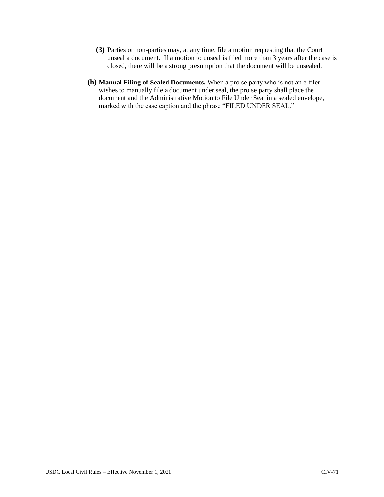- **(3)** Parties or non-parties may, at any time, file a motion requesting that the Court unseal a document. If a motion to unseal is filed more than 3 years after the case is closed, there will be a strong presumption that the document will be unsealed.
- **(h) Manual Filing of Sealed Documents.** When a pro se party who is not an e-filer wishes to manually file a document under seal, the pro se party shall place the document and the Administrative Motion to File Under Seal in a sealed envelope, marked with the case caption and the phrase "FILED UNDER SEAL."